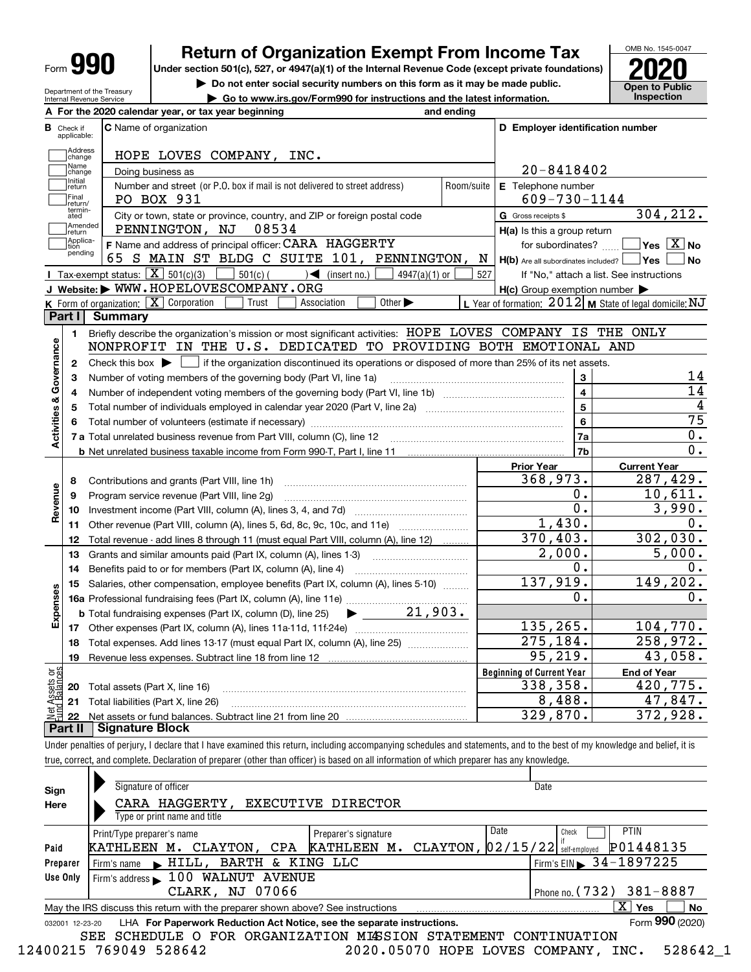| Form |
|------|
|------|

Check if applicable: Address<br>Change Name<br>|change Initial<br>return

 $\begin{array}{c} \hline \end{array}$  $\begin{array}{c} \hline \end{array}$ 

 $\begin{array}{c} \hline \end{array}$ 

 $\begin{array}{c} \hline \end{array}$ 

Amende<mark>c</mark><br>Treturn -<br>Applica-<br>pending

**1**

**Revenue**

**Expenses**

vet Assets or<br>und Balances

**17 18 19**

**20**

**22**

**Activities & Governance**

**Activities & Governance** 

**I**

**K**

## **Return of Organization Exempt From Income Tax**

**Under section 501(c), 527, or 4947(a)(1) of the Internal Revenue Code (except private foundations)**



Net assets or fund balances. Subtract line 21 from line 20 **Part II Signature Block**

**21** Total liabilities (Part X, line 26)

Under penalties of perjury, I declare that I have examined this return, including accompanying schedules and statements, and to the best of my knowledge and belief, it is true, correct, and complete. Declaration of preparer (other than officer) is based on all information of which preparer has any knowledge.

~~~~~~~~~~~~~~~~~~~~~~~~~~~~ ~~~~~~~~~~~~~~~~~~~~~~~~~~~

| Sign<br>Here | Signature of officer<br>CARA HAGGERTY,<br>Type or print name and title                                       | EXECUTIVE DIRECTOR                  | Date                                                                           |  |  |  |  |  |  |
|--------------|--------------------------------------------------------------------------------------------------------------|-------------------------------------|--------------------------------------------------------------------------------|--|--|--|--|--|--|
| Paid         | Print/Type preparer's name<br>KATHLEEN M. CLAYTON, CPA                                                       | Preparer's signature<br>KATHLEEN M. | Date<br><b>PTIN</b><br>Check<br>P01448135<br>CLAYTON, $02/15/22$ self-employed |  |  |  |  |  |  |
| Preparer     | BARTH & KING LLC<br>HILL.<br>Firm's name                                                                     |                                     | $1$ Firm's EIN $\triangleright$ 34-1897225                                     |  |  |  |  |  |  |
| Use Only     | 100 WALNUT AVENUE<br>Firm's address                                                                          |                                     |                                                                                |  |  |  |  |  |  |
|              | CLARK, NJ 07066                                                                                              |                                     | Phone no. $(732)$ 381-8887                                                     |  |  |  |  |  |  |
|              | х<br>No<br>Yes<br>May the IRS discuss this return with the preparer shown above? See instructions            |                                     |                                                                                |  |  |  |  |  |  |
|              | Form 990 (2020)<br>LHA For Paperwork Reduction Act Notice, see the separate instructions.<br>032001 12-23-20 |                                     |                                                                                |  |  |  |  |  |  |
|              | FOR ORGANIZATION MISSION STATEMENT<br>SEE<br>SCHEDULE O<br>CONTINUATION                                      |                                     |                                                                                |  |  |  |  |  |  |

12400215 769049 528642 2020.05070 HOPE LOVES COMPANY, INC. 528642\_1

8,488. 47,847. 329,870. 372,928.

OMB No. 1545‐0047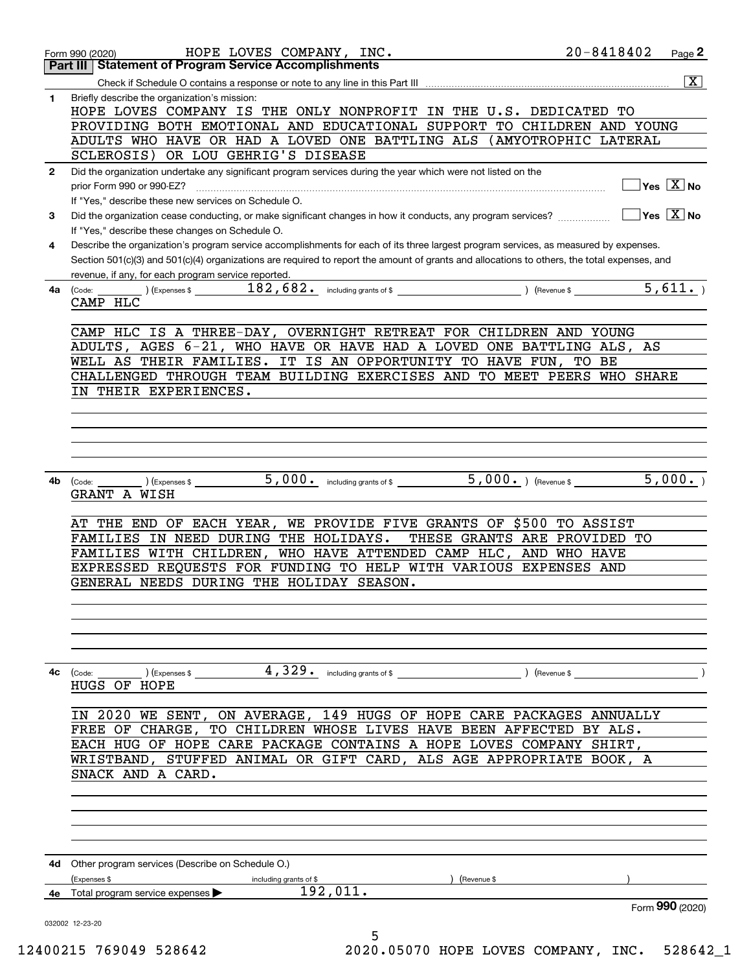|              | HOPE LOVES COMPANY, INC.<br>Form 990 (2020)                                                                                                                                                                                        | $20 - 8418402$        | Page 2                                 |
|--------------|------------------------------------------------------------------------------------------------------------------------------------------------------------------------------------------------------------------------------------|-----------------------|----------------------------------------|
|              | <b>Statement of Program Service Accomplishments</b><br>Part III                                                                                                                                                                    |                       |                                        |
| 1            | Briefly describe the organization's mission:<br>HOPE LOVES COMPANY IS THE ONLY NONPROFIT IN THE U.S. DEDICATED TO                                                                                                                  |                       | $\overline{\mathbf{x}}$                |
|              | PROVIDING BOTH EMOTIONAL AND EDUCATIONAL SUPPORT                                                                                                                                                                                   | TO CHILDREN AND YOUNG |                                        |
|              | ADULTS WHO HAVE OR HAD A LOVED ONE BATTLING ALS (AMYOTROPHIC LATERAL                                                                                                                                                               |                       |                                        |
|              | SCLEROSIS) OR LOU GEHRIG'S DISEASE                                                                                                                                                                                                 |                       |                                        |
| $\mathbf{2}$ | Did the organization undertake any significant program services during the year which were not listed on the                                                                                                                       |                       | $\sqrt{}$ Yes $\sqrt{}$ X $\sqrt{}$ No |
|              | prior Form 990 or 990-EZ?<br>If "Yes," describe these new services on Schedule O.                                                                                                                                                  |                       |                                        |
| 3            | Did the organization cease conducting, or make significant changes in how it conducts, any program services?                                                                                                                       |                       | $ Yes X $ No                           |
|              | If "Yes," describe these changes on Schedule O.                                                                                                                                                                                    |                       |                                        |
| 4            | Describe the organization's program service accomplishments for each of its three largest program services, as measured by expenses.                                                                                               |                       |                                        |
|              | Section 501(c)(3) and 501(c)(4) organizations are required to report the amount of grants and allocations to others, the total expenses, and<br>revenue, if any, for each program service reported.                                |                       |                                        |
| 4a           | (Code:                                                                                                                                                                                                                             |                       | $\overline{5,611}$ .                   |
|              | CAMP HLC                                                                                                                                                                                                                           |                       |                                        |
|              |                                                                                                                                                                                                                                    |                       |                                        |
|              | CAMP HLC IS A THREE-DAY, OVERNIGHT RETREAT FOR CHILDREN AND YOUNG<br>ADULTS, AGES 6-21, WHO HAVE OR HAVE HAD A LOVED ONE BATTLING ALS, AS                                                                                          |                       |                                        |
|              | WELL AS THEIR FAMILIES. IT IS AN OPPORTUNITY TO HAVE FUN,                                                                                                                                                                          | TO BE                 |                                        |
|              | CHALLENGED THROUGH TEAM BUILDING EXERCISES AND TO MEET PEERS WHO SHARE                                                                                                                                                             |                       |                                        |
|              | IN THEIR EXPERIENCES.                                                                                                                                                                                                              |                       |                                        |
|              |                                                                                                                                                                                                                                    |                       |                                        |
|              |                                                                                                                                                                                                                                    |                       |                                        |
|              |                                                                                                                                                                                                                                    |                       |                                        |
|              |                                                                                                                                                                                                                                    |                       |                                        |
| 4b           | $\overline{5,000.}$ ) (Revenue \$<br>5,000. including grants of \$<br>$(\textsf{Expenses} \$<br>(Code:<br>GRANT A WISH                                                                                                             |                       | 5,000.                                 |
|              |                                                                                                                                                                                                                                    |                       |                                        |
|              | AT THE END OF EACH YEAR,<br>WE PROVIDE FIVE GRANTS OF \$500<br>IN NEED DURING THE HOLIDAYS.<br>THESE GRANTS ARE PROVIDED TO<br>FAMILIES                                                                                            | TO ASSIST             |                                        |
|              | WHO HAVE ATTENDED CAMP HLC,<br>FAMILIES WITH CHILDREN,<br>AND                                                                                                                                                                      | WHO HAVE              |                                        |
|              | EXPRESSED REQUESTS FOR FUNDING TO HELP WITH VARIOUS EXPENSES AND                                                                                                                                                                   |                       |                                        |
|              | GENERAL NEEDS DURING THE HOLIDAY SEASON.                                                                                                                                                                                           |                       |                                        |
|              |                                                                                                                                                                                                                                    |                       |                                        |
|              |                                                                                                                                                                                                                                    |                       |                                        |
|              |                                                                                                                                                                                                                                    |                       |                                        |
|              |                                                                                                                                                                                                                                    |                       |                                        |
| 4с           | $(\text{Code:}\n\begin{array}{c}\n\text{[Code:}\n\end{array})$ (Expenses \$ $\begin{array}{c}\n\text{[Code:}\n\end{array}$ $\begin{array}{c}\n\text{[D]}\n\end{array}$ $\begin{array}{c}\n\text{[D]}\n\end{array}$<br>HUGS OF HOPE |                       |                                        |
|              |                                                                                                                                                                                                                                    |                       |                                        |
|              | IN 2020 WE SENT, ON AVERAGE, 149 HUGS OF HOPE CARE PACKAGES ANNUALLY                                                                                                                                                               |                       |                                        |
|              | FREE OF CHARGE, TO CHILDREN WHOSE LIVES HAVE BEEN AFFECTED BY ALS.                                                                                                                                                                 |                       |                                        |
|              | EACH HUG OF HOPE CARE PACKAGE CONTAINS A HOPE LOVES COMPANY SHIRT,<br>WRISTBAND, STUFFED ANIMAL OR GIFT CARD, ALS AGE APPROPRIATE BOOK, A                                                                                          |                       |                                        |
|              | SNACK AND A CARD.                                                                                                                                                                                                                  |                       |                                        |
|              |                                                                                                                                                                                                                                    |                       |                                        |
|              |                                                                                                                                                                                                                                    |                       |                                        |
|              |                                                                                                                                                                                                                                    |                       |                                        |
|              |                                                                                                                                                                                                                                    |                       |                                        |
|              | <b>4d</b> Other program services (Describe on Schedule O.)                                                                                                                                                                         |                       |                                        |
|              | (Expenses \$<br>including grants of \$<br>) (Revenue \$                                                                                                                                                                            |                       |                                        |
|              | 192,011.<br><b>4e</b> Total program service expenses $\blacktriangleright$                                                                                                                                                         |                       | Form 990 (2020)                        |
|              | 032002 12-23-20                                                                                                                                                                                                                    |                       |                                        |
|              | 5                                                                                                                                                                                                                                  |                       |                                        |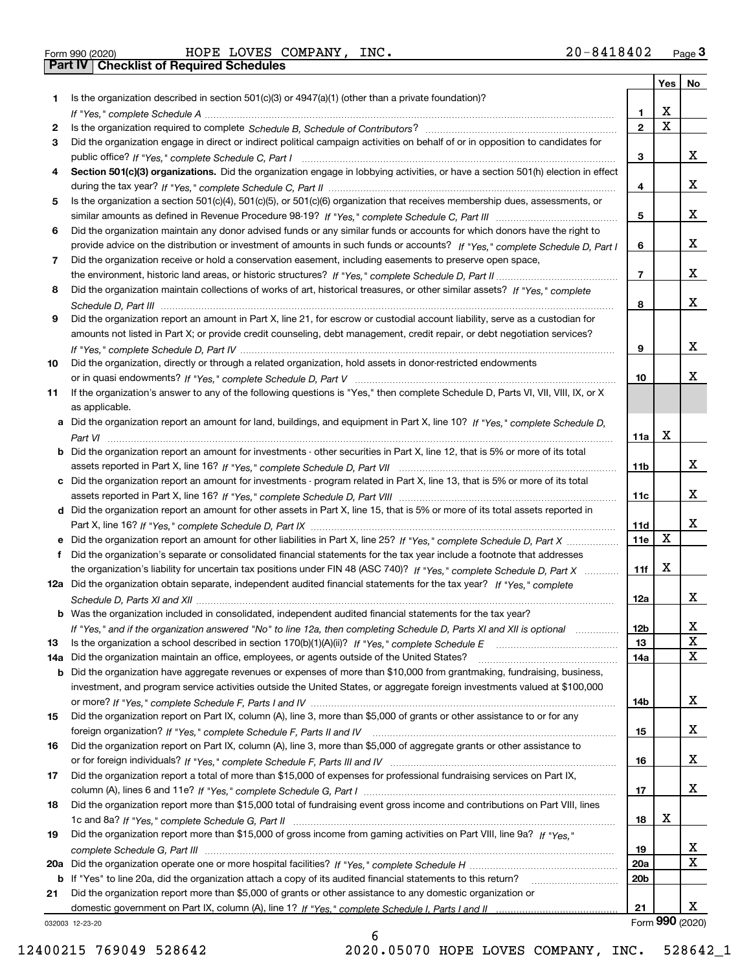**Part IV Checklist of Required Schedules**

Form 990 (2020) Page HOPE LOVES COMPANY, INC. 20‐8418402

|     |                                                                                                                                   |                 | Yes                     | No                      |
|-----|-----------------------------------------------------------------------------------------------------------------------------------|-----------------|-------------------------|-------------------------|
| 1.  | Is the organization described in section $501(c)(3)$ or $4947(a)(1)$ (other than a private foundation)?                           |                 |                         |                         |
|     |                                                                                                                                   | 1.              | X                       |                         |
| 2   |                                                                                                                                   | $\overline{2}$  | $\overline{\mathbf{x}}$ |                         |
| 3   | Did the organization engage in direct or indirect political campaign activities on behalf of or in opposition to candidates for   |                 |                         |                         |
|     |                                                                                                                                   | 3               |                         | x                       |
| 4   | Section 501(c)(3) organizations. Did the organization engage in lobbying activities, or have a section 501(h) election in effect  |                 |                         |                         |
|     |                                                                                                                                   | 4               |                         | x                       |
| 5   | Is the organization a section 501(c)(4), 501(c)(5), or 501(c)(6) organization that receives membership dues, assessments, or      |                 |                         |                         |
|     |                                                                                                                                   | 5               |                         | x                       |
| 6   | Did the organization maintain any donor advised funds or any similar funds or accounts for which donors have the right to         |                 |                         |                         |
|     | provide advice on the distribution or investment of amounts in such funds or accounts? If "Yes," complete Schedule D, Part I      | 6               |                         | x                       |
| 7   | Did the organization receive or hold a conservation easement, including easements to preserve open space,                         | $\overline{7}$  |                         |                         |
|     |                                                                                                                                   |                 |                         | X                       |
| 8   | Did the organization maintain collections of works of art, historical treasures, or other similar assets? If "Yes," complete      |                 |                         |                         |
|     |                                                                                                                                   | 8               |                         | x                       |
| 9   | Did the organization report an amount in Part X, line 21, for escrow or custodial account liability, serve as a custodian for     |                 |                         |                         |
|     | amounts not listed in Part X; or provide credit counseling, debt management, credit repair, or debt negotiation services?         |                 |                         |                         |
|     |                                                                                                                                   | 9               |                         | x                       |
| 10  | Did the organization, directly or through a related organization, hold assets in donor-restricted endowments                      |                 |                         | х                       |
|     |                                                                                                                                   | 10              |                         |                         |
| 11  | If the organization's answer to any of the following questions is "Yes," then complete Schedule D, Parts VI, VIII, VIII, IX, or X |                 |                         |                         |
|     | as applicable.                                                                                                                    |                 |                         |                         |
|     | a Did the organization report an amount for land, buildings, and equipment in Part X, line 10? If "Yes." complete Schedule D.     |                 | X                       |                         |
|     |                                                                                                                                   | 11a             |                         |                         |
| b   | Did the organization report an amount for investments - other securities in Part X, line 12, that is 5% or more of its total      | 11b             |                         | x                       |
| c   | Did the organization report an amount for investments - program related in Part X, line 13, that is 5% or more of its total       |                 |                         |                         |
|     |                                                                                                                                   | 11c             |                         | х                       |
|     | d Did the organization report an amount for other assets in Part X, line 15, that is 5% or more of its total assets reported in   |                 |                         |                         |
|     |                                                                                                                                   | 11d             |                         | х                       |
|     | Did the organization report an amount for other liabilities in Part X, line 25? If "Yes," complete Schedule D, Part X             | 11e             | $\mathbf X$             |                         |
| f   | Did the organization's separate or consolidated financial statements for the tax year include a footnote that addresses           |                 |                         |                         |
|     | the organization's liability for uncertain tax positions under FIN 48 (ASC 740)? If "Yes," complete Schedule D, Part X            | 11f             | X                       |                         |
|     | 12a Did the organization obtain separate, independent audited financial statements for the tax year? If "Yes," complete           |                 |                         |                         |
|     |                                                                                                                                   | 12a             |                         | х                       |
|     | <b>b</b> Was the organization included in consolidated, independent audited financial statements for the tax year?                |                 |                         |                         |
|     | If "Yes," and if the organization answered "No" to line 12a, then completing Schedule D, Parts XI and XII is optional             | 12D             |                         | ᅀ                       |
| 13  |                                                                                                                                   | 13              |                         | $\mathbf X$             |
| 14a | Did the organization maintain an office, employees, or agents outside of the United States?                                       | 14a             |                         | $\mathbf X$             |
| b   | Did the organization have aggregate revenues or expenses of more than \$10,000 from grantmaking, fundraising, business,           |                 |                         |                         |
|     | investment, and program service activities outside the United States, or aggregate foreign investments valued at \$100,000        |                 |                         |                         |
|     |                                                                                                                                   | 14b             |                         | x                       |
| 15  | Did the organization report on Part IX, column (A), line 3, more than \$5,000 of grants or other assistance to or for any         |                 |                         |                         |
|     |                                                                                                                                   | 15              |                         | х                       |
| 16  | Did the organization report on Part IX, column (A), line 3, more than \$5,000 of aggregate grants or other assistance to          |                 |                         |                         |
|     |                                                                                                                                   | 16              |                         | x                       |
| 17  | Did the organization report a total of more than \$15,000 of expenses for professional fundraising services on Part IX,           |                 |                         |                         |
|     |                                                                                                                                   | 17              |                         | X                       |
| 18  | Did the organization report more than \$15,000 total of fundraising event gross income and contributions on Part VIII, lines      |                 |                         |                         |
|     |                                                                                                                                   | 18              | х                       |                         |
| 19  | Did the organization report more than \$15,000 of gross income from gaming activities on Part VIII, line 9a? If "Yes."            |                 |                         |                         |
|     |                                                                                                                                   | 19              |                         | $\overline{\mathbf{x}}$ |
| 20a |                                                                                                                                   | 20a             |                         | $\overline{\mathbf{x}}$ |
|     | b If "Yes" to line 20a, did the organization attach a copy of its audited financial statements to this return?                    | 20 <sub>b</sub> |                         |                         |
| 21  | Did the organization report more than \$5,000 of grants or other assistance to any domestic organization or                       |                 |                         |                         |
|     |                                                                                                                                   | 21              |                         | х<br>Form 990 (2020)    |
|     | 032003 12-23-20                                                                                                                   |                 |                         |                         |

032003 12‐23‐20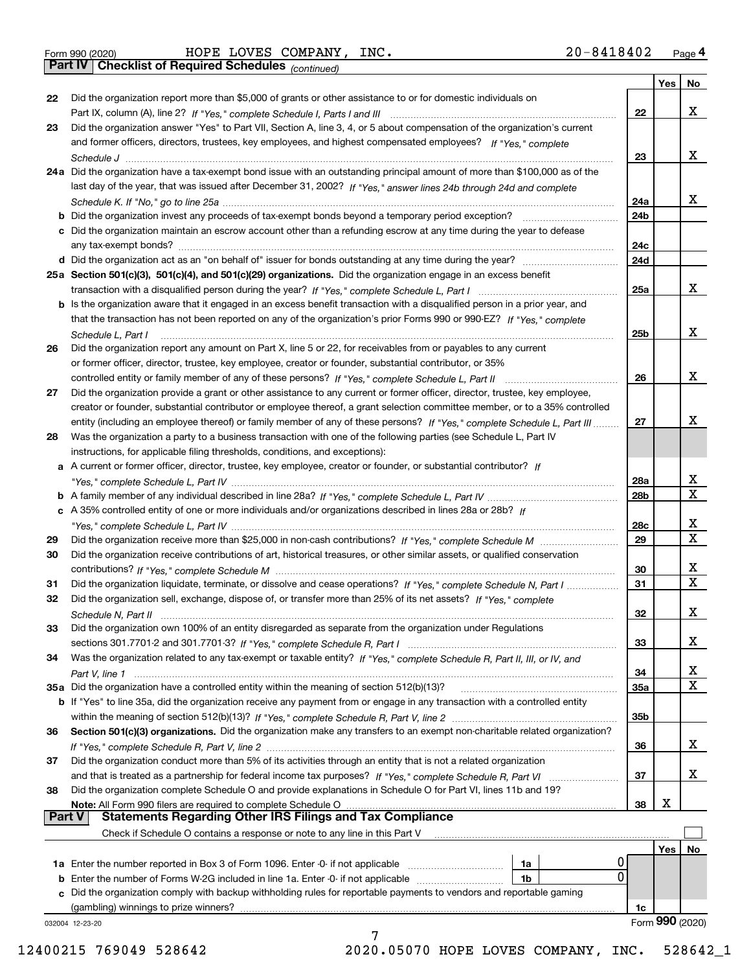**Part IV Checklist of Required Schedules**

*(continued)*

|               |                                                                                                                                    |            | Yes | No.                     |
|---------------|------------------------------------------------------------------------------------------------------------------------------------|------------|-----|-------------------------|
| 22            | Did the organization report more than \$5,000 of grants or other assistance to or for domestic individuals on                      |            |     |                         |
|               |                                                                                                                                    | 22         |     | X                       |
| 23            | Did the organization answer "Yes" to Part VII, Section A, line 3, 4, or 5 about compensation of the organization's current         |            |     |                         |
|               | and former officers, directors, trustees, key employees, and highest compensated employees? If "Yes," complete                     |            |     | X                       |
|               |                                                                                                                                    | 23         |     |                         |
|               | 24a Did the organization have a tax-exempt bond issue with an outstanding principal amount of more than \$100,000 as of the        |            |     |                         |
|               | last day of the year, that was issued after December 31, 2002? If "Yes," answer lines 24b through 24d and complete                 |            |     | x                       |
|               |                                                                                                                                    | 24a<br>24b |     |                         |
|               |                                                                                                                                    |            |     |                         |
|               | c Did the organization maintain an escrow account other than a refunding escrow at any time during the year to defease             | 24c        |     |                         |
|               | d Did the organization act as an "on behalf of" issuer for bonds outstanding at any time during the year?                          | 24d        |     |                         |
|               | 25a Section 501(c)(3), 501(c)(4), and 501(c)(29) organizations. Did the organization engage in an excess benefit                   |            |     |                         |
|               |                                                                                                                                    | 25a        |     | X                       |
|               | b Is the organization aware that it engaged in an excess benefit transaction with a disqualified person in a prior year, and       |            |     |                         |
|               | that the transaction has not been reported on any of the organization's prior Forms 990 or 990-EZ? If "Yes." complete              |            |     |                         |
|               | Schedule L, Part I                                                                                                                 | 25b        |     | X                       |
| 26            | Did the organization report any amount on Part X, line 5 or 22, for receivables from or payables to any current                    |            |     |                         |
|               | or former officer, director, trustee, key employee, creator or founder, substantial contributor, or 35%                            |            |     |                         |
|               |                                                                                                                                    | 26         |     | X                       |
| 27            | Did the organization provide a grant or other assistance to any current or former officer, director, trustee, key employee,        |            |     |                         |
|               | creator or founder, substantial contributor or employee thereof, a grant selection committee member, or to a 35% controlled        |            |     |                         |
|               | entity (including an employee thereof) or family member of any of these persons? If "Yes." complete Schedule L. Part III           | 27         |     | х                       |
| 28            | Was the organization a party to a business transaction with one of the following parties (see Schedule L, Part IV                  |            |     |                         |
|               | instructions, for applicable filing thresholds, conditions, and exceptions):                                                       |            |     |                         |
|               | a A current or former officer, director, trustee, key employee, creator or founder, or substantial contributor? If                 |            |     |                         |
|               |                                                                                                                                    | 28a        |     |                         |
|               |                                                                                                                                    | 28b        |     | $\frac{X}{X}$           |
|               | c A 35% controlled entity of one or more individuals and/or organizations described in lines 28a or 28b? If                        |            |     |                         |
|               |                                                                                                                                    | 28c        |     | x                       |
| 29            |                                                                                                                                    | 29         |     | $\overline{\mathbf{x}}$ |
| 30            | Did the organization receive contributions of art, historical treasures, or other similar assets, or qualified conservation        |            |     |                         |
|               |                                                                                                                                    | 30         |     | x                       |
| 31            | Did the organization liquidate, terminate, or dissolve and cease operations? If "Yes," complete Schedule N, Part I                 | 31         |     | $\overline{\text{x}}$   |
| 32            | Did the organization sell, exchange, dispose of, or transfer more than 25% of its net assets? If "Yes," complete                   |            |     |                         |
|               |                                                                                                                                    | 32         |     | X                       |
| 33            | Did the organization own 100% of an entity disregarded as separate from the organization under Regulations                         |            |     |                         |
|               |                                                                                                                                    | 33         |     | X                       |
| 34            | Was the organization related to any tax-exempt or taxable entity? If "Yes," complete Schedule R, Part II, III, or IV, and          |            |     |                         |
|               |                                                                                                                                    | 34         |     | $\overline{\mathbf{x}}$ |
|               |                                                                                                                                    | 35a        |     | $\overline{\text{x}}$   |
|               | <b>b</b> If "Yes" to line 35a, did the organization receive any payment from or engage in any transaction with a controlled entity |            |     |                         |
|               |                                                                                                                                    | 35b        |     |                         |
| 36            | Section 501(c)(3) organizations. Did the organization make any transfers to an exempt non-charitable related organization?         |            |     |                         |
|               |                                                                                                                                    | 36         |     | x                       |
| 37            | Did the organization conduct more than 5% of its activities through an entity that is not a related organization                   |            |     |                         |
|               | and that is treated as a partnership for federal income tax purposes? If "Yes," complete Schedule R, Part VI                       | 37         |     | x                       |
| 38            | Did the organization complete Schedule O and provide explanations in Schedule O for Part VI, lines 11b and 19?                     |            |     |                         |
|               | Note: All Form 990 filers are required to complete Schedule O                                                                      | 38         | x   |                         |
| <b>Part V</b> | <b>Statements Regarding Other IRS Filings and Tax Compliance</b>                                                                   |            |     |                         |
|               | Check if Schedule O contains a response or note to any line in this Part V                                                         |            |     |                         |
|               |                                                                                                                                    |            | Yes | No                      |
|               | U<br>1a Enter the number reported in Box 3 of Form 1096. Enter -0- if not applicable<br>1a                                         |            |     |                         |
|               | $\Omega$<br><b>b</b> Enter the number of Forms W-2G included in line 1a. Enter -0- if not applicable<br>1b                         |            |     |                         |
|               | Did the organization comply with backup withholding rules for reportable payments to vendors and reportable gaming                 |            |     |                         |
|               | (gambling) winnings to prize winners?                                                                                              | 1c         |     |                         |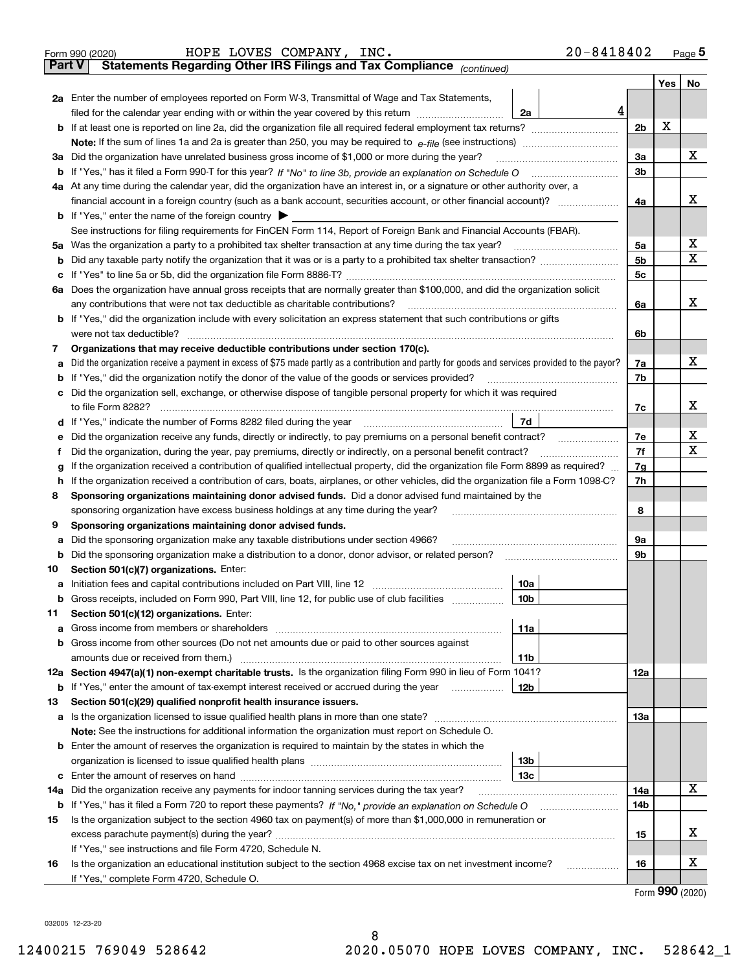| ∣ Part V | $20 - 8418402$<br>HOPE LOVES COMPANY, INC.<br>Form 990 (2020)<br>Statements Regarding Other IRS Filings and Tax Compliance (continued)                                                         |                |     | $Page$ <sup>5</sup> |  |  |  |  |  |
|----------|------------------------------------------------------------------------------------------------------------------------------------------------------------------------------------------------|----------------|-----|---------------------|--|--|--|--|--|
|          |                                                                                                                                                                                                |                | Yes | No                  |  |  |  |  |  |
|          | 2a Enter the number of employees reported on Form W-3, Transmittal of Wage and Tax Statements,<br>4<br>filed for the calendar year ending with or within the year covered by this return<br>2a |                |     |                     |  |  |  |  |  |
| b        | If at least one is reported on line 2a, did the organization file all required federal employment tax returns?                                                                                 | 2 <sub>b</sub> | х   |                     |  |  |  |  |  |
|          |                                                                                                                                                                                                |                |     |                     |  |  |  |  |  |
|          | 3a Did the organization have unrelated business gross income of \$1,000 or more during the year?                                                                                               | 3a             |     | x                   |  |  |  |  |  |
|          | b If "Yes," has it filed a Form 990-T for this year? If "No" to line 3b, provide an explanation on Schedule O                                                                                  | 3 <sub>b</sub> |     |                     |  |  |  |  |  |
|          | 4a At any time during the calendar year, did the organization have an interest in, or a signature or other authority over, a                                                                   |                |     |                     |  |  |  |  |  |
|          |                                                                                                                                                                                                | 4a             |     | x                   |  |  |  |  |  |
|          | <b>b</b> If "Yes," enter the name of the foreign country $\triangleright$                                                                                                                      |                |     |                     |  |  |  |  |  |
|          | See instructions for filing requirements for FinCEN Form 114, Report of Foreign Bank and Financial Accounts (FBAR).                                                                            |                |     |                     |  |  |  |  |  |
|          | 5a Was the organization a party to a prohibited tax shelter transaction at any time during the tax year?                                                                                       | 5a             |     | x                   |  |  |  |  |  |
| b        |                                                                                                                                                                                                | 5 <sub>b</sub> |     | $\mathbf X$         |  |  |  |  |  |
| c        |                                                                                                                                                                                                | 5c             |     |                     |  |  |  |  |  |
|          | 6a Does the organization have annual gross receipts that are normally greater than \$100,000, and did the organization solicit                                                                 |                |     |                     |  |  |  |  |  |
|          | any contributions that were not tax deductible as charitable contributions?                                                                                                                    | 6a             |     | x                   |  |  |  |  |  |
|          | <b>b</b> If "Yes," did the organization include with every solicitation an express statement that such contributions or gifts                                                                  |                |     |                     |  |  |  |  |  |
|          | were not tax deductible?                                                                                                                                                                       | 6b             |     |                     |  |  |  |  |  |
| 7        | Organizations that may receive deductible contributions under section 170(c).                                                                                                                  |                |     |                     |  |  |  |  |  |
| а        | Did the organization receive a payment in excess of \$75 made partly as a contribution and partly for goods and services provided to the payor?                                                | 7a             |     | x                   |  |  |  |  |  |
| b        | If "Yes," did the organization notify the donor of the value of the goods or services provided?                                                                                                | 7b             |     |                     |  |  |  |  |  |
| c        | Did the organization sell, exchange, or otherwise dispose of tangible personal property for which it was required                                                                              |                |     |                     |  |  |  |  |  |
|          | to file Form 8282?                                                                                                                                                                             | 7c             |     | x                   |  |  |  |  |  |
|          | 7d<br>d If "Yes," indicate the number of Forms 8282 filed during the year                                                                                                                      |                |     |                     |  |  |  |  |  |
| е        | Did the organization receive any funds, directly or indirectly, to pay premiums on a personal benefit contract?                                                                                | 7e             |     | х                   |  |  |  |  |  |
| Ť        | Did the organization, during the year, pay premiums, directly or indirectly, on a personal benefit contract?                                                                                   | 7f<br>7g       |     | $\mathbf X$         |  |  |  |  |  |
| g        | If the organization received a contribution of qualified intellectual property, did the organization file Form 8899 as required?                                                               |                |     |                     |  |  |  |  |  |
| h.       | If the organization received a contribution of cars, boats, airplanes, or other vehicles, did the organization file a Form 1098-C?                                                             | 7h             |     |                     |  |  |  |  |  |
| 8        | Sponsoring organizations maintaining donor advised funds. Did a donor advised fund maintained by the                                                                                           |                |     |                     |  |  |  |  |  |
|          | sponsoring organization have excess business holdings at any time during the year?                                                                                                             | 8              |     |                     |  |  |  |  |  |
| 9        | Sponsoring organizations maintaining donor advised funds.                                                                                                                                      |                |     |                     |  |  |  |  |  |
| а        | Did the sponsoring organization make any taxable distributions under section 4966?                                                                                                             | 9а             |     |                     |  |  |  |  |  |
| b        | Did the sponsoring organization make a distribution to a donor, donor advisor, or related person?                                                                                              | 9b             |     |                     |  |  |  |  |  |
| 10       | Section 501(c)(7) organizations. Enter:                                                                                                                                                        |                |     |                     |  |  |  |  |  |
|          | 10a<br>a Initiation fees and capital contributions included on Part VIII, line 12                                                                                                              |                |     |                     |  |  |  |  |  |
|          | b Gross receipts, included on Form 990, Part VIII, line 12, for public use of club facilities<br>10 <sub>b</sub>                                                                               |                |     |                     |  |  |  |  |  |
| 11       | Section 501(c)(12) organizations. Enter:                                                                                                                                                       |                |     |                     |  |  |  |  |  |
| а        | 11a                                                                                                                                                                                            |                |     |                     |  |  |  |  |  |
| b        | Gross income from other sources (Do not net amounts due or paid to other sources against                                                                                                       |                |     |                     |  |  |  |  |  |
|          | 11b                                                                                                                                                                                            |                |     |                     |  |  |  |  |  |
|          | 12a Section 4947(a)(1) non-exempt charitable trusts. Is the organization filing Form 990 in lieu of Form 1041?                                                                                 | 12a            |     |                     |  |  |  |  |  |
| b        | If "Yes," enter the amount of tax-exempt interest received or accrued during the year<br>12b                                                                                                   |                |     |                     |  |  |  |  |  |
| 13       | Section 501(c)(29) qualified nonprofit health insurance issuers.                                                                                                                               |                |     |                     |  |  |  |  |  |
| а        | Is the organization licensed to issue qualified health plans in more than one state?                                                                                                           | <b>13a</b>     |     |                     |  |  |  |  |  |
|          | Note: See the instructions for additional information the organization must report on Schedule O.                                                                                              |                |     |                     |  |  |  |  |  |
| b        | Enter the amount of reserves the organization is required to maintain by the states in which the                                                                                               |                |     |                     |  |  |  |  |  |
|          | 13b                                                                                                                                                                                            |                |     |                     |  |  |  |  |  |
| c        | 13с                                                                                                                                                                                            |                |     | x                   |  |  |  |  |  |
| 14a      | Did the organization receive any payments for indoor tanning services during the tax year?                                                                                                     | 14a            |     |                     |  |  |  |  |  |
| b        |                                                                                                                                                                                                | 14b            |     |                     |  |  |  |  |  |
| 15       | Is the organization subject to the section 4960 tax on payment(s) of more than \$1,000,000 in remuneration or                                                                                  |                |     | х                   |  |  |  |  |  |
|          |                                                                                                                                                                                                | 15             |     |                     |  |  |  |  |  |
|          | If "Yes," see instructions and file Form 4720, Schedule N.                                                                                                                                     |                |     | х                   |  |  |  |  |  |
| 16       | Is the organization an educational institution subject to the section 4968 excise tax on net investment income?<br>.<br>If "Yes," complete Form 4720, Schedule O.                              | 16             |     |                     |  |  |  |  |  |
|          |                                                                                                                                                                                                |                |     |                     |  |  |  |  |  |

Form (2020) **990**

032005 12‐23‐20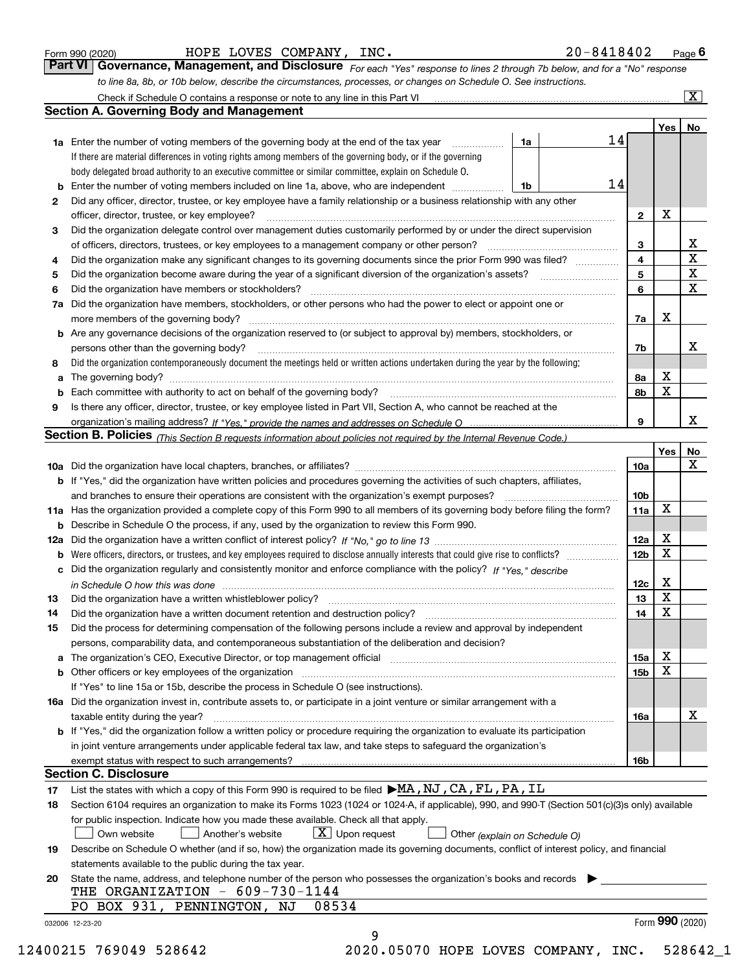|  | Form 990 (2020) |
|--|-----------------|
|  |                 |

| Form 990 (2020) | HOPE LOVES COMPANY,<br>INC. | $20 - 8418402$<br>Page |
|-----------------|-----------------------------|------------------------|
|-----------------|-----------------------------|------------------------|

|                                                                                                                  | Part VI Governance, Management, and Disclosure For each "Yes" response to lines 2 through 7b below, and for a "No" response |
|------------------------------------------------------------------------------------------------------------------|-----------------------------------------------------------------------------------------------------------------------------|
| to line 8a, 8b, or 10b below, describe the circumstances, processes, or changes on Schedule O. See instructions. |                                                                                                                             |

|    |                                                                                                                                                                                                                                |    |  |    |                 |             | $\overline{\mathbf{x}}$ |
|----|--------------------------------------------------------------------------------------------------------------------------------------------------------------------------------------------------------------------------------|----|--|----|-----------------|-------------|-------------------------|
|    | <b>Section A. Governing Body and Management</b>                                                                                                                                                                                |    |  |    |                 |             |                         |
|    |                                                                                                                                                                                                                                |    |  |    |                 | Yes         | No                      |
|    | <b>1a</b> Enter the number of voting members of the governing body at the end of the tax year                                                                                                                                  | 1a |  | 14 |                 |             |                         |
|    | If there are material differences in voting rights among members of the governing body, or if the governing                                                                                                                    |    |  |    |                 |             |                         |
|    | body delegated broad authority to an executive committee or similar committee, explain on Schedule O.                                                                                                                          |    |  |    |                 |             |                         |
| b  | Enter the number of voting members included on line 1a, above, who are independent                                                                                                                                             | 1b |  | 14 |                 |             |                         |
| 2  | Did any officer, director, trustee, or key employee have a family relationship or a business relationship with any other                                                                                                       |    |  |    |                 |             |                         |
|    | officer, director, trustee, or key employee?                                                                                                                                                                                   |    |  |    | $\mathbf{2}$    | X           |                         |
| 3  | Did the organization delegate control over management duties customarily performed by or under the direct supervision                                                                                                          |    |  |    |                 |             |                         |
|    | of officers, directors, trustees, or key employees to a management company or other person?                                                                                                                                    |    |  |    | З               |             | X                       |
| 4  | Did the organization make any significant changes to its governing documents since the prior Form 990 was filed?                                                                                                               |    |  |    | 4               |             | X                       |
| 5  | Did the organization become aware during the year of a significant diversion of the organization's assets?                                                                                                                     |    |  |    | 5               |             | $\mathbf x$             |
| 6  | Did the organization have members or stockholders?                                                                                                                                                                             |    |  |    | 6               |             | X                       |
|    | 7a Did the organization have members, stockholders, or other persons who had the power to elect or appoint one or                                                                                                              |    |  |    |                 |             |                         |
|    | more members of the governing body?                                                                                                                                                                                            |    |  |    | 7a              | X           |                         |
|    | <b>b</b> Are any governance decisions of the organization reserved to (or subject to approval by) members, stockholders, or                                                                                                    |    |  |    |                 |             |                         |
|    | persons other than the governing body?                                                                                                                                                                                         |    |  |    | 7b              |             | x                       |
| 8  | Did the organization contemporaneously document the meetings held or written actions undertaken during the year by the following:                                                                                              |    |  |    |                 |             |                         |
| a  |                                                                                                                                                                                                                                |    |  |    | 8а              | X           |                         |
| b  | Each committee with authority to act on behalf of the governing body?                                                                                                                                                          |    |  |    | 8b              | $\mathbf X$ |                         |
| 9  | Is there any officer, director, trustee, or key employee listed in Part VII, Section A, who cannot be reached at the                                                                                                           |    |  |    |                 |             |                         |
|    |                                                                                                                                                                                                                                |    |  |    | 9               |             | x                       |
|    | <b>Section B. Policies</b> (This Section B requests information about policies not required by the Internal Revenue Code.)                                                                                                     |    |  |    |                 |             |                         |
|    |                                                                                                                                                                                                                                |    |  |    |                 | Yes         | No                      |
|    |                                                                                                                                                                                                                                |    |  |    | 10a             |             | x                       |
|    | <b>b</b> If "Yes," did the organization have written policies and procedures governing the activities of such chapters, affiliates,                                                                                            |    |  |    |                 |             |                         |
|    | and branches to ensure their operations are consistent with the organization's exempt purposes?                                                                                                                                |    |  |    | 10 <sub>b</sub> |             |                         |
|    | 11a Has the organization provided a complete copy of this Form 990 to all members of its governing body before filing the form?                                                                                                |    |  |    | 11a             | X           |                         |
|    | <b>b</b> Describe in Schedule O the process, if any, used by the organization to review this Form 990.                                                                                                                         |    |  |    | 12a             | X           |                         |
|    |                                                                                                                                                                                                                                |    |  |    |                 |             |                         |
|    | <b>b</b> Were officers, directors, or trustees, and key employees required to disclose annually interests that could give rise to conflicts?                                                                                   |    |  |    | 12b             | $\mathbf X$ |                         |
| c  | Did the organization regularly and consistently monitor and enforce compliance with the policy? If "Yes," describe                                                                                                             |    |  |    |                 | X           |                         |
|    | in Schedule O how this was done www.communication.com/www.communications.com/www.communications.com                                                                                                                            |    |  |    | 12c             | X           |                         |
| 13 | Did the organization have a written whistleblower policy?                                                                                                                                                                      |    |  |    | 13<br>14        | X           |                         |
| 14 | Did the organization have a written document retention and destruction policy?                                                                                                                                                 |    |  |    |                 |             |                         |
| 15 | Did the process for determining compensation of the following persons include a review and approval by independent<br>persons, comparability data, and contemporaneous substantiation of the deliberation and decision?        |    |  |    |                 |             |                         |
|    | The organization's CEO, Executive Director, or top management official manufactured content content of the organization's CEO, Executive Director, or top management official manufactured content of the original manufacture |    |  |    | 15a             | X           |                         |
| a  | <b>b</b> Other officers or key employees of the organization                                                                                                                                                                   |    |  |    | 15 <sub>b</sub> | X           |                         |
|    | If "Yes" to line 15a or 15b, describe the process in Schedule O (see instructions).                                                                                                                                            |    |  |    |                 |             |                         |
|    | 16a Did the organization invest in, contribute assets to, or participate in a joint venture or similar arrangement with a                                                                                                      |    |  |    |                 |             |                         |
|    | taxable entity during the year?                                                                                                                                                                                                |    |  |    | 16a             |             | х                       |
|    | <b>b</b> If "Yes," did the organization follow a written policy or procedure requiring the organization to evaluate its participation                                                                                          |    |  |    |                 |             |                         |
|    | in joint venture arrangements under applicable federal tax law, and take steps to safeguard the organization's                                                                                                                 |    |  |    |                 |             |                         |
|    | exempt status with respect to such arrangements?                                                                                                                                                                               |    |  |    | 16b             |             |                         |
|    | <b>Section C. Disclosure</b>                                                                                                                                                                                                   |    |  |    |                 |             |                         |
| 17 | List the states with which a copy of this Form 990 is required to be filed MA, NJ, CA, FL, PA, IL                                                                                                                              |    |  |    |                 |             |                         |
| 18 | Section 6104 requires an organization to make its Forms 1023 (1024 or 1024-A, if applicable), 990, and 990-T (Section 501(c)(3)s only) available                                                                               |    |  |    |                 |             |                         |
|    | for public inspection. Indicate how you made these available. Check all that apply.                                                                                                                                            |    |  |    |                 |             |                         |
|    | $X$ Upon request<br>Own website<br>Another's website<br>Other (explain on Schedule O)                                                                                                                                          |    |  |    |                 |             |                         |
| 19 | Describe on Schedule O whether (and if so, how) the organization made its governing documents, conflict of interest policy, and financial                                                                                      |    |  |    |                 |             |                         |
|    | statements available to the public during the tax year.                                                                                                                                                                        |    |  |    |                 |             |                         |
| 20 | State the name, address, and telephone number of the person who possesses the organization's books and records<br>THE ORGANIZATION - $609-730-1144$                                                                            |    |  |    |                 |             |                         |
|    | PO BOX 931, PENNINGTON, NJ<br>08534                                                                                                                                                                                            |    |  |    |                 |             |                         |
|    | 032006 12-23-20                                                                                                                                                                                                                |    |  |    |                 |             | Form 990 (2020)         |
|    | 9                                                                                                                                                                                                                              |    |  |    |                 |             |                         |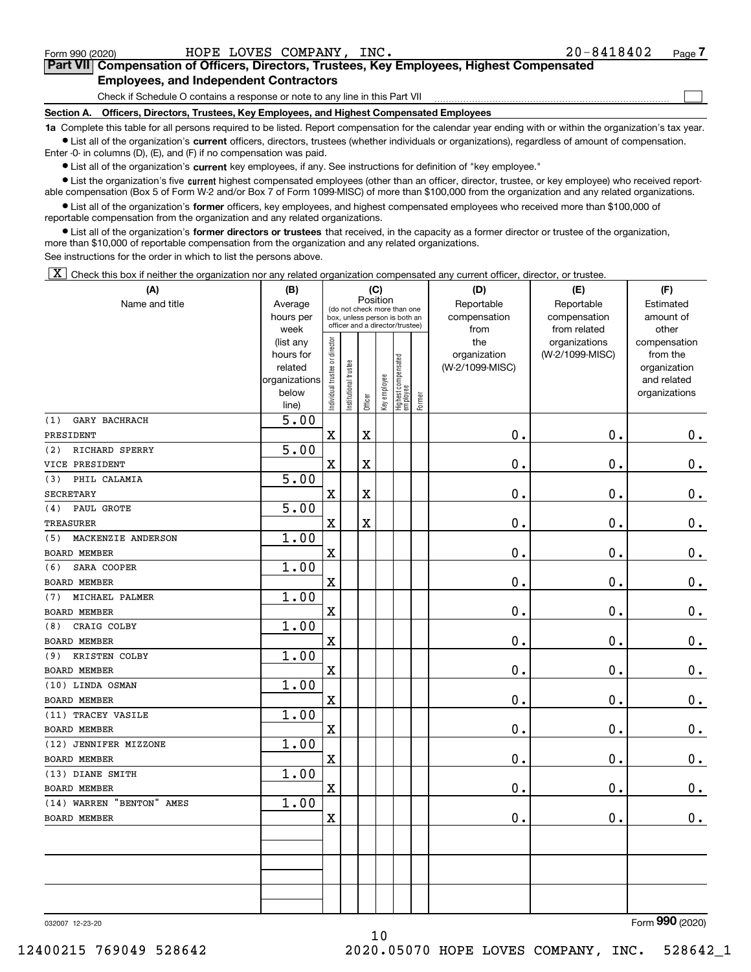$\begin{array}{c} \hline \end{array}$ 

|  | Part VII Compensation of Officers, Directors, Trustees, Key Employees, Highest Compensated |  |  |  |
|--|--------------------------------------------------------------------------------------------|--|--|--|
|  | <b>Employees, and Independent Contractors</b>                                              |  |  |  |

Check if Schedule O contains a response or note to any line in this Part VII

**Section A. Officers, Directors, Trustees, Key Employees, and Highest Compensated Employees**

**1a**  Complete this table for all persons required to be listed. Report compensation for the calendar year ending with or within the organization's tax year.  $\bullet$  List all of the organization's current officers, directors, trustees (whether individuals or organizations), regardless of amount of compensation.

Enter ‐0‐ in columns (D), (E), and (F) if no compensation was paid.

**•** List all of the organization's current key employees, if any. See instructions for definition of "key employee."

● List the organization's five current highest compensated employees (other than an officer, director, trustee, or key employee) who received report‐ able compensation (Box 5 of Form W‐2 and/or Box 7 of Form 1099‐MISC) of more than \$100,000 from the organization and any related organizations.

 $\bullet$  List all of the organization's former officers, key employees, and highest compensated employees who received more than \$100,000 of reportable compensation from the organization and any related organizations.

**•** List all of the organization's former directors or trustees that received, in the capacity as a former director or trustee of the organization, more than \$10,000 of reportable compensation from the organization and any related organizations.

See instructions for the order in which to list the persons above.

[X] Check this box if neither the organization nor any related organization compensated any current officer, director, or trustee.

| (A)                       | (B)                    |                                         |                                                                  |                         | (C)          |                                 |        | (D)                             | (E)             | (F)                      |
|---------------------------|------------------------|-----------------------------------------|------------------------------------------------------------------|-------------------------|--------------|---------------------------------|--------|---------------------------------|-----------------|--------------------------|
| Name and title            | Average                | Position<br>(do not check more than one |                                                                  |                         |              |                                 |        | Reportable                      | Reportable      | Estimated                |
|                           | hours per              |                                         | box, unless person is both an<br>officer and a director/trustee) |                         |              |                                 |        | compensation                    | compensation    | amount of                |
|                           | week                   |                                         |                                                                  |                         |              |                                 |        | from                            | from related    | other                    |
|                           | (list any<br>hours for |                                         |                                                                  |                         |              |                                 |        | the                             | organizations   | compensation<br>from the |
|                           | related                |                                         |                                                                  |                         |              |                                 |        | organization<br>(W-2/1099-MISC) | (W-2/1099-MISC) | organization             |
|                           | organizations          |                                         |                                                                  |                         |              |                                 |        |                                 |                 | and related              |
|                           | below                  |                                         |                                                                  |                         |              |                                 |        |                                 |                 | organizations            |
|                           | line)                  | Individual trustee or director          | In stitutional trustee                                           | Officer                 | Key employee | Highest compensated<br>employee | Former |                                 |                 |                          |
| GARY BACHRACH<br>(1)      | 5.00                   |                                         |                                                                  |                         |              |                                 |        |                                 |                 |                          |
| PRESIDENT                 |                        | $\mathbf x$                             |                                                                  | $\mathbf X$             |              |                                 |        | 0.                              | 0.              | $0_{.}$                  |
| RICHARD SPERRY<br>(2)     | 5.00                   |                                         |                                                                  |                         |              |                                 |        |                                 |                 |                          |
| VICE PRESIDENT            |                        | $\mathbf X$                             |                                                                  | $\overline{\textbf{X}}$ |              |                                 |        | 0.                              | 0.              | $\mathbf 0$ .            |
| PHIL CALAMIA<br>(3)       | 5.00                   |                                         |                                                                  |                         |              |                                 |        |                                 |                 |                          |
| <b>SECRETARY</b>          |                        | $\mathbf X$                             |                                                                  | $\mathbf X$             |              |                                 |        | 0.                              | $\mathbf 0$ .   | $0_{.}$                  |
| PAUL GROTE<br>(4)         | 5.00                   |                                         |                                                                  |                         |              |                                 |        |                                 |                 |                          |
| <b>TREASURER</b>          |                        | $\mathbf X$                             |                                                                  | $\overline{\textbf{X}}$ |              |                                 |        | 0.                              | 0.              | $\mathbf 0$ .            |
| MACKENZIE ANDERSON<br>(5) | 1.00                   |                                         |                                                                  |                         |              |                                 |        |                                 |                 |                          |
| <b>BOARD MEMBER</b>       |                        | $\mathbf X$                             |                                                                  |                         |              |                                 |        | 0.                              | 0.              | 0.                       |
| SARA COOPER<br>(6)        | 1.00                   |                                         |                                                                  |                         |              |                                 |        |                                 |                 |                          |
| <b>BOARD MEMBER</b>       |                        | $\mathbf X$                             |                                                                  |                         |              |                                 |        | 0.                              | 0.              | $\mathbf 0$ .            |
| MICHAEL PALMER<br>(7)     | 1.00                   |                                         |                                                                  |                         |              |                                 |        |                                 |                 |                          |
| <b>BOARD MEMBER</b>       |                        | $\mathbf X$                             |                                                                  |                         |              |                                 |        | 0.                              | $\mathbf 0$ .   | $\mathbf 0$ .            |
| CRAIG COLBY<br>(8)        | 1.00                   |                                         |                                                                  |                         |              |                                 |        |                                 |                 |                          |
| BOARD MEMBER              |                        | $\overline{\textbf{X}}$                 |                                                                  |                         |              |                                 |        | 0.                              | 0.              | $\mathbf 0$ .            |
| (9) KRISTEN COLBY         | 1.00                   |                                         |                                                                  |                         |              |                                 |        |                                 |                 |                          |
| <b>BOARD MEMBER</b>       |                        | $\mathbf X$                             |                                                                  |                         |              |                                 |        | 0.                              | 0.              | 0.                       |
| (10) LINDA OSMAN          | 1.00                   |                                         |                                                                  |                         |              |                                 |        |                                 |                 |                          |
| <b>BOARD MEMBER</b>       |                        | $\mathbf X$                             |                                                                  |                         |              |                                 |        | 0.                              | 0.              | $0_{.}$                  |
| (11) TRACEY VASILE        | 1.00                   |                                         |                                                                  |                         |              |                                 |        |                                 |                 |                          |
| <b>BOARD MEMBER</b>       |                        | $\mathbf X$                             |                                                                  |                         |              |                                 |        | 0.                              | $\mathbf 0$ .   | $0_{.}$                  |
| (12) JENNIFER MIZZONE     | 1.00                   |                                         |                                                                  |                         |              |                                 |        |                                 |                 |                          |
| <b>BOARD MEMBER</b>       |                        | $\overline{\textbf{X}}$                 |                                                                  |                         |              |                                 |        | 0.                              | 0.              | $\mathbf 0$ .            |
| (13) DIANE SMITH          | 1.00                   |                                         |                                                                  |                         |              |                                 |        |                                 |                 |                          |
| BOARD MEMBER              |                        | $\mathbf X$                             |                                                                  |                         |              |                                 |        | 0.                              | 0.              | $\mathbf 0$ .            |
| (14) WARREN "BENTON" AMES | 1.00                   |                                         |                                                                  |                         |              |                                 |        |                                 |                 |                          |
| <b>BOARD MEMBER</b>       |                        | $\mathbf X$                             |                                                                  |                         |              |                                 |        | 0.                              | 0.              | $\mathbf 0$ .            |
|                           |                        |                                         |                                                                  |                         |              |                                 |        |                                 |                 |                          |
|                           |                        |                                         |                                                                  |                         |              |                                 |        |                                 |                 |                          |
|                           |                        |                                         |                                                                  |                         |              |                                 |        |                                 |                 |                          |
|                           |                        |                                         |                                                                  |                         |              |                                 |        |                                 |                 |                          |
|                           |                        |                                         |                                                                  |                         |              |                                 |        |                                 |                 |                          |
|                           |                        |                                         |                                                                  |                         |              |                                 |        |                                 |                 |                          |

10

032007 12‐23‐20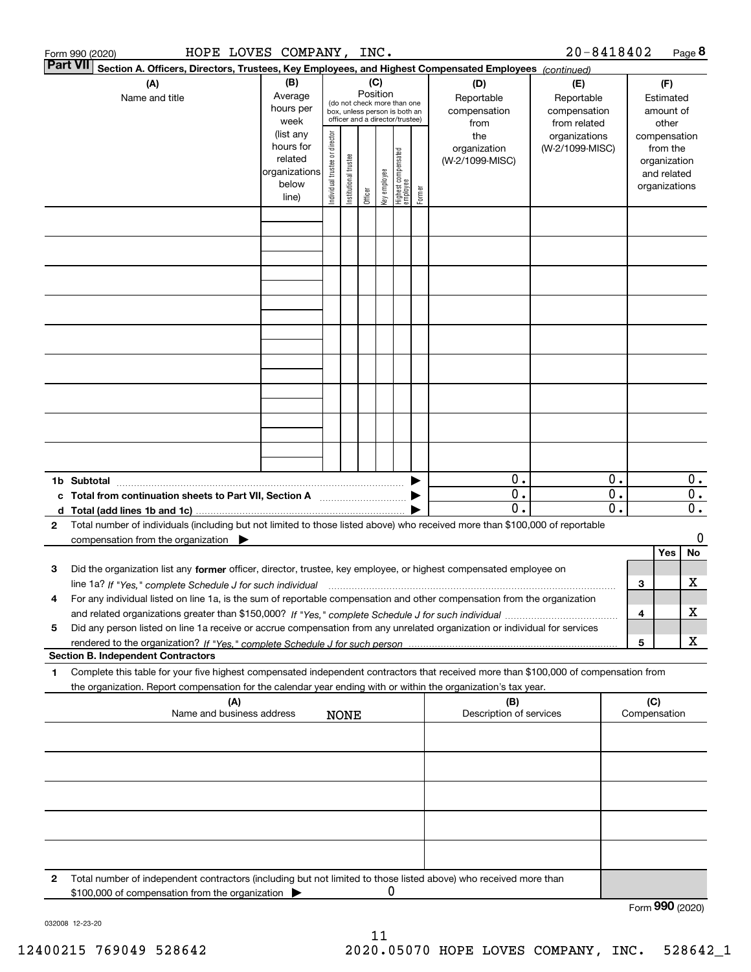|              | HOPE LOVES COMPANY, INC.<br>Form 990 (2020)                                                                                                                                                                                                                         |                                                                              |                                |                       |                                                                                                                    |              |                                   |        |                                                | $20 - 8418402$                                   |                        |        |                                                                                   | Page 8                         |
|--------------|---------------------------------------------------------------------------------------------------------------------------------------------------------------------------------------------------------------------------------------------------------------------|------------------------------------------------------------------------------|--------------------------------|-----------------------|--------------------------------------------------------------------------------------------------------------------|--------------|-----------------------------------|--------|------------------------------------------------|--------------------------------------------------|------------------------|--------|-----------------------------------------------------------------------------------|--------------------------------|
|              | <b>Part VII</b><br>Section A. Officers, Directors, Trustees, Key Employees, and Highest Compensated Employees (continued)<br>(A)<br>Name and title                                                                                                                  | (B)<br>Average<br>hours per                                                  |                                |                       | (C)<br>Position<br>(do not check more than one<br>box, unless person is both an<br>officer and a director/trustee) |              |                                   |        | (D)<br>Reportable<br>compensation              | (E)<br>Reportable<br>compensation                |                        |        | (F)<br>Estimated<br>amount of                                                     |                                |
|              |                                                                                                                                                                                                                                                                     | week<br>(list any<br>hours for<br>related<br>organizations<br>below<br>line) | Individual trustee or director | Institutional trustee | Officer                                                                                                            | key employee | Highest compensated<br>  employee | Former | from<br>the<br>organization<br>(W-2/1099-MISC) | from related<br>organizations<br>(W-2/1099-MISC) |                        |        | other<br>compensation<br>from the<br>organization<br>and related<br>organizations |                                |
|              |                                                                                                                                                                                                                                                                     |                                                                              |                                |                       |                                                                                                                    |              |                                   |        |                                                |                                                  |                        |        |                                                                                   |                                |
|              |                                                                                                                                                                                                                                                                     |                                                                              |                                |                       |                                                                                                                    |              |                                   |        |                                                |                                                  |                        |        |                                                                                   |                                |
|              |                                                                                                                                                                                                                                                                     |                                                                              |                                |                       |                                                                                                                    |              |                                   |        |                                                |                                                  |                        |        |                                                                                   |                                |
|              |                                                                                                                                                                                                                                                                     |                                                                              |                                |                       |                                                                                                                    |              |                                   |        |                                                |                                                  |                        |        |                                                                                   |                                |
|              |                                                                                                                                                                                                                                                                     |                                                                              |                                |                       |                                                                                                                    |              |                                   |        |                                                |                                                  |                        |        |                                                                                   |                                |
|              |                                                                                                                                                                                                                                                                     |                                                                              |                                |                       |                                                                                                                    |              |                                   |        |                                                |                                                  |                        |        |                                                                                   |                                |
|              |                                                                                                                                                                                                                                                                     |                                                                              |                                |                       |                                                                                                                    |              |                                   |        |                                                |                                                  |                        |        |                                                                                   |                                |
|              | 1b Subtotal<br>c Total from continuation sheets to Part VII, Section A                                                                                                                                                                                              |                                                                              |                                |                       |                                                                                                                    |              |                                   |        | 0.<br>$\overline{0}$ .                         |                                                  | 0.<br>$\overline{0}$ . |        |                                                                                   | $0$ .<br>$\overline{0}$ .      |
| $\mathbf{2}$ | Total number of individuals (including but not limited to those listed above) who received more than \$100,000 of reportable<br>compensation from the organization $\blacktriangleright$                                                                            |                                                                              |                                |                       |                                                                                                                    |              |                                   |        | $\overline{0}$ .                               |                                                  | $\overline{0}$ .       |        |                                                                                   | $\overline{\mathbf{0}}$ .<br>0 |
| з            | Did the organization list any former officer, director, trustee, key employee, or highest compensated employee on                                                                                                                                                   |                                                                              |                                |                       |                                                                                                                    |              |                                   |        |                                                |                                                  |                        |        | Yes                                                                               | No                             |
| 4            | line 1a? If "Yes," complete Schedule J for such individual manufactured contained and the Yes," complete Schedule J for such individual<br>For any individual listed on line 1a, is the sum of reportable compensation and other compensation from the organization |                                                                              |                                |                       |                                                                                                                    |              |                                   |        |                                                |                                                  |                        | 3      |                                                                                   | х                              |
| 5            | Did any person listed on line 1a receive or accrue compensation from any unrelated organization or individual for services                                                                                                                                          |                                                                              |                                |                       |                                                                                                                    |              |                                   |        |                                                |                                                  |                        | 4<br>5 |                                                                                   | х<br>X                         |
| 1            | <b>Section B. Independent Contractors</b><br>Complete this table for your five highest compensated independent contractors that received more than \$100,000 of compensation from                                                                                   |                                                                              |                                |                       |                                                                                                                    |              |                                   |        |                                                |                                                  |                        |        |                                                                                   |                                |
|              | the organization. Report compensation for the calendar year ending with or within the organization's tax year.<br>(A)<br>Name and business address                                                                                                                  |                                                                              |                                |                       |                                                                                                                    |              |                                   |        | (B)<br>Description of services                 |                                                  |                        | (C)    | Compensation                                                                      |                                |
|              |                                                                                                                                                                                                                                                                     |                                                                              |                                | <b>NONE</b>           |                                                                                                                    |              |                                   |        |                                                |                                                  |                        |        |                                                                                   |                                |
|              |                                                                                                                                                                                                                                                                     |                                                                              |                                |                       |                                                                                                                    |              |                                   |        |                                                |                                                  |                        |        |                                                                                   |                                |
|              |                                                                                                                                                                                                                                                                     |                                                                              |                                |                       |                                                                                                                    |              |                                   |        |                                                |                                                  |                        |        |                                                                                   |                                |
|              |                                                                                                                                                                                                                                                                     |                                                                              |                                |                       |                                                                                                                    |              |                                   |        |                                                |                                                  |                        |        |                                                                                   |                                |
| 2            | Total number of independent contractors (including but not limited to those listed above) who received more than<br>\$100,000 of compensation from the organization                                                                                                 |                                                                              |                                |                       |                                                                                                                    | 0            |                                   |        |                                                |                                                  |                        |        |                                                                                   |                                |
|              |                                                                                                                                                                                                                                                                     |                                                                              |                                |                       |                                                                                                                    |              |                                   |        |                                                |                                                  |                        |        | Form 990 (2020)                                                                   |                                |

032008 12‐23‐20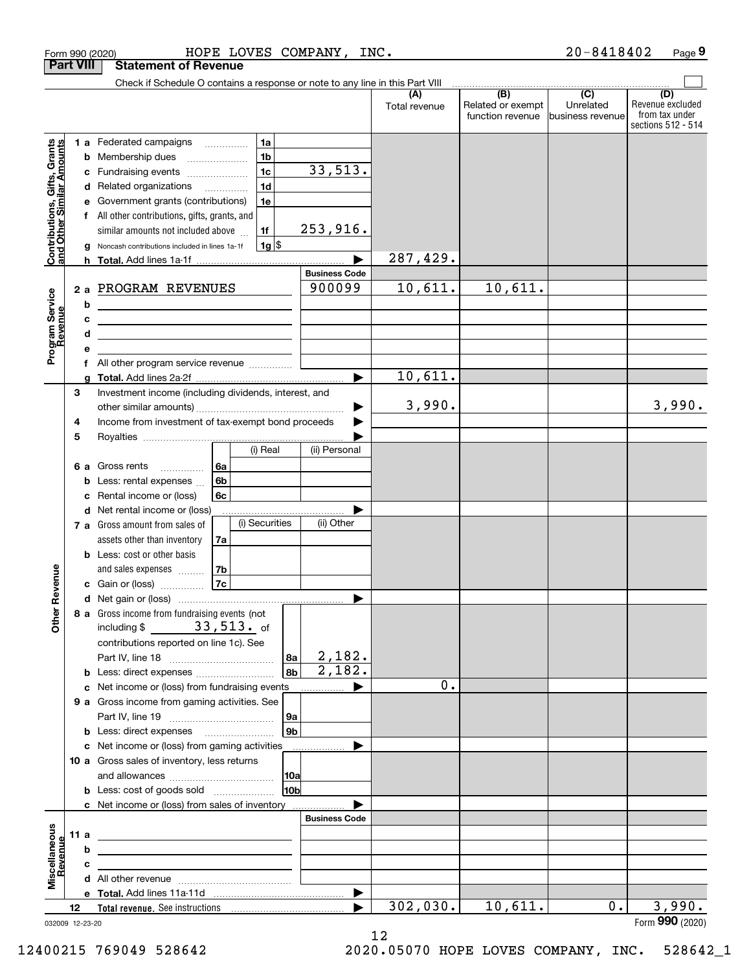|                                                           |        |        | HOPE LOVES COMPANY, INC.<br>Form 990 (2020)                                                                           |                 |                                |                      |                                                                    | $20 - 8418402$                                     | Page 9                                                          |
|-----------------------------------------------------------|--------|--------|-----------------------------------------------------------------------------------------------------------------------|-----------------|--------------------------------|----------------------|--------------------------------------------------------------------|----------------------------------------------------|-----------------------------------------------------------------|
| <b>Part VIII</b>                                          |        |        | <b>Statement of Revenue</b>                                                                                           |                 |                                |                      |                                                                    |                                                    |                                                                 |
|                                                           |        |        | Check if Schedule O contains a response or note to any line in this Part VIII                                         |                 |                                |                      |                                                                    |                                                    |                                                                 |
|                                                           |        |        |                                                                                                                       |                 |                                | (A)<br>Total revenue | $\overline{(\mathsf{B})}$<br>Related or exempt<br>function revenue | $\overline{(C)}$<br>Unrelated<br>Ibusiness revenue | (D)<br>Revenue excluded<br>from tax under<br>sections 512 - 514 |
|                                                           |        |        | 1a<br>1 a Federated campaigns                                                                                         |                 |                                |                      |                                                                    |                                                    |                                                                 |
| Contributions, Gifts, Grants<br>and Other Similar Amounts |        |        | 1 <sub>b</sub><br><b>b</b> Membership dues <i></i>                                                                    |                 |                                |                      |                                                                    |                                                    |                                                                 |
|                                                           |        |        | 1 <sub>c</sub><br>c Fundraising events                                                                                |                 | 33,513.                        |                      |                                                                    |                                                    |                                                                 |
|                                                           |        |        | 1 <sub>d</sub><br>d Related organizations                                                                             |                 |                                |                      |                                                                    |                                                    |                                                                 |
|                                                           |        |        | 1e<br>Government grants (contributions)                                                                               |                 |                                |                      |                                                                    |                                                    |                                                                 |
|                                                           |        |        | f All other contributions, gifts, grants, and                                                                         |                 |                                |                      |                                                                    |                                                    |                                                                 |
|                                                           |        |        | 1f<br>similar amounts not included above                                                                              |                 | 253,916.                       |                      |                                                                    |                                                    |                                                                 |
|                                                           |        | g      | $1g$ \$<br>Noncash contributions included in lines 1a-1f                                                              |                 |                                |                      |                                                                    |                                                    |                                                                 |
|                                                           |        |        |                                                                                                                       |                 |                                | 287,429.             |                                                                    |                                                    |                                                                 |
|                                                           |        |        |                                                                                                                       |                 | <b>Business Code</b><br>900099 | 10,611.              | 10,611.                                                            |                                                    |                                                                 |
|                                                           |        |        | 2 a PROGRAM REVENUES                                                                                                  |                 |                                |                      |                                                                    |                                                    |                                                                 |
|                                                           |        | b<br>c | <u> 1989 - Johann Barbara, martin amerikan basar dan berasal dalam basar dalam basar dalam basar dalam basar dala</u> |                 |                                |                      |                                                                    |                                                    |                                                                 |
|                                                           |        | d      | <u> 1980 - Jan Barbara (j. 1980)</u>                                                                                  |                 |                                |                      |                                                                    |                                                    |                                                                 |
| Program Service<br>Revenue                                |        |        |                                                                                                                       |                 |                                |                      |                                                                    |                                                    |                                                                 |
|                                                           |        |        |                                                                                                                       |                 |                                |                      |                                                                    |                                                    |                                                                 |
|                                                           |        | a      |                                                                                                                       |                 |                                | 10,611.              |                                                                    |                                                    |                                                                 |
|                                                           | 3      |        | Investment income (including dividends, interest, and                                                                 |                 |                                |                      |                                                                    |                                                    |                                                                 |
|                                                           |        |        |                                                                                                                       |                 | ▶                              | 3,990.               |                                                                    |                                                    | 3,990.                                                          |
|                                                           | 4      |        | Income from investment of tax-exempt bond proceeds                                                                    |                 |                                |                      |                                                                    |                                                    |                                                                 |
|                                                           | 5      |        |                                                                                                                       |                 |                                |                      |                                                                    |                                                    |                                                                 |
|                                                           |        |        | (i) Real                                                                                                              |                 | (ii) Personal                  |                      |                                                                    |                                                    |                                                                 |
|                                                           |        |        | 6а<br><b>6 a</b> Gross rents                                                                                          |                 |                                |                      |                                                                    |                                                    |                                                                 |
|                                                           |        |        | 6b<br><b>b</b> Less: rental expenses $\ldots$                                                                         |                 |                                |                      |                                                                    |                                                    |                                                                 |
|                                                           |        | с      | 6c<br>Rental income or (loss)<br>d Net rental income or (loss)                                                        |                 |                                |                      |                                                                    |                                                    |                                                                 |
|                                                           |        |        | (i) Securities<br>7 a Gross amount from sales of                                                                      |                 | (ii) Other                     |                      |                                                                    |                                                    |                                                                 |
|                                                           |        |        | assets other than inventory<br>7a                                                                                     |                 |                                |                      |                                                                    |                                                    |                                                                 |
|                                                           |        |        | <b>b</b> Less: cost or other basis                                                                                    |                 |                                |                      |                                                                    |                                                    |                                                                 |
|                                                           |        |        | and sales expenses<br>7b                                                                                              |                 |                                |                      |                                                                    |                                                    |                                                                 |
| wenue                                                     |        |        | 7c<br><b>c</b> Gain or (loss) $\ldots$                                                                                |                 |                                |                      |                                                                    |                                                    |                                                                 |
|                                                           |        |        |                                                                                                                       |                 |                                |                      |                                                                    |                                                    |                                                                 |
| Other R                                                   |        |        | 8 a Gross income from fundraising events (not                                                                         |                 |                                |                      |                                                                    |                                                    |                                                                 |
|                                                           |        |        | including $$33,513.$ of                                                                                               |                 |                                |                      |                                                                    |                                                    |                                                                 |
|                                                           |        |        | contributions reported on line 1c). See                                                                               |                 |                                |                      |                                                                    |                                                    |                                                                 |
|                                                           |        |        |                                                                                                                       | 8a              | 2,182.<br>$\overline{2,182}$ . |                      |                                                                    |                                                    |                                                                 |
|                                                           |        |        | <b>b</b> Less: direct expenses <i></i>                                                                                | 8b              |                                | 0.                   |                                                                    |                                                    |                                                                 |
|                                                           |        |        | c Net income or (loss) from fundraising events<br>9 a Gross income from gaming activities. See                        |                 |                                |                      |                                                                    |                                                    |                                                                 |
|                                                           |        |        |                                                                                                                       | 9a              |                                |                      |                                                                    |                                                    |                                                                 |
|                                                           |        |        | <b>b</b> Less: direct expenses <b>manually</b>                                                                        | 9b              |                                |                      |                                                                    |                                                    |                                                                 |
|                                                           |        |        | c Net income or (loss) from gaming activities                                                                         |                 |                                |                      |                                                                    |                                                    |                                                                 |
|                                                           |        |        | 10 a Gross sales of inventory, less returns                                                                           |                 |                                |                      |                                                                    |                                                    |                                                                 |
|                                                           |        |        |                                                                                                                       | 10a             |                                |                      |                                                                    |                                                    |                                                                 |
|                                                           |        |        | <b>b</b> Less: cost of goods sold                                                                                     | 10 <sub>b</sub> |                                |                      |                                                                    |                                                    |                                                                 |
|                                                           |        |        | <b>c</b> Net income or (loss) from sales of inventory                                                                 |                 |                                |                      |                                                                    |                                                    |                                                                 |
|                                                           |        |        |                                                                                                                       |                 | <b>Business Code</b>           |                      |                                                                    |                                                    |                                                                 |
| Miscellaneous<br>Revenue                                  | 11 $a$ |        |                                                                                                                       |                 |                                |                      |                                                                    |                                                    |                                                                 |
|                                                           |        | b      |                                                                                                                       |                 |                                |                      |                                                                    |                                                    |                                                                 |
|                                                           |        | c      |                                                                                                                       |                 |                                |                      |                                                                    |                                                    |                                                                 |
|                                                           |        |        |                                                                                                                       |                 | ▶                              |                      |                                                                    |                                                    |                                                                 |
|                                                           | 12     |        |                                                                                                                       |                 |                                | 302,030.             | 10,611.                                                            | $0$ .                                              | 3,990.                                                          |
| 032009 12-23-20                                           |        |        |                                                                                                                       |                 |                                |                      |                                                                    |                                                    | Form 990 (2020)                                                 |

12

032009 12‐23‐20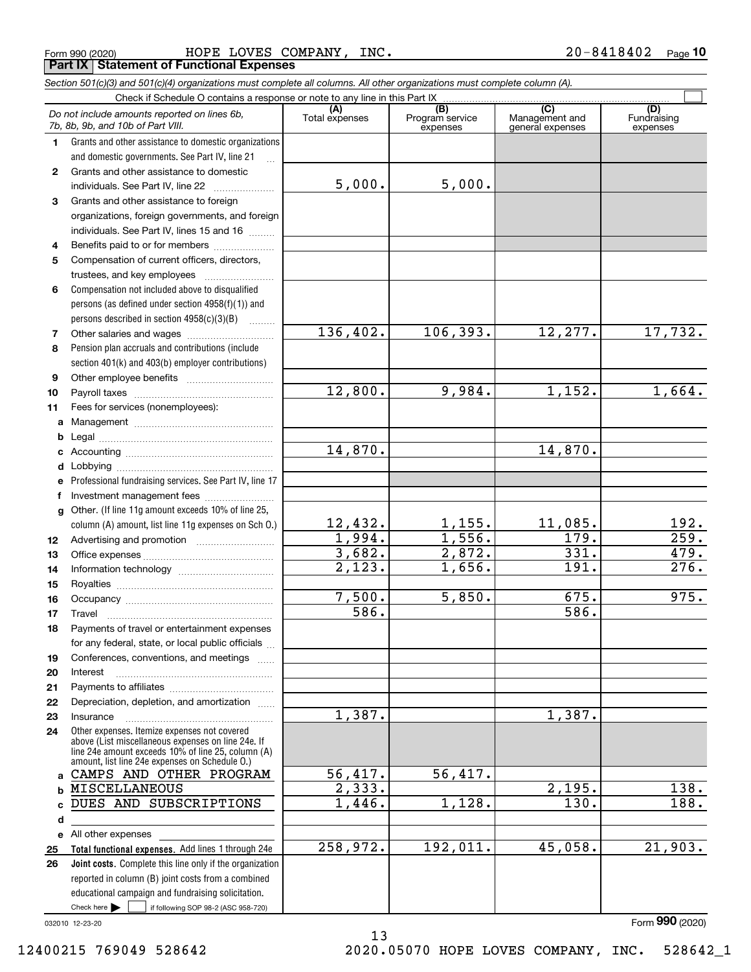|  | Form 990 (2020) |
|--|-----------------|
|  |                 |

 $_{\rm Form\ 990\ (2020)}$   $_{\rm HOPE\ LOVES\ COMPANY}$ ,  $_{\rm INC}$  .  $20-8418402$   $_{\rm Page}$ **Part IX Statement of Functional Expenses**

|                  | Section 501(c)(3) and 501(c)(4) organizations must complete all columns. All other organizations must complete column (A). |                       |                                    |                                                      |                                |
|------------------|----------------------------------------------------------------------------------------------------------------------------|-----------------------|------------------------------------|------------------------------------------------------|--------------------------------|
|                  | Check if Schedule O contains a response or note to any line in this Part IX                                                |                       |                                    |                                                      |                                |
|                  | Do not include amounts reported on lines 6b,<br>7b, 8b, 9b, and 10b of Part VIII.                                          | (A)<br>Total expenses | (B)<br>Program service<br>expenses | $\overline{C}$<br>Management and<br>general expenses | (D)<br>Fundraising<br>expenses |
| 1.               | Grants and other assistance to domestic organizations                                                                      |                       |                                    |                                                      |                                |
|                  | and domestic governments. See Part IV, line 21                                                                             |                       |                                    |                                                      |                                |
| $\mathbf{2}$     | Grants and other assistance to domestic                                                                                    |                       |                                    |                                                      |                                |
|                  | individuals. See Part IV, line 22                                                                                          | 5,000.                | 5,000.                             |                                                      |                                |
| 3                | Grants and other assistance to foreign                                                                                     |                       |                                    |                                                      |                                |
|                  | organizations, foreign governments, and foreign                                                                            |                       |                                    |                                                      |                                |
|                  | individuals. See Part IV, lines 15 and 16                                                                                  |                       |                                    |                                                      |                                |
| 4                | Benefits paid to or for members                                                                                            |                       |                                    |                                                      |                                |
| 5                | Compensation of current officers, directors,                                                                               |                       |                                    |                                                      |                                |
|                  |                                                                                                                            |                       |                                    |                                                      |                                |
| 6                | Compensation not included above to disqualified                                                                            |                       |                                    |                                                      |                                |
|                  | persons (as defined under section 4958(f)(1)) and                                                                          |                       |                                    |                                                      |                                |
|                  | persons described in section 4958(c)(3)(B)                                                                                 |                       |                                    |                                                      |                                |
| 7                |                                                                                                                            | 136,402.              | 106, 393.                          | 12, 277.                                             | 17,732.                        |
| 8                | Pension plan accruals and contributions (include                                                                           |                       |                                    |                                                      |                                |
|                  | section 401(k) and 403(b) employer contributions)                                                                          |                       |                                    |                                                      |                                |
| 9                |                                                                                                                            |                       |                                    |                                                      |                                |
| 10               |                                                                                                                            | 12,800.               | 9,984.                             | 1,152.                                               | 1,664.                         |
| 11               | Fees for services (nonemployees):                                                                                          |                       |                                    |                                                      |                                |
| a                |                                                                                                                            |                       |                                    |                                                      |                                |
| b                |                                                                                                                            |                       |                                    |                                                      |                                |
| c                |                                                                                                                            | 14,870.               |                                    | 14,870.                                              |                                |
| d                |                                                                                                                            |                       |                                    |                                                      |                                |
| е                | Professional fundraising services. See Part IV, line 17                                                                    |                       |                                    |                                                      |                                |
| f                | Investment management fees                                                                                                 |                       |                                    |                                                      |                                |
| g                | Other. (If line 11g amount exceeds 10% of line 25,                                                                         |                       |                                    |                                                      |                                |
|                  | column (A) amount, list line 11g expenses on Sch 0.)                                                                       | 12,432.               | <u>1,155.</u>                      | 11,085.                                              | 192.                           |
| 12 <sup>12</sup> |                                                                                                                            | 1,994.                | 1,556.                             | 179.                                                 | $\overline{259}$ .             |
| 13               |                                                                                                                            | 3,682.                | 2,872.                             | 331.                                                 | 479.                           |
| 14               |                                                                                                                            | $\overline{2,123}$ .  | 1,656.                             | 191.                                                 | 276.                           |
| 15               |                                                                                                                            |                       |                                    |                                                      |                                |
| 16               |                                                                                                                            | 7,500.                | 5,850.                             | 675.                                                 | 975.                           |
| 17               |                                                                                                                            | 586.                  |                                    | 586.                                                 |                                |
| 18               | Payments of travel or entertainment expenses                                                                               |                       |                                    |                                                      |                                |
|                  | for any federal, state, or local public officials                                                                          |                       |                                    |                                                      |                                |
| 19               | Conferences, conventions, and meetings                                                                                     |                       |                                    |                                                      |                                |
| 20               | Interest                                                                                                                   |                       |                                    |                                                      |                                |
| 21               |                                                                                                                            |                       |                                    |                                                      |                                |
| 22               | Depreciation, depletion, and amortization                                                                                  |                       |                                    |                                                      |                                |
| 23               | Insurance                                                                                                                  | 1,387.                |                                    | 1,387.                                               |                                |
| 24               | Other expenses. Itemize expenses not covered                                                                               |                       |                                    |                                                      |                                |
|                  | above (List miscellaneous expenses on line 24e. If                                                                         |                       |                                    |                                                      |                                |
|                  | line 24e amount exceeds 10% of line 25, column (A)<br>amount, list line 24e expenses on Schedule O.)                       |                       |                                    |                                                      |                                |
|                  | a CAMPS AND OTHER PROGRAM                                                                                                  | 56,417.               | 56,417.                            |                                                      |                                |
| b                | MISCELLANEOUS                                                                                                              | 2,333.                |                                    | 2,195.                                               | 138.                           |
| c                | DUES AND SUBSCRIPTIONS                                                                                                     | 1,446.                | 1,128.                             | 130.                                                 | 188.                           |
| d                |                                                                                                                            |                       |                                    |                                                      |                                |
|                  | e All other expenses                                                                                                       |                       |                                    |                                                      |                                |
| 25               | Total functional expenses. Add lines 1 through 24e                                                                         | 258,972.              | 192,011.                           | 45,058.                                              | 21,903.                        |
| 26               | <b>Joint costs.</b> Complete this line only if the organization                                                            |                       |                                    |                                                      |                                |
|                  | reported in column (B) joint costs from a combined                                                                         |                       |                                    |                                                      |                                |
|                  | educational campaign and fundraising solicitation.                                                                         |                       |                                    |                                                      |                                |
|                  | Check here $\blacktriangleright$<br>if following SOP 98-2 (ASC 958-720)                                                    |                       |                                    |                                                      |                                |

13

032010 12‐23‐20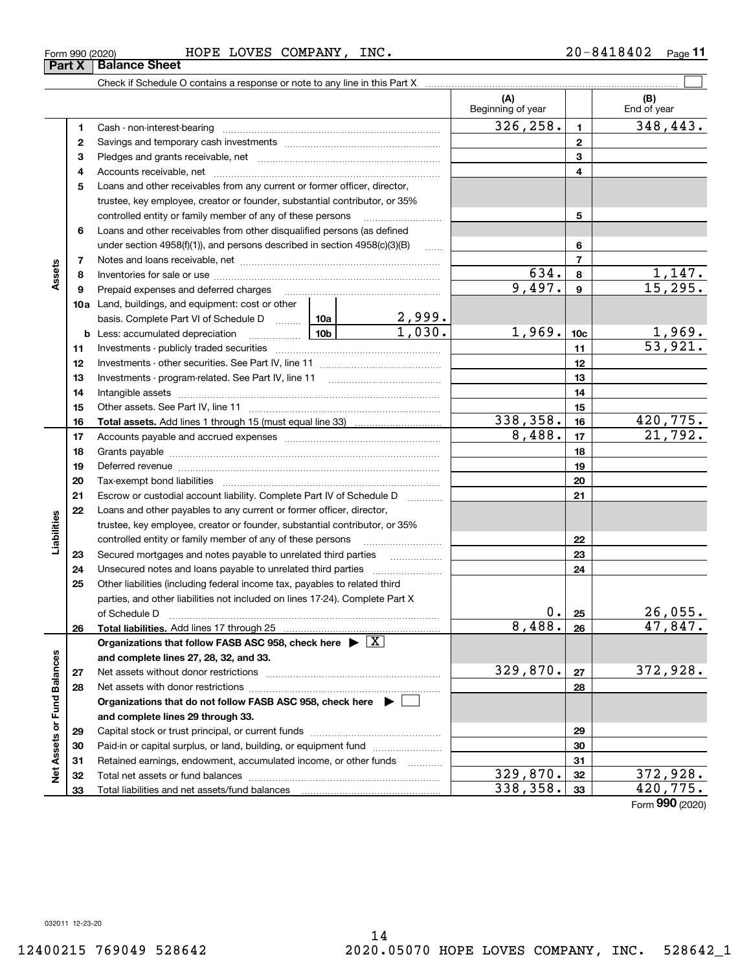|                             |    |                                                                                    |                       |          | (A)<br>Beginning of year |                          | (B)<br>End of year       |
|-----------------------------|----|------------------------------------------------------------------------------------|-----------------------|----------|--------------------------|--------------------------|--------------------------|
|                             | 1  |                                                                                    |                       |          | 326,258.                 | 1                        | 348, 443.                |
|                             | 2  |                                                                                    |                       |          |                          | $\mathbf{2}$             |                          |
|                             | 3  |                                                                                    |                       |          |                          | 3                        |                          |
|                             | 4  |                                                                                    |                       |          | 4                        |                          |                          |
|                             | 5  | Loans and other receivables from any current or former officer, director,          |                       |          |                          |                          |                          |
|                             |    | trustee, key employee, creator or founder, substantial contributor, or 35%         |                       |          |                          |                          |                          |
|                             |    | controlled entity or family member of any of these persons                         |                       |          |                          | 5                        |                          |
|                             | 6  | Loans and other receivables from other disqualified persons (as defined            |                       |          |                          |                          |                          |
|                             |    | under section 4958(f)(1)), and persons described in section 4958(c)(3)(B)          |                       | $\ldots$ |                          | 6                        |                          |
|                             | 7  |                                                                                    |                       |          |                          | $\overline{7}$           |                          |
| Assets                      | 8  |                                                                                    |                       |          | 634.                     | 8                        |                          |
|                             | 9  | Prepaid expenses and deferred charges                                              |                       |          | 9,497.                   | 9                        | $\frac{1,147}{15,295}$ . |
|                             |    | <b>10a</b> Land, buildings, and equipment: cost or other                           |                       |          |                          |                          |                          |
|                             |    | basis. Complete Part VI of Schedule D  10a                                         |                       |          |                          |                          |                          |
|                             |    | <b>b</b> Less: accumulated depreciation<br>. 1                                     | $\frac{2,999}{1,030}$ | 1,969.   | 10 <sub>c</sub>          |                          |                          |
|                             | 11 |                                                                                    |                       |          | 11                       | $\frac{1,969}{53,921}$ . |                          |
|                             | 12 |                                                                                    |                       |          |                          | 12                       |                          |
|                             | 13 |                                                                                    |                       |          | 13                       |                          |                          |
|                             | 14 |                                                                                    |                       | 14       |                          |                          |                          |
|                             | 15 |                                                                                    |                       |          | 15                       |                          |                          |
|                             | 16 |                                                                                    |                       |          | 338,358.                 | 16                       | 420, 775.                |
|                             | 17 |                                                                                    |                       | 8,488.   | 17                       | 21,792.                  |                          |
|                             | 18 |                                                                                    |                       | 18       |                          |                          |                          |
|                             | 19 |                                                                                    |                       |          | 19                       |                          |                          |
|                             | 20 |                                                                                    |                       |          |                          | 20                       |                          |
|                             | 21 | Escrow or custodial account liability. Complete Part IV of Schedule D              |                       | .        |                          | 21                       |                          |
|                             | 22 | Loans and other payables to any current or former officer, director,               |                       |          |                          |                          |                          |
| Liabilities                 |    | trustee, key employee, creator or founder, substantial contributor, or 35%         |                       |          |                          |                          |                          |
|                             |    | controlled entity or family member of any of these persons                         |                       |          |                          | 22                       |                          |
|                             | 23 | Secured mortgages and notes payable to unrelated third parties                     |                       |          |                          | 23                       |                          |
|                             | 24 |                                                                                    |                       |          |                          | 24                       |                          |
|                             | 25 | Other liabilities (including federal income tax, payables to related third         |                       |          |                          |                          |                          |
|                             |    | parties, and other liabilities not included on lines 17-24). Complete Part X       |                       |          |                          |                          |                          |
|                             |    | of Schedule D                                                                      |                       |          | 0.                       | 25                       | 26,055.                  |
|                             | 26 |                                                                                    |                       |          | 8,488.                   | 26                       | 47,847.                  |
|                             |    | Organizations that follow FASB ASC 958, check here $\blacktriangleright \boxed{X}$ |                       |          |                          |                          |                          |
|                             |    | and complete lines 27, 28, 32, and 33.                                             |                       |          |                          |                          |                          |
|                             | 27 |                                                                                    |                       |          | 329,870.                 | 27                       | 372,928.                 |
|                             | 28 |                                                                                    |                       |          |                          | 28                       |                          |
|                             |    | Organizations that do not follow FASB ASC 958, check here $\blacktriangleright$    |                       |          |                          |                          |                          |
|                             |    | and complete lines 29 through 33.                                                  |                       |          |                          |                          |                          |
|                             | 29 |                                                                                    |                       |          | 29                       |                          |                          |
|                             | 30 | Paid-in or capital surplus, or land, building, or equipment fund                   |                       |          |                          | 30                       |                          |
|                             | 31 | Retained earnings, endowment, accumulated income, or other funds                   |                       |          |                          | 31                       |                          |
| Net Assets or Fund Balances | 32 |                                                                                    |                       |          | 329, 870.                | 32                       | 372,928.                 |
|                             | 33 |                                                                                    |                       |          | 338,358.                 | 33                       | 420,775.                 |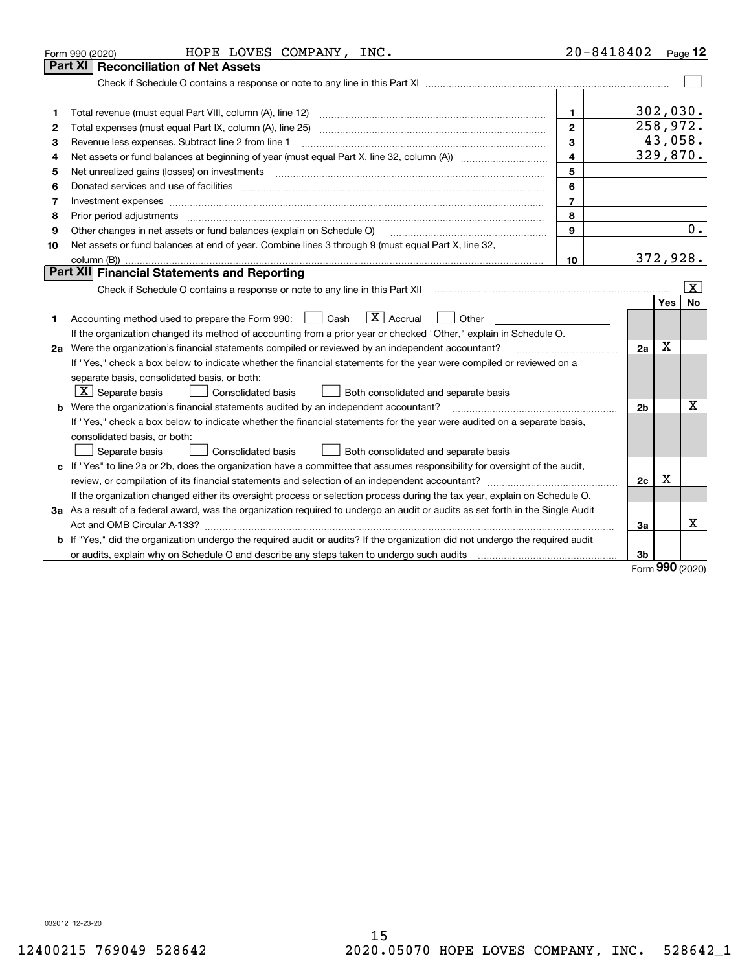|    | HOPE LOVES COMPANY, INC.<br>Form 990 (2020)                                                                                                                         | $20 - 8418402$          |                |             | Page 12                 |
|----|---------------------------------------------------------------------------------------------------------------------------------------------------------------------|-------------------------|----------------|-------------|-------------------------|
|    | <b>Reconciliation of Net Assets</b><br>Part XI                                                                                                                      |                         |                |             |                         |
|    |                                                                                                                                                                     |                         |                |             |                         |
|    |                                                                                                                                                                     |                         |                |             |                         |
| 1  | Total revenue (must equal Part VIII, column (A), line 12)                                                                                                           | $\mathbf{1}$            | 302,030.       |             |                         |
| 2  | Total expenses (must equal Part IX, column (A), line 25)                                                                                                            | $\mathbf{2}$            | 258,972.       |             |                         |
| 3  | Revenue less expenses. Subtract line 2 from line 1                                                                                                                  | 3                       |                |             | 43,058.                 |
| 4  |                                                                                                                                                                     | $\overline{\mathbf{4}}$ | 329,870.       |             |                         |
| 5  | Net unrealized gains (losses) on investments                                                                                                                        | 5                       |                |             |                         |
| 6  |                                                                                                                                                                     | 6                       |                |             |                         |
| 7  | Investment expenses www.communication.communication.com/www.communication.com/www.communication.com                                                                 | $\overline{7}$          |                |             |                         |
| 8  | Prior period adjustments                                                                                                                                            | 8                       |                |             |                         |
| 9  | Other changes in net assets or fund balances (explain on Schedule O)                                                                                                | $\mathbf{Q}$            |                |             | 0.                      |
| 10 | Net assets or fund balances at end of year. Combine lines 3 through 9 (must equal Part X, line 32,                                                                  |                         |                |             |                         |
|    | column (B)).                                                                                                                                                        | 10                      | 372,928.       |             |                         |
|    | Part XII Financial Statements and Reporting                                                                                                                         |                         |                |             |                         |
|    | Check if Schedule O contains a response or note to any line in this Part XII [11] [12] Check if Schedule O contains a response or note to any line in this Part XII |                         |                |             | $\overline{\mathbf{X}}$ |
|    |                                                                                                                                                                     |                         |                | Yes         | No                      |
| 1  | $ X $ Accrual<br>Accounting method used to prepare the Form 990: <u>I</u> Cash<br>Other                                                                             |                         |                |             |                         |
|    | If the organization changed its method of accounting from a prior year or checked "Other," explain in Schedule O.                                                   |                         |                |             |                         |
|    | 2a Were the organization's financial statements compiled or reviewed by an independent accountant?                                                                  |                         | 2a             | $\mathbf X$ |                         |
|    | If "Yes," check a box below to indicate whether the financial statements for the year were compiled or reviewed on a                                                |                         |                |             |                         |
|    | separate basis, consolidated basis, or both:                                                                                                                        |                         |                |             |                         |
|    | $X$ Separate basis<br><b>Consolidated basis</b><br>Both consolidated and separate basis                                                                             |                         |                |             |                         |
|    | <b>b</b> Were the organization's financial statements audited by an independent accountant?                                                                         |                         | 2 <sub>b</sub> |             | x                       |
|    | If "Yes," check a box below to indicate whether the financial statements for the year were audited on a separate basis,                                             |                         |                |             |                         |
|    | consolidated basis, or both:                                                                                                                                        |                         |                |             |                         |
|    | Separate basis<br>Consolidated basis<br>Both consolidated and separate basis                                                                                        |                         |                |             |                         |
|    | c If "Yes" to line 2a or 2b, does the organization have a committee that assumes responsibility for oversight of the audit,                                         |                         |                |             |                         |
|    |                                                                                                                                                                     |                         | 2c             | x           |                         |
|    | If the organization changed either its oversight process or selection process during the tax year, explain on Schedule O.                                           |                         |                |             |                         |
|    | 3a As a result of a federal award, was the organization required to undergo an audit or audits as set forth in the Single Audit                                     |                         |                |             |                         |
|    |                                                                                                                                                                     |                         | За             |             | X                       |
|    | b If "Yes," did the organization undergo the required audit or audits? If the organization did not undergo the required audit                                       |                         |                |             |                         |
|    |                                                                                                                                                                     |                         | 3b             |             |                         |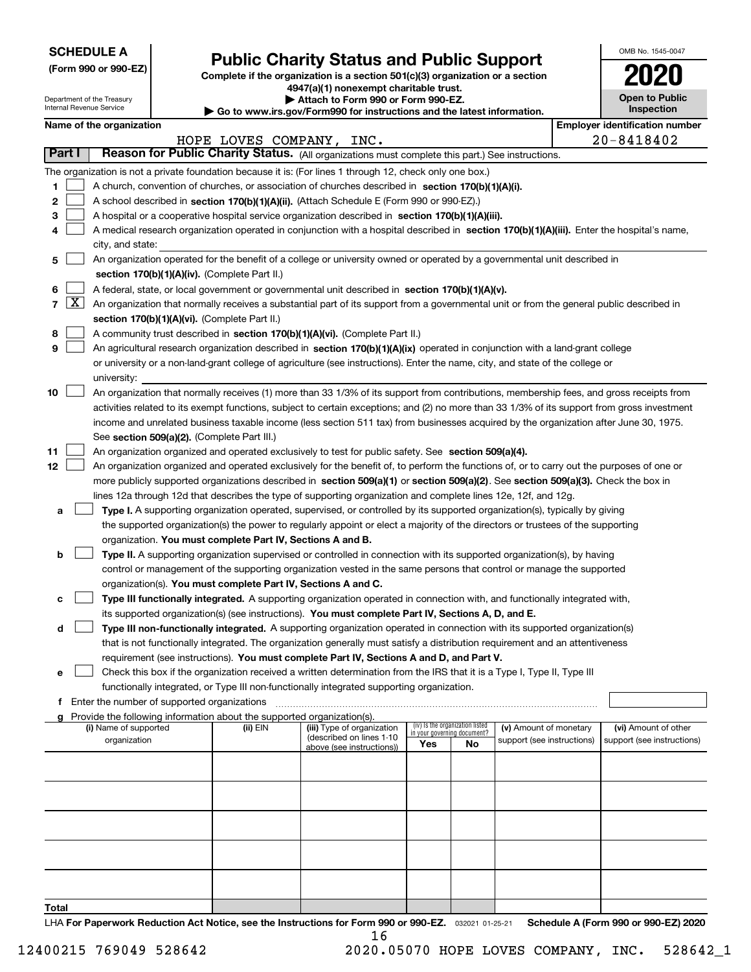Department of the Treasury Internal Revenue Service

# **Public Charity Status and Public Support**

**(Form 990 or 990‐EZ) Complete if the organization is a section 501(c)(3) organization or a section 4947(a)(1) nonexempt charitable trust.**

**| Attach to Form 990 or Form 990‐EZ.** 

**| Go to www.irs.gov/Form990 for instructions and the latest information.**

| OMB No. 1545-0047                   |
|-------------------------------------|
| 2020                                |
| <b>Open to Public</b><br>Inspection |

|                          | Name of the organization                                                                                                                                                                                                                                                         |                          |                                                        |     |                                 |                                                      |  | <b>Employer identification number</b>              |
|--------------------------|----------------------------------------------------------------------------------------------------------------------------------------------------------------------------------------------------------------------------------------------------------------------------------|--------------------------|--------------------------------------------------------|-----|---------------------------------|------------------------------------------------------|--|----------------------------------------------------|
|                          |                                                                                                                                                                                                                                                                                  | HOPE LOVES COMPANY, INC. |                                                        |     |                                 |                                                      |  | $20 - 8418402$                                     |
| Part I                   | Reason for Public Charity Status. (All organizations must complete this part.) See instructions.                                                                                                                                                                                 |                          |                                                        |     |                                 |                                                      |  |                                                    |
|                          | The organization is not a private foundation because it is: (For lines 1 through 12, check only one box.)                                                                                                                                                                        |                          |                                                        |     |                                 |                                                      |  |                                                    |
| 1                        | A church, convention of churches, or association of churches described in section 170(b)(1)(A)(i).                                                                                                                                                                               |                          |                                                        |     |                                 |                                                      |  |                                                    |
| 2                        | A school described in section 170(b)(1)(A)(ii). (Attach Schedule E (Form 990 or 990-EZ).)                                                                                                                                                                                        |                          |                                                        |     |                                 |                                                      |  |                                                    |
| з                        | A hospital or a cooperative hospital service organization described in section 170(b)(1)(A)(iii).                                                                                                                                                                                |                          |                                                        |     |                                 |                                                      |  |                                                    |
| 4                        | A medical research organization operated in conjunction with a hospital described in section 170(b)(1)(A)(iii). Enter the hospital's name,                                                                                                                                       |                          |                                                        |     |                                 |                                                      |  |                                                    |
|                          | city, and state:                                                                                                                                                                                                                                                                 |                          |                                                        |     |                                 |                                                      |  |                                                    |
| 5                        | An organization operated for the benefit of a college or university owned or operated by a governmental unit described in                                                                                                                                                        |                          |                                                        |     |                                 |                                                      |  |                                                    |
|                          | section 170(b)(1)(A)(iv). (Complete Part II.)                                                                                                                                                                                                                                    |                          |                                                        |     |                                 |                                                      |  |                                                    |
| 6                        | A federal, state, or local government or governmental unit described in section 170(b)(1)(A)(v).                                                                                                                                                                                 |                          |                                                        |     |                                 |                                                      |  |                                                    |
| $\lfloor x \rfloor$<br>7 | An organization that normally receives a substantial part of its support from a governmental unit or from the general public described in                                                                                                                                        |                          |                                                        |     |                                 |                                                      |  |                                                    |
|                          | section 170(b)(1)(A)(vi). (Complete Part II.)                                                                                                                                                                                                                                    |                          |                                                        |     |                                 |                                                      |  |                                                    |
| 8                        | A community trust described in section 170(b)(1)(A)(vi). (Complete Part II.)                                                                                                                                                                                                     |                          |                                                        |     |                                 |                                                      |  |                                                    |
| 9                        | An agricultural research organization described in section 170(b)(1)(A)(ix) operated in conjunction with a land-grant college                                                                                                                                                    |                          |                                                        |     |                                 |                                                      |  |                                                    |
|                          | or university or a non-land-grant college of agriculture (see instructions). Enter the name, city, and state of the college or                                                                                                                                                   |                          |                                                        |     |                                 |                                                      |  |                                                    |
|                          | university:                                                                                                                                                                                                                                                                      |                          |                                                        |     |                                 |                                                      |  |                                                    |
| 10                       | An organization that normally receives (1) more than 33 1/3% of its support from contributions, membership fees, and gross receipts from                                                                                                                                         |                          |                                                        |     |                                 |                                                      |  |                                                    |
|                          | activities related to its exempt functions, subject to certain exceptions; and (2) no more than 33 1/3% of its support from gross investment                                                                                                                                     |                          |                                                        |     |                                 |                                                      |  |                                                    |
|                          | income and unrelated business taxable income (less section 511 tax) from businesses acquired by the organization after June 30, 1975.                                                                                                                                            |                          |                                                        |     |                                 |                                                      |  |                                                    |
|                          | See section 509(a)(2). (Complete Part III.)                                                                                                                                                                                                                                      |                          |                                                        |     |                                 |                                                      |  |                                                    |
| 11                       | An organization organized and operated exclusively to test for public safety. See section 509(a)(4).                                                                                                                                                                             |                          |                                                        |     |                                 |                                                      |  |                                                    |
| 12                       | An organization organized and operated exclusively for the benefit of, to perform the functions of, or to carry out the purposes of one or<br>more publicly supported organizations described in section 509(a)(1) or section 509(a)(2). See section 509(a)(3). Check the box in |                          |                                                        |     |                                 |                                                      |  |                                                    |
|                          | lines 12a through 12d that describes the type of supporting organization and complete lines 12e, 12f, and 12g.                                                                                                                                                                   |                          |                                                        |     |                                 |                                                      |  |                                                    |
| a                        | Type I. A supporting organization operated, supervised, or controlled by its supported organization(s), typically by giving                                                                                                                                                      |                          |                                                        |     |                                 |                                                      |  |                                                    |
|                          | the supported organization(s) the power to regularly appoint or elect a majority of the directors or trustees of the supporting                                                                                                                                                  |                          |                                                        |     |                                 |                                                      |  |                                                    |
|                          | organization. You must complete Part IV, Sections A and B.                                                                                                                                                                                                                       |                          |                                                        |     |                                 |                                                      |  |                                                    |
| b                        | Type II. A supporting organization supervised or controlled in connection with its supported organization(s), by having                                                                                                                                                          |                          |                                                        |     |                                 |                                                      |  |                                                    |
|                          | control or management of the supporting organization vested in the same persons that control or manage the supported                                                                                                                                                             |                          |                                                        |     |                                 |                                                      |  |                                                    |
|                          | organization(s). You must complete Part IV, Sections A and C.                                                                                                                                                                                                                    |                          |                                                        |     |                                 |                                                      |  |                                                    |
| с                        | Type III functionally integrated. A supporting organization operated in connection with, and functionally integrated with,                                                                                                                                                       |                          |                                                        |     |                                 |                                                      |  |                                                    |
|                          | its supported organization(s) (see instructions). You must complete Part IV, Sections A, D, and E.                                                                                                                                                                               |                          |                                                        |     |                                 |                                                      |  |                                                    |
| d                        | Type III non-functionally integrated. A supporting organization operated in connection with its supported organization(s)                                                                                                                                                        |                          |                                                        |     |                                 |                                                      |  |                                                    |
|                          | that is not functionally integrated. The organization generally must satisfy a distribution requirement and an attentiveness                                                                                                                                                     |                          |                                                        |     |                                 |                                                      |  |                                                    |
|                          | requirement (see instructions). You must complete Part IV, Sections A and D, and Part V.                                                                                                                                                                                         |                          |                                                        |     |                                 |                                                      |  |                                                    |
| е                        | Check this box if the organization received a written determination from the IRS that it is a Type I, Type II, Type III                                                                                                                                                          |                          |                                                        |     |                                 |                                                      |  |                                                    |
|                          | functionally integrated, or Type III non-functionally integrated supporting organization.                                                                                                                                                                                        |                          |                                                        |     |                                 |                                                      |  |                                                    |
|                          | f Enter the number of supported organizations                                                                                                                                                                                                                                    |                          |                                                        |     |                                 |                                                      |  |                                                    |
|                          | Provide the following information about the supported organization(s).                                                                                                                                                                                                           |                          |                                                        |     | (iv) Is the organization listed |                                                      |  |                                                    |
|                          | (i) Name of supported<br>organization                                                                                                                                                                                                                                            | (ii) EIN                 | (iii) Type of organization<br>(described on lines 1-10 |     | in your governing document?     | (v) Amount of monetary<br>support (see instructions) |  | (vi) Amount of other<br>support (see instructions) |
|                          |                                                                                                                                                                                                                                                                                  |                          | above (see instructions))                              | Yes | No                              |                                                      |  |                                                    |
|                          |                                                                                                                                                                                                                                                                                  |                          |                                                        |     |                                 |                                                      |  |                                                    |
|                          |                                                                                                                                                                                                                                                                                  |                          |                                                        |     |                                 |                                                      |  |                                                    |
|                          |                                                                                                                                                                                                                                                                                  |                          |                                                        |     |                                 |                                                      |  |                                                    |
|                          |                                                                                                                                                                                                                                                                                  |                          |                                                        |     |                                 |                                                      |  |                                                    |
|                          |                                                                                                                                                                                                                                                                                  |                          |                                                        |     |                                 |                                                      |  |                                                    |
|                          |                                                                                                                                                                                                                                                                                  |                          |                                                        |     |                                 |                                                      |  |                                                    |
|                          |                                                                                                                                                                                                                                                                                  |                          |                                                        |     |                                 |                                                      |  |                                                    |
|                          |                                                                                                                                                                                                                                                                                  |                          |                                                        |     |                                 |                                                      |  |                                                    |
|                          |                                                                                                                                                                                                                                                                                  |                          |                                                        |     |                                 |                                                      |  |                                                    |
| Total                    |                                                                                                                                                                                                                                                                                  |                          |                                                        |     |                                 |                                                      |  |                                                    |

032021 01‐25‐21 **For Paperwork Reduction Act Notice, see the Instructions for Form 990 or 990‐EZ. Schedule A (Form 990 or 990‐EZ) 2020** LHA 16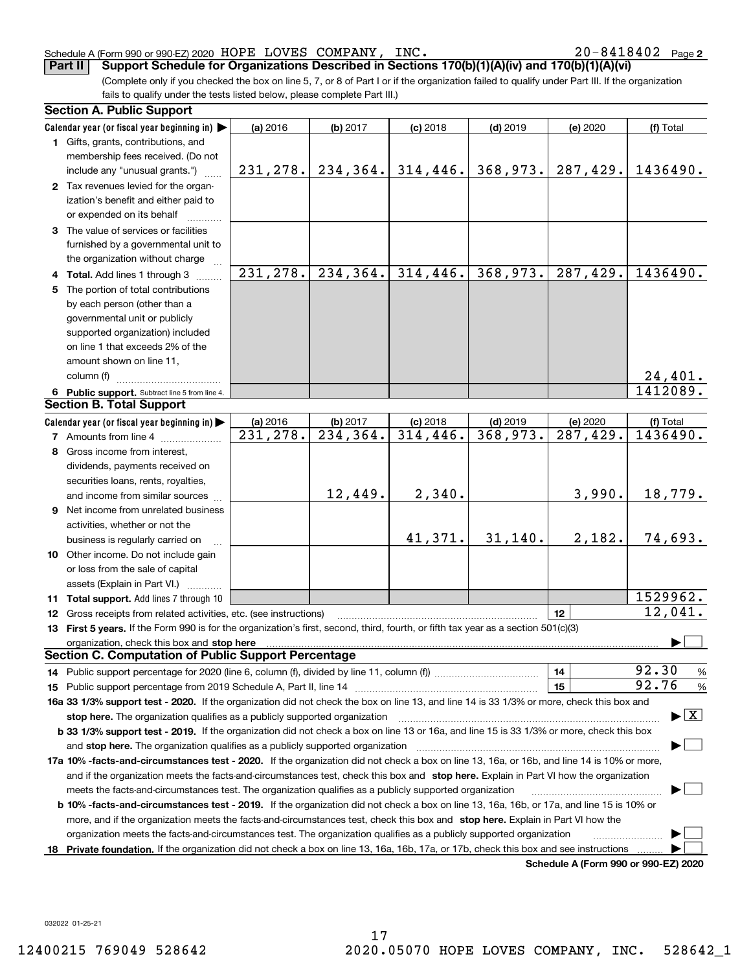#### Schedule A (Form 990 or 990‐EZ) 2020 Page HOPE LOVES COMPANY, INC. 20‐8418402

 $20 - 8418402$  Page 2

(Complete only if you checked the box on line 5, 7, or 8 of Part I or if the organization failed to qualify under Part III. If the organization fails to qualify under the tests listed below, please complete Part III.) **Part II** | Support Schedule for Organizations Described in Sections 170(b)(1)(A)(iv) and 170(b)(1)(A)(vi)

| <b>Section A. Public Support</b>                                                                                                                                                                                                                                                             |           |                        |            |            |          |                                          |
|----------------------------------------------------------------------------------------------------------------------------------------------------------------------------------------------------------------------------------------------------------------------------------------------|-----------|------------------------|------------|------------|----------|------------------------------------------|
| Calendar year (or fiscal year beginning in)                                                                                                                                                                                                                                                  | (a) 2016  | (b) 2017               | $(c)$ 2018 | $(d)$ 2019 | (e) 2020 | (f) Total                                |
| 1 Gifts, grants, contributions, and                                                                                                                                                                                                                                                          |           |                        |            |            |          |                                          |
| membership fees received. (Do not                                                                                                                                                                                                                                                            |           |                        |            |            |          |                                          |
| include any "unusual grants.")                                                                                                                                                                                                                                                               | 231,278.  | 234, 364.              | 314,446.   | 368,973.   | 287,429. | 1436490.                                 |
| 2 Tax revenues levied for the organ-                                                                                                                                                                                                                                                         |           |                        |            |            |          |                                          |
| ization's benefit and either paid to                                                                                                                                                                                                                                                         |           |                        |            |            |          |                                          |
| or expended on its behalf                                                                                                                                                                                                                                                                    |           |                        |            |            |          |                                          |
| 3 The value of services or facilities                                                                                                                                                                                                                                                        |           |                        |            |            |          |                                          |
| furnished by a governmental unit to                                                                                                                                                                                                                                                          |           |                        |            |            |          |                                          |
| the organization without charge                                                                                                                                                                                                                                                              |           |                        |            |            |          |                                          |
| 4 Total. Add lines 1 through 3                                                                                                                                                                                                                                                               | 231, 278. | 234, 364.              | 314,446.   | 368,973.   | 287,429. | 1436490.                                 |
| 5 The portion of total contributions                                                                                                                                                                                                                                                         |           |                        |            |            |          |                                          |
| by each person (other than a                                                                                                                                                                                                                                                                 |           |                        |            |            |          |                                          |
| governmental unit or publicly                                                                                                                                                                                                                                                                |           |                        |            |            |          |                                          |
|                                                                                                                                                                                                                                                                                              |           |                        |            |            |          |                                          |
| supported organization) included                                                                                                                                                                                                                                                             |           |                        |            |            |          |                                          |
| on line 1 that exceeds 2% of the                                                                                                                                                                                                                                                             |           |                        |            |            |          |                                          |
| amount shown on line 11,                                                                                                                                                                                                                                                                     |           |                        |            |            |          |                                          |
| column (f)                                                                                                                                                                                                                                                                                   |           |                        |            |            |          | 24,401.                                  |
| 6 Public support. Subtract line 5 from line 4.                                                                                                                                                                                                                                               |           |                        |            |            |          | 1412089.                                 |
| <b>Section B. Total Support</b>                                                                                                                                                                                                                                                              |           |                        |            |            |          |                                          |
| Calendar year (or fiscal year beginning in)                                                                                                                                                                                                                                                  | (a) 2016  | (b) 2017               | $(c)$ 2018 | $(d)$ 2019 | (e) 2020 | (f) Total                                |
| <b>7</b> Amounts from line 4                                                                                                                                                                                                                                                                 | 231,278.  | $\overline{234,364}$ . | 314, 446.  | 368,973.   | 287,429. | 1436490.                                 |
| 8 Gross income from interest,                                                                                                                                                                                                                                                                |           |                        |            |            |          |                                          |
| dividends, payments received on                                                                                                                                                                                                                                                              |           |                        |            |            |          |                                          |
| securities loans, rents, royalties,                                                                                                                                                                                                                                                          |           |                        |            |            |          |                                          |
| and income from similar sources                                                                                                                                                                                                                                                              |           | 12,449.                | 2,340.     |            | 3,990.   | 18,779.                                  |
| <b>9</b> Net income from unrelated business                                                                                                                                                                                                                                                  |           |                        |            |            |          |                                          |
| activities, whether or not the                                                                                                                                                                                                                                                               |           |                        |            |            |          |                                          |
| business is regularly carried on                                                                                                                                                                                                                                                             |           |                        | 41,371.    | 31, 140.   | 2,182.   | 74,693.                                  |
| 10 Other income. Do not include gain                                                                                                                                                                                                                                                         |           |                        |            |            |          |                                          |
| or loss from the sale of capital                                                                                                                                                                                                                                                             |           |                        |            |            |          |                                          |
| assets (Explain in Part VI.)                                                                                                                                                                                                                                                                 |           |                        |            |            |          |                                          |
|                                                                                                                                                                                                                                                                                              |           |                        |            |            |          | 1529962.                                 |
| 11 Total support. Add lines 7 through 10                                                                                                                                                                                                                                                     |           |                        |            |            |          | 12,041.                                  |
| 12 Gross receipts from related activities, etc. (see instructions)                                                                                                                                                                                                                           |           |                        |            |            | 12       |                                          |
| 13 First 5 years. If the Form 990 is for the organization's first, second, third, fourth, or fifth tax year as a section 501(c)(3)                                                                                                                                                           |           |                        |            |            |          |                                          |
| organization, check this box and stop here manufactured and content to the state of the state of the state of the state of the state of the state of the state of the state of the state of the state of the state of the stat<br><b>Section C. Computation of Public Support Percentage</b> |           |                        |            |            |          |                                          |
|                                                                                                                                                                                                                                                                                              |           |                        |            |            |          | 92.30                                    |
|                                                                                                                                                                                                                                                                                              |           |                        |            |            | 14       | $\frac{9}{6}$                            |
|                                                                                                                                                                                                                                                                                              |           |                        |            |            | 15       | 92.76<br>$\frac{9}{6}$                   |
| 16a 33 1/3% support test - 2020. If the organization did not check the box on line 13, and line 14 is 33 1/3% or more, check this box and                                                                                                                                                    |           |                        |            |            |          |                                          |
| stop here. The organization qualifies as a publicly supported organization                                                                                                                                                                                                                   |           |                        |            |            |          | $\blacktriangleright$ $\boxed{\text{X}}$ |
| b 33 1/3% support test - 2019. If the organization did not check a box on line 13 or 16a, and line 15 is 33 1/3% or more, check this box                                                                                                                                                     |           |                        |            |            |          |                                          |
| and stop here. The organization qualifies as a publicly supported organization                                                                                                                                                                                                               |           |                        |            |            |          |                                          |
| 17a 10% -facts-and-circumstances test - 2020. If the organization did not check a box on line 13, 16a, or 16b, and line 14 is 10% or more,                                                                                                                                                   |           |                        |            |            |          |                                          |
| and if the organization meets the facts-and-circumstances test, check this box and stop here. Explain in Part VI how the organization                                                                                                                                                        |           |                        |            |            |          |                                          |
| meets the facts-and-circumstances test. The organization qualifies as a publicly supported organization                                                                                                                                                                                      |           |                        |            |            |          |                                          |
| <b>b 10% -facts-and-circumstances test - 2019.</b> If the organization did not check a box on line 13, 16a, 16b, or 17a, and line 15 is 10% or                                                                                                                                               |           |                        |            |            |          |                                          |
| more, and if the organization meets the facts-and-circumstances test, check this box and stop here. Explain in Part VI how the                                                                                                                                                               |           |                        |            |            |          |                                          |
| organization meets the facts-and-circumstances test. The organization qualifies as a publicly supported organization                                                                                                                                                                         |           |                        |            |            |          |                                          |
| 18 Private foundation. If the organization did not check a box on line 13, 16a, 16b, 17a, or 17b, check this box and see instructions                                                                                                                                                        |           |                        |            |            |          |                                          |
|                                                                                                                                                                                                                                                                                              |           |                        |            |            |          | 000 F70000                               |

**Schedule A (Form 990 or 990‐EZ) 2020**

032022 01‐25‐21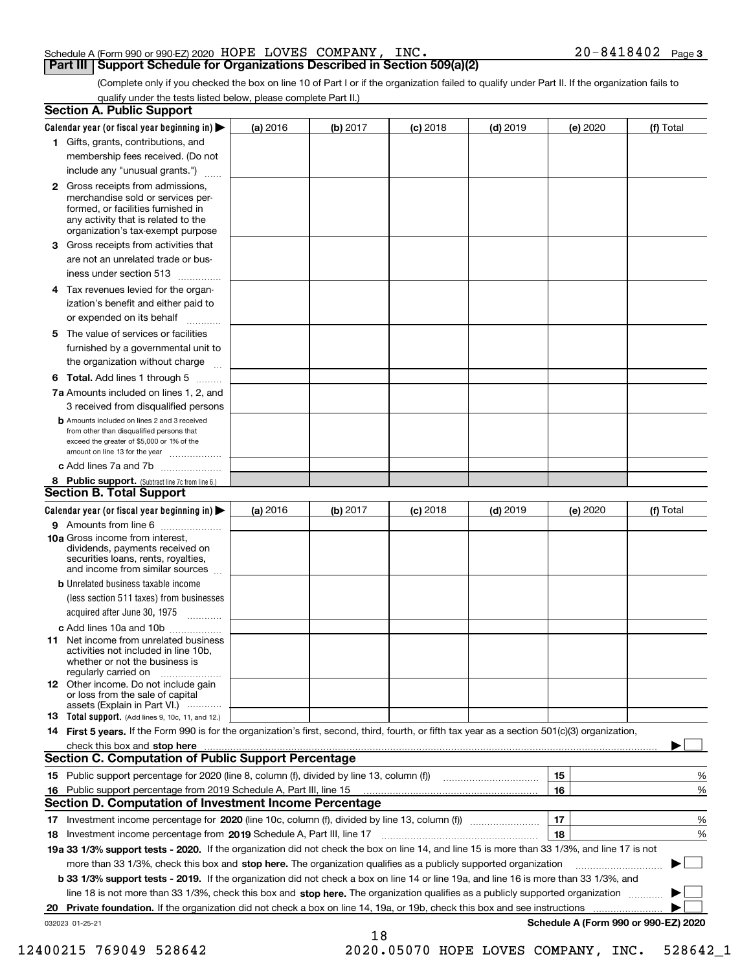#### Schedule A (Form 990 or 990‐EZ) 2020 Page HOPE LOVES COMPANY, INC. 20‐8418402 **Part III | Support Schedule for Organizations Described in Section 509(a)(2)**

(Complete only if you checked the box on line 10 of Part I or if the organization failed to qualify under Part II. If the organization fails to qualify under the tests listed below, please complete Part II.)

|    | <b>Section A. Public Support</b>                                                                                                                                                                |          |          |            |            |          |                                      |
|----|-------------------------------------------------------------------------------------------------------------------------------------------------------------------------------------------------|----------|----------|------------|------------|----------|--------------------------------------|
|    | Calendar year (or fiscal year beginning in) $\blacktriangleright$                                                                                                                               | (a) 2016 | (b) 2017 | $(c)$ 2018 | $(d)$ 2019 | (e) 2020 | (f) Total                            |
|    | 1 Gifts, grants, contributions, and                                                                                                                                                             |          |          |            |            |          |                                      |
|    | membership fees received. (Do not                                                                                                                                                               |          |          |            |            |          |                                      |
|    | include any "unusual grants.")                                                                                                                                                                  |          |          |            |            |          |                                      |
|    | <b>2</b> Gross receipts from admissions,<br>merchandise sold or services per-<br>formed, or facilities furnished in<br>any activity that is related to the<br>organization's tax-exempt purpose |          |          |            |            |          |                                      |
| З  | Gross receipts from activities that                                                                                                                                                             |          |          |            |            |          |                                      |
|    | are not an unrelated trade or bus-                                                                                                                                                              |          |          |            |            |          |                                      |
|    | iness under section 513                                                                                                                                                                         |          |          |            |            |          |                                      |
|    | 4 Tax revenues levied for the organ-                                                                                                                                                            |          |          |            |            |          |                                      |
|    | ization's benefit and either paid to<br>or expended on its behalf                                                                                                                               |          |          |            |            |          |                                      |
| 5. | The value of services or facilities                                                                                                                                                             |          |          |            |            |          |                                      |
|    | furnished by a governmental unit to                                                                                                                                                             |          |          |            |            |          |                                      |
|    | the organization without charge                                                                                                                                                                 |          |          |            |            |          |                                      |
|    | <b>6 Total.</b> Add lines 1 through 5 $\ldots$                                                                                                                                                  |          |          |            |            |          |                                      |
|    | 7a Amounts included on lines 1, 2, and                                                                                                                                                          |          |          |            |            |          |                                      |
|    | 3 received from disqualified persons                                                                                                                                                            |          |          |            |            |          |                                      |
|    | <b>D</b> Amounts included on lines 2 and 3 received<br>from other than disqualified persons that<br>exceed the greater of \$5,000 or 1% of the<br>amount on line 13 for the year                |          |          |            |            |          |                                      |
|    | c Add lines 7a and 7b                                                                                                                                                                           |          |          |            |            |          |                                      |
|    | 8 Public support. (Subtract line 7c from line 6.)<br><b>Section B. Total Support</b>                                                                                                            |          |          |            |            |          |                                      |
|    | Calendar year (or fiscal year beginning in) $\blacktriangleright$                                                                                                                               | (a) 2016 | (b) 2017 | $(c)$ 2018 | $(d)$ 2019 | (e) 2020 | (f) Total                            |
|    | 9 Amounts from line 6                                                                                                                                                                           |          |          |            |            |          |                                      |
|    | 10a Gross income from interest,<br>dividends, payments received on<br>securities loans, rents, royalties,<br>and income from similar sources                                                    |          |          |            |            |          |                                      |
|    | <b>b</b> Unrelated business taxable income                                                                                                                                                      |          |          |            |            |          |                                      |
|    | (less section 511 taxes) from businesses<br>acquired after June 30, 1975<br>$\overline{\phantom{a}}$                                                                                            |          |          |            |            |          |                                      |
|    | c Add lines 10a and 10b                                                                                                                                                                         |          |          |            |            |          |                                      |
|    | <b>11</b> Net income from unrelated business<br>activities not included in line 10b,<br>whether or not the business is<br>regularly carried on                                                  |          |          |            |            |          |                                      |
|    | 12 Other income. Do not include gain<br>or loss from the sale of capital<br>assets (Explain in Part VI.)                                                                                        |          |          |            |            |          |                                      |
|    | <b>13</b> Total support. (Add lines 9, 10c, 11, and 12.)                                                                                                                                        |          |          |            |            |          |                                      |
|    | 14 First 5 years. If the Form 990 is for the organization's first, second, third, fourth, or fifth tax year as a section 501(c)(3) organization,                                                |          |          |            |            |          |                                      |
|    | check this box and stop here measurements and stop here are constructed and the measurement of the state of the                                                                                 |          |          |            |            |          |                                      |
|    | <b>Section C. Computation of Public Support Percentage</b>                                                                                                                                      |          |          |            |            |          |                                      |
|    |                                                                                                                                                                                                 |          |          |            |            | 15       | %                                    |
|    | 16 Public support percentage from 2019 Schedule A, Part III, line 15                                                                                                                            |          |          |            |            | 16       | %                                    |
|    | Section D. Computation of Investment Income Percentage                                                                                                                                          |          |          |            |            |          |                                      |
|    |                                                                                                                                                                                                 |          |          |            |            | 17       | %                                    |
|    | 18 Investment income percentage from 2019 Schedule A, Part III, line 17                                                                                                                         |          |          |            |            | 18       | %                                    |
|    | 19a 33 1/3% support tests - 2020. If the organization did not check the box on line 14, and line 15 is more than 33 1/3%, and line 17 is not                                                    |          |          |            |            |          |                                      |
|    | more than 33 1/3%, check this box and stop here. The organization qualifies as a publicly supported organization                                                                                |          |          |            |            |          |                                      |
|    | b 33 1/3% support tests - 2019. If the organization did not check a box on line 14 or line 19a, and line 16 is more than 33 1/3%, and                                                           |          |          |            |            |          |                                      |
|    | line 18 is not more than 33 1/3%, check this box and stop here. The organization qualifies as a publicly supported organization                                                                 |          |          |            |            |          |                                      |
| 20 | <b>Private foundation.</b> If the organization did not check a box on line 14, 19a, or 19b, check this box and see instructions <i>manameran</i>                                                |          |          |            |            |          |                                      |
|    | 032023 01-25-21                                                                                                                                                                                 |          |          |            |            |          | Schedule A (Form 990 or 990-EZ) 2020 |
|    |                                                                                                                                                                                                 |          | 18       |            |            |          |                                      |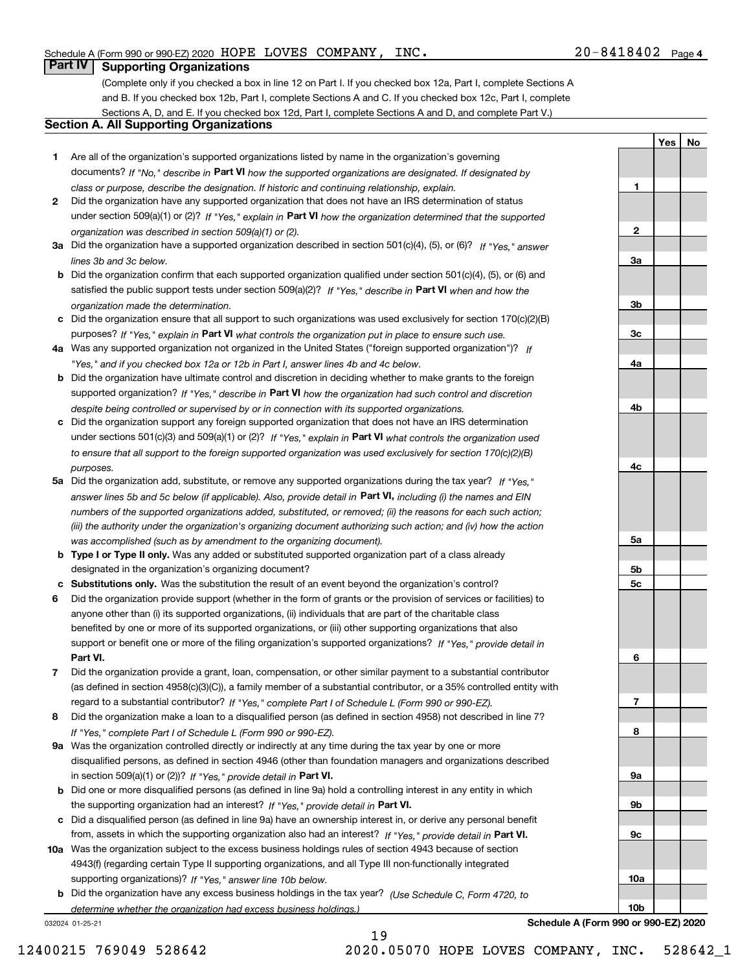**1**

**2**

**3a**

**3b**

**3c**

**4a**

**4b**

**4c**

**5a**

**5b 5c**

**6**

**7**

**8**

**9a**

**9b**

**9c**

**10a**

**10b**

Yes | No

## **Part IV Supporting Organizations**

(Complete only if you checked a box in line 12 on Part I. If you checked box 12a, Part I, complete Sections A and B. If you checked box 12b, Part I, complete Sections A and C. If you checked box 12c, Part I, complete Sections A, D, and E. If you checked box 12d, Part I, complete Sections A and D, and complete Part V.)

### **Section A. All Supporting Organizations**

- **1** Are all of the organization's supported organizations listed by name in the organization's governing documents? If "No," describe in Part VI how the supported organizations are designated. If designated by *class or purpose, describe the designation. If historic and continuing relationship, explain.*
- **2** Did the organization have any supported organization that does not have an IRS determination of status under section 509(a)(1) or (2)? If "Yes," explain in Part VI how the organization determined that the supported *organization was described in section 509(a)(1) or (2).*
- **3a** Did the organization have a supported organization described in section 501(c)(4), (5), or (6)? If "Yes," answer *lines 3b and 3c below.*
- **b** Did the organization confirm that each supported organization qualified under section 501(c)(4), (5), or (6) and satisfied the public support tests under section 509(a)(2)? If "Yes," describe in Part VI when and how the *organization made the determination.*
- **c** Did the organization ensure that all support to such organizations was used exclusively for section 170(c)(2)(B) purposes? If "Yes," explain in Part VI what controls the organization put in place to ensure such use.
- **4 a** *If* Was any supported organization not organized in the United States ("foreign supported organization")? *"Yes," and if you checked box 12a or 12b in Part I, answer lines 4b and 4c below.*
- **b** Did the organization have ultimate control and discretion in deciding whether to make grants to the foreign supported organization? If "Yes," describe in Part VI how the organization had such control and discretion *despite being controlled or supervised by or in connection with its supported organizations.*
- **c** Did the organization support any foreign supported organization that does not have an IRS determination under sections 501(c)(3) and 509(a)(1) or (2)? If "Yes," explain in Part VI what controls the organization used *to ensure that all support to the foreign supported organization was used exclusively for section 170(c)(2)(B) purposes.*
- **5a** Did the organization add, substitute, or remove any supported organizations during the tax year? If "Yes," answer lines 5b and 5c below (if applicable). Also, provide detail in **Part VI,** including (i) the names and EIN *numbers of the supported organizations added, substituted, or removed; (ii) the reasons for each such action; (iii) the authority under the organization's organizing document authorizing such action; and (iv) how the action was accomplished (such as by amendment to the organizing document).*
- **b** Type I or Type II only. Was any added or substituted supported organization part of a class already designated in the organization's organizing document?
- **c Substitutions only.**  Was the substitution the result of an event beyond the organization's control?
- **6** Did the organization provide support (whether in the form of grants or the provision of services or facilities) to **Part VI.** *If "Yes," provide detail in* support or benefit one or more of the filing organization's supported organizations? anyone other than (i) its supported organizations, (ii) individuals that are part of the charitable class benefited by one or more of its supported organizations, or (iii) other supporting organizations that also
- **7** Did the organization provide a grant, loan, compensation, or other similar payment to a substantial contributor regard to a substantial contributor? If "Yes," complete Part I of Schedule L (Form 990 or 990-EZ). (as defined in section 4958(c)(3)(C)), a family member of a substantial contributor, or a 35% controlled entity with
- **8** Did the organization make a loan to a disqualified person (as defined in section 4958) not described in line 7? *If "Yes," complete Part I of Schedule L (Form 990 or 990-EZ).*
- **9 a** Was the organization controlled directly or indirectly at any time during the tax year by one or more in section 509(a)(1) or (2))? If "Yes," provide detail in Part VI. disqualified persons, as defined in section 4946 (other than foundation managers and organizations described
- **b** Did one or more disqualified persons (as defined in line 9a) hold a controlling interest in any entity in which the supporting organization had an interest? If "Yes," provide detail in Part VI.
- **c** Did a disqualified person (as defined in line 9a) have an ownership interest in, or derive any personal benefit from, assets in which the supporting organization also had an interest? If "Yes," provide detail in Part VI.
- **10 a** Was the organization subject to the excess business holdings rules of section 4943 because of section supporting organizations)? If "Yes," answer line 10b below. 4943(f) (regarding certain Type II supporting organizations, and all Type III non-functionally integrated
- **b** Did the organization have any excess business holdings in the tax year? (Use Schedule C, Form 4720, to *determine whether the organization had excess business holdings.)*

19

032024 01‐25‐21

**Schedule A (Form 990 or 990‐EZ) 2020**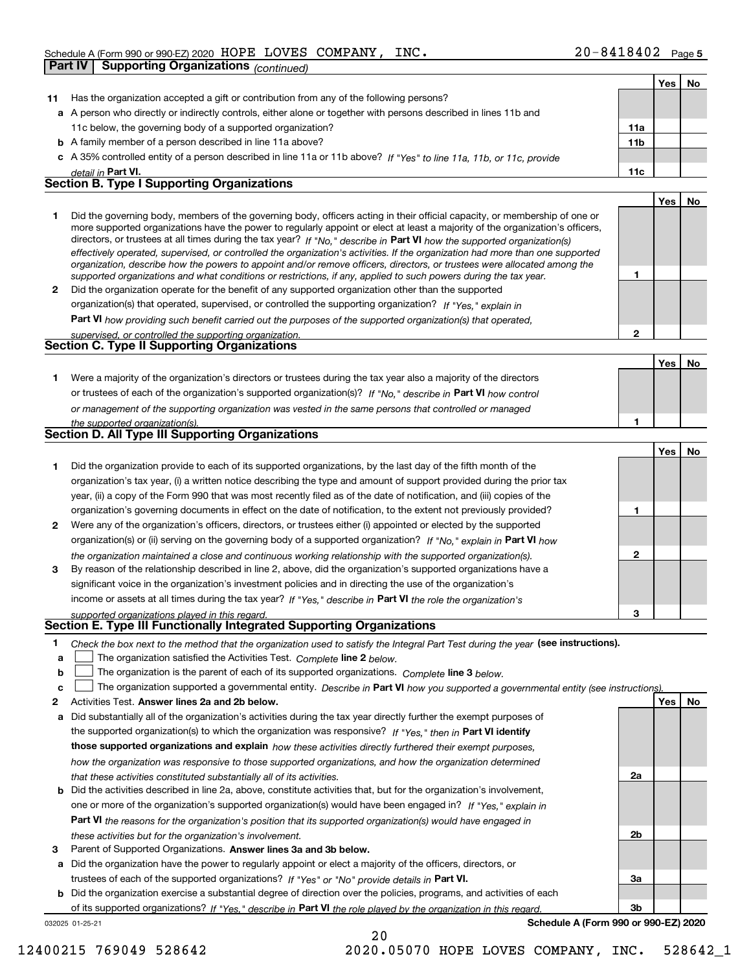|              | <b>Supporting Organizations (continued)</b><br>Part IV                                                                                                                                                                                                     |                 |     |    |
|--------------|------------------------------------------------------------------------------------------------------------------------------------------------------------------------------------------------------------------------------------------------------------|-----------------|-----|----|
|              |                                                                                                                                                                                                                                                            |                 | Yes | No |
| 11           | Has the organization accepted a gift or contribution from any of the following persons?                                                                                                                                                                    |                 |     |    |
|              | a A person who directly or indirectly controls, either alone or together with persons described in lines 11b and                                                                                                                                           |                 |     |    |
|              | 11c below, the governing body of a supported organization?                                                                                                                                                                                                 | 11a             |     |    |
|              | <b>b</b> A family member of a person described in line 11a above?                                                                                                                                                                                          | 11 <sub>b</sub> |     |    |
|              | c A 35% controlled entity of a person described in line 11a or 11b above? If "Yes" to line 11a, 11b, or 11c, provide                                                                                                                                       |                 |     |    |
|              | detail in Part VI.                                                                                                                                                                                                                                         | 11c             |     |    |
|              | <b>Section B. Type I Supporting Organizations</b>                                                                                                                                                                                                          |                 |     |    |
|              |                                                                                                                                                                                                                                                            |                 | Yes | No |
| 1.           | Did the governing body, members of the governing body, officers acting in their official capacity, or membership of one or                                                                                                                                 |                 |     |    |
|              | more supported organizations have the power to regularly appoint or elect at least a majority of the organization's officers,                                                                                                                              |                 |     |    |
|              | directors, or trustees at all times during the tax year? If "No," describe in Part VI how the supported organization(s)                                                                                                                                    |                 |     |    |
|              | effectively operated, supervised, or controlled the organization's activities. If the organization had more than one supported<br>organization, describe how the powers to appoint and/or remove officers, directors, or trustees were allocated among the |                 |     |    |
|              | supported organizations and what conditions or restrictions, if any, applied to such powers during the tax year.                                                                                                                                           | 1               |     |    |
| $\mathbf{2}$ | Did the organization operate for the benefit of any supported organization other than the supported                                                                                                                                                        |                 |     |    |
|              | organization(s) that operated, supervised, or controlled the supporting organization? If "Yes," explain in                                                                                                                                                 |                 |     |    |
|              | <b>Part VI</b> how providing such benefit carried out the purposes of the supported organization(s) that operated,                                                                                                                                         |                 |     |    |
|              | supervised, or controlled the supporting organization.                                                                                                                                                                                                     | $\mathbf{2}$    |     |    |
|              | Section C. Type II Supporting Organizations                                                                                                                                                                                                                |                 |     |    |
|              |                                                                                                                                                                                                                                                            |                 | Yes | No |
| 1.           | Were a majority of the organization's directors or trustees during the tax year also a majority of the directors                                                                                                                                           |                 |     |    |
|              | or trustees of each of the organization's supported organization(s)? If "No," describe in Part VI how control                                                                                                                                              |                 |     |    |
|              | or management of the supporting organization was vested in the same persons that controlled or managed                                                                                                                                                     |                 |     |    |
|              | the supported organization(s).                                                                                                                                                                                                                             | 1               |     |    |
|              | Section D. All Type III Supporting Organizations                                                                                                                                                                                                           |                 |     |    |
|              |                                                                                                                                                                                                                                                            |                 | Yes | No |
| 1            | Did the organization provide to each of its supported organizations, by the last day of the fifth month of the                                                                                                                                             |                 |     |    |
|              | organization's tax year, (i) a written notice describing the type and amount of support provided during the prior tax                                                                                                                                      |                 |     |    |
|              | year, (ii) a copy of the Form 990 that was most recently filed as of the date of notification, and (iii) copies of the                                                                                                                                     |                 |     |    |
|              | organization's governing documents in effect on the date of notification, to the extent not previously provided?                                                                                                                                           | 1               |     |    |
| 2            | Were any of the organization's officers, directors, or trustees either (i) appointed or elected by the supported                                                                                                                                           |                 |     |    |
|              | organization(s) or (ii) serving on the governing body of a supported organization? If "No," explain in Part VI how                                                                                                                                         |                 |     |    |
|              | the organization maintained a close and continuous working relationship with the supported organization(s).                                                                                                                                                | $\mathbf{2}$    |     |    |
| 3            | By reason of the relationship described in line 2, above, did the organization's supported organizations have a                                                                                                                                            |                 |     |    |
|              | significant voice in the organization's investment policies and in directing the use of the organization's                                                                                                                                                 |                 |     |    |
|              | income or assets at all times during the tax year? If "Yes," describe in Part VI the role the organization's                                                                                                                                               |                 |     |    |
|              | supported organizations played in this regard.                                                                                                                                                                                                             | з               |     |    |
|              | Section E. Type III Functionally Integrated Supporting Organizations                                                                                                                                                                                       |                 |     |    |
| 1            | Check the box next to the method that the organization used to satisfy the Integral Part Test during the year (see instructions).                                                                                                                          |                 |     |    |
| a            | The organization satisfied the Activities Test. Complete line 2 below.                                                                                                                                                                                     |                 |     |    |
| b            | The organization is the parent of each of its supported organizations. Complete line 3 below.                                                                                                                                                              |                 |     |    |
| c            | The organization supported a governmental entity. Describe in Part VI how you supported a governmental entity (see instructions).                                                                                                                          |                 |     |    |
| 2            | Activities Test. Answer lines 2a and 2b below.                                                                                                                                                                                                             |                 | Yes | No |
| а            | Did substantially all of the organization's activities during the tax year directly further the exempt purposes of                                                                                                                                         |                 |     |    |
|              | the supported organization(s) to which the organization was responsive? If "Yes," then in Part VI identify                                                                                                                                                 |                 |     |    |
|              | those supported organizations and explain how these activities directly furthered their exempt purposes,                                                                                                                                                   |                 |     |    |
|              | how the organization was responsive to those supported organizations, and how the organization determined                                                                                                                                                  |                 |     |    |
|              | that these activities constituted substantially all of its activities.                                                                                                                                                                                     | 2a              |     |    |
|              | <b>b</b> Did the activities described in line 2a, above, constitute activities that, but for the organization's involvement,                                                                                                                               |                 |     |    |
|              | one or more of the organization's supported organization(s) would have been engaged in? If "Yes," explain in                                                                                                                                               |                 |     |    |
|              | <b>Part VI</b> the reasons for the organization's position that its supported organization(s) would have engaged in                                                                                                                                        |                 |     |    |
|              | these activities but for the organization's involvement.                                                                                                                                                                                                   | 2b              |     |    |
| з            | Parent of Supported Organizations. Answer lines 3a and 3b below.                                                                                                                                                                                           |                 |     |    |
|              | a Did the organization have the power to regularly appoint or elect a majority of the officers, directors, or                                                                                                                                              |                 |     |    |
|              | trustees of each of the supported organizations? If "Yes" or "No" provide details in Part VI.                                                                                                                                                              | За              |     |    |

032025 01‐25‐21 **b** Did the organization exercise a substantial degree of direction over the policies, programs, and activities of each of its supported organizations? If "Yes," describe in Part VI the role played by the organization in this regard.

20

**Schedule A (Form 990 or 990‐EZ) 2020**

**3b**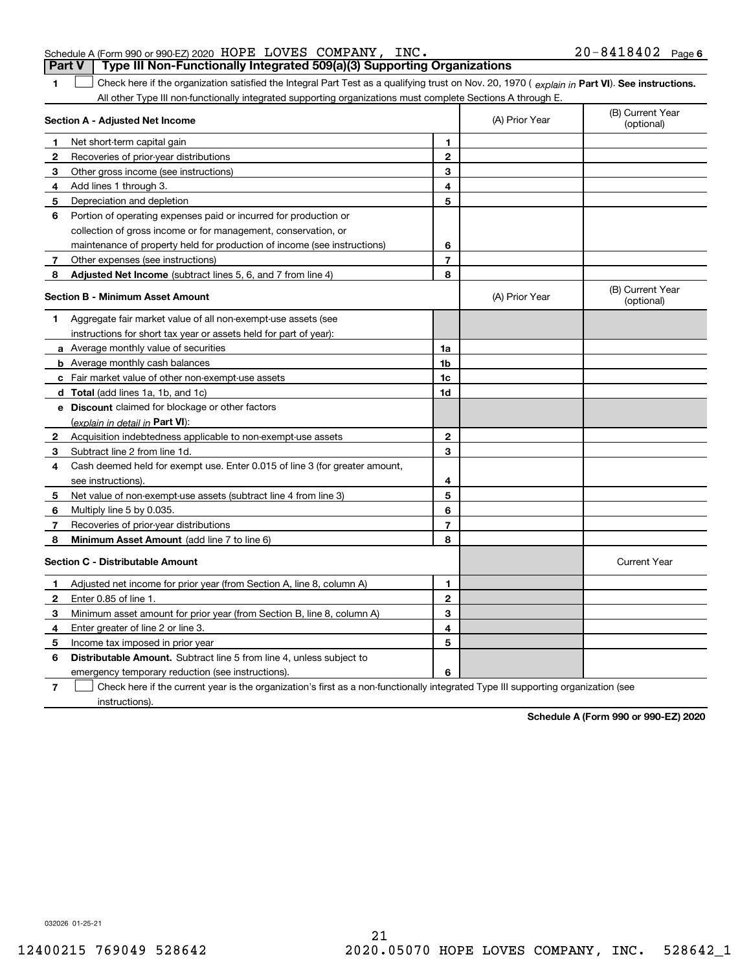|  | Schedule A (Form 990 or 990-EZ) 2020 $\,$ HOPE LOVES COMPANY, INC.<br>Part V   Type III Non-Functionally Integrated 509(a)(3) Supporting Organizations | $20 - 8418402$ Page 6 |  |
|--|--------------------------------------------------------------------------------------------------------------------------------------------------------|-----------------------|--|
|  |                                                                                                                                                        |                       |  |

**1 Part VI** Check here if the organization satisfied the Integral Part Test as a qualifying trust on Nov. 20, 1970 ( explain in Part VI). See instructions. All other Type III non-functionally integrated supporting organizations must complete Sections A through E.

|              | Section A - Adjusted Net Income                                             |                | (A) Prior Year | (B) Current Year<br>(optional) |
|--------------|-----------------------------------------------------------------------------|----------------|----------------|--------------------------------|
| 1            | Net short-term capital gain                                                 | 1              |                |                                |
| 2            | Recoveries of prior-year distributions                                      | $\mathbf{2}$   |                |                                |
| 3            | Other gross income (see instructions)                                       | 3              |                |                                |
| 4            | Add lines 1 through 3.                                                      | 4              |                |                                |
| 5            | Depreciation and depletion                                                  | 5              |                |                                |
| 6            | Portion of operating expenses paid or incurred for production or            |                |                |                                |
|              | collection of gross income or for management, conservation, or              |                |                |                                |
|              | maintenance of property held for production of income (see instructions)    | 6              |                |                                |
| 7            | Other expenses (see instructions)                                           | $\overline{7}$ |                |                                |
| 8            | Adjusted Net Income (subtract lines 5, 6, and 7 from line 4)                | 8              |                |                                |
|              | Section B - Minimum Asset Amount                                            |                | (A) Prior Year | (B) Current Year<br>(optional) |
| 1            | Aggregate fair market value of all non-exempt-use assets (see               |                |                |                                |
|              | instructions for short tax year or assets held for part of year):           |                |                |                                |
|              | <b>a</b> Average monthly value of securities                                | 1a             |                |                                |
|              | <b>b</b> Average monthly cash balances                                      | 1b             |                |                                |
|              | <b>c</b> Fair market value of other non-exempt-use assets                   | 1c             |                |                                |
|              | d Total (add lines 1a, 1b, and 1c)                                          | 1d             |                |                                |
|              | e Discount claimed for blockage or other factors                            |                |                |                                |
|              | (explain in detail in Part VI):                                             |                |                |                                |
| 2            | Acquisition indebtedness applicable to non-exempt-use assets                | $\mathbf{2}$   |                |                                |
| з            | Subtract line 2 from line 1d.                                               | 3              |                |                                |
| 4            | Cash deemed held for exempt use. Enter 0.015 of line 3 (for greater amount, |                |                |                                |
|              | see instructions).                                                          | 4              |                |                                |
| 5            | Net value of non-exempt-use assets (subtract line 4 from line 3)            | 5              |                |                                |
| 6            | Multiply line 5 by 0.035.                                                   | 6              |                |                                |
| 7            | Recoveries of prior-year distributions                                      | $\overline{7}$ |                |                                |
| 8            | Minimum Asset Amount (add line 7 to line 6)                                 | 8              |                |                                |
|              | <b>Section C - Distributable Amount</b>                                     |                |                | <b>Current Year</b>            |
| 1            | Adjusted net income for prior year (from Section A, line 8, column A)       | 1              |                |                                |
| $\mathbf{2}$ | Enter 0.85 of line 1                                                        | $\mathbf{2}$   |                |                                |
| 3            | Minimum asset amount for prior year (from Section B, line 8, column A)      | 3              |                |                                |
| 4            | Enter greater of line 2 or line 3.                                          | 4              |                |                                |
| 5            | Income tax imposed in prior year                                            | 5              |                |                                |
| 6            | <b>Distributable Amount.</b> Subtract line 5 from line 4, unless subject to |                |                |                                |
|              | emergency temporary reduction (see instructions).                           | 6              |                |                                |
|              |                                                                             |                |                |                                |

**7** Check here if the current year is the organization's first as a non‐functionally integrated Type III supporting organization (see instructions).

**Schedule A (Form 990 or 990‐EZ) 2020**

032026 01‐25‐21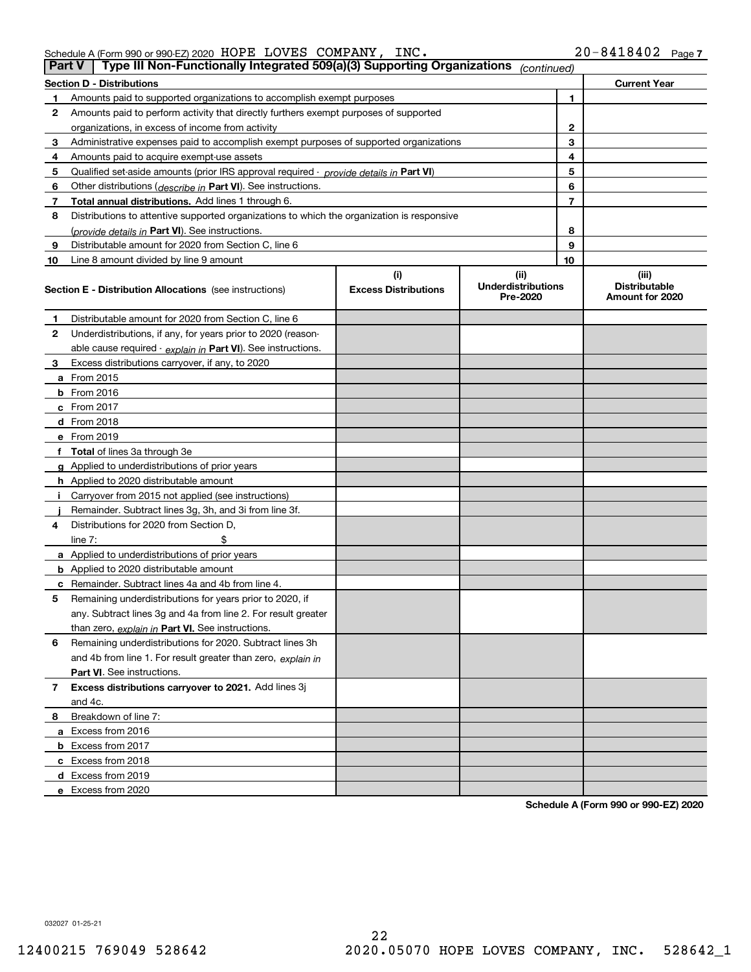Schedule A (Form 990 or 990‐EZ) 2020 Page HOPE LOVES COMPANY, INC. 20‐8418402

| Part V | Type III Non-Functionally Integrated 509(a)(3) Supporting Organizations                    |                                    | (continued)                                   |                                                  |
|--------|--------------------------------------------------------------------------------------------|------------------------------------|-----------------------------------------------|--------------------------------------------------|
|        | <b>Section D - Distributions</b>                                                           |                                    |                                               | <b>Current Year</b>                              |
|        | Amounts paid to supported organizations to accomplish exempt purposes                      |                                    | 1                                             |                                                  |
| 2      | Amounts paid to perform activity that directly furthers exempt purposes of supported       |                                    |                                               |                                                  |
|        | organizations, in excess of income from activity                                           |                                    | 2                                             |                                                  |
| 3      | Administrative expenses paid to accomplish exempt purposes of supported organizations      | 3                                  |                                               |                                                  |
| 4      | Amounts paid to acquire exempt-use assets                                                  | 4                                  |                                               |                                                  |
| 5      | Qualified set-aside amounts (prior IRS approval required - provide details in Part VI)     | 5                                  |                                               |                                                  |
| 6      | Other distributions ( <i>describe in</i> Part VI). See instructions.                       |                                    | 6                                             |                                                  |
| 7      | <b>Total annual distributions.</b> Add lines 1 through 6.                                  | 7                                  |                                               |                                                  |
| 8      | Distributions to attentive supported organizations to which the organization is responsive |                                    |                                               |                                                  |
|        | (provide details in Part VI). See instructions.                                            |                                    | 8                                             |                                                  |
| 9      | Distributable amount for 2020 from Section C, line 6                                       |                                    | 9                                             |                                                  |
| 10     | Line 8 amount divided by line 9 amount                                                     |                                    | 10                                            |                                                  |
|        | <b>Section E - Distribution Allocations</b> (see instructions)                             | (i)<br><b>Excess Distributions</b> | (ii)<br><b>Underdistributions</b><br>Pre-2020 | (iii)<br><b>Distributable</b><br>Amount for 2020 |
| 1      | Distributable amount for 2020 from Section C, line 6                                       |                                    |                                               |                                                  |
| 2      | Underdistributions, if any, for years prior to 2020 (reason-                               |                                    |                                               |                                                  |
|        | able cause required - explain in Part VI). See instructions.                               |                                    |                                               |                                                  |
| З      | Excess distributions carryover, if any, to 2020                                            |                                    |                                               |                                                  |
|        | <b>a</b> From 2015                                                                         |                                    |                                               |                                                  |
|        | <b>b</b> From 2016                                                                         |                                    |                                               |                                                  |
|        | c From 2017                                                                                |                                    |                                               |                                                  |
|        | d From 2018                                                                                |                                    |                                               |                                                  |
|        | e From 2019                                                                                |                                    |                                               |                                                  |
|        | <b>Total</b> of lines 3a through 3e                                                        |                                    |                                               |                                                  |
|        | <b>g</b> Applied to underdistributions of prior years                                      |                                    |                                               |                                                  |
|        | <b>h</b> Applied to 2020 distributable amount                                              |                                    |                                               |                                                  |
|        | Carryover from 2015 not applied (see instructions)                                         |                                    |                                               |                                                  |
|        | Remainder. Subtract lines 3g, 3h, and 3i from line 3f.                                     |                                    |                                               |                                                  |
| 4      | Distributions for 2020 from Section D,                                                     |                                    |                                               |                                                  |
|        | line $7:$                                                                                  |                                    |                                               |                                                  |
|        | <b>a</b> Applied to underdistributions of prior years                                      |                                    |                                               |                                                  |
|        | <b>b</b> Applied to 2020 distributable amount                                              |                                    |                                               |                                                  |
|        | c Remainder. Subtract lines 4a and 4b from line 4.                                         |                                    |                                               |                                                  |
| 5      | Remaining underdistributions for years prior to 2020, if                                   |                                    |                                               |                                                  |
|        | any. Subtract lines 3g and 4a from line 2. For result greater                              |                                    |                                               |                                                  |
|        | than zero, explain in Part VI. See instructions.                                           |                                    |                                               |                                                  |
| 6      | Remaining underdistributions for 2020. Subtract lines 3h                                   |                                    |                                               |                                                  |
|        | and 4b from line 1. For result greater than zero, explain in                               |                                    |                                               |                                                  |
|        | Part VI. See instructions.                                                                 |                                    |                                               |                                                  |
| 7      | Excess distributions carryover to 2021. Add lines 3j                                       |                                    |                                               |                                                  |
|        | and 4c.                                                                                    |                                    |                                               |                                                  |
| 8      | Breakdown of line 7:                                                                       |                                    |                                               |                                                  |
|        | a Excess from 2016                                                                         |                                    |                                               |                                                  |
|        | <b>b</b> Excess from 2017                                                                  |                                    |                                               |                                                  |
|        | c Excess from 2018                                                                         |                                    |                                               |                                                  |
|        | d Excess from 2019                                                                         |                                    |                                               |                                                  |
|        | e Excess from 2020                                                                         |                                    |                                               |                                                  |

**Schedule A (Form 990 or 990‐EZ) 2020**

032027 01‐25‐21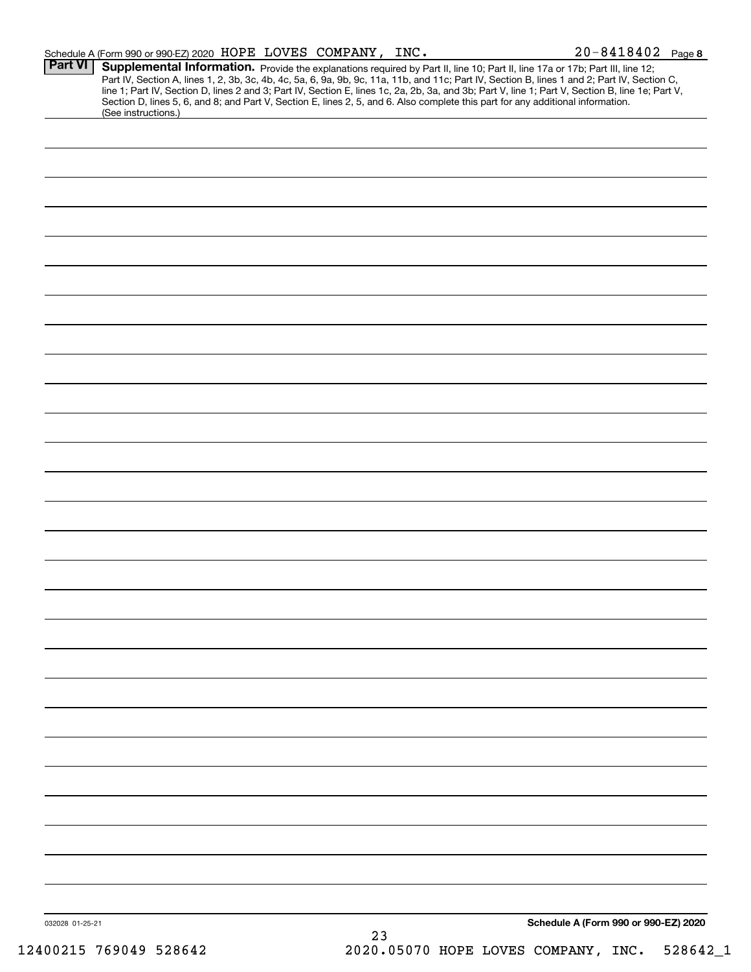|                 | Schedule A (Form 990 or 990-EZ) 2020 HOPE LOVES COMPANY, INC.                                                                                          |    | $20 - 8418402$ Page 8                                                                                                                                                                                                                                                                                                                                                                                                             |
|-----------------|--------------------------------------------------------------------------------------------------------------------------------------------------------|----|-----------------------------------------------------------------------------------------------------------------------------------------------------------------------------------------------------------------------------------------------------------------------------------------------------------------------------------------------------------------------------------------------------------------------------------|
| <b>Part VI</b>  |                                                                                                                                                        |    | Supplemental Information. Provide the explanations required by Part II, line 10; Part II, line 17a or 17b; Part III, line 12;<br>Part IV, Section A, lines 1, 2, 3b, 3c, 4b, 4c, 5a, 6, 9a, 9b, 9c, 11a, 11b, and 11c; Part IV, Section B, lines 1 and 2; Part IV, Section C,<br>line 1; Part IV, Section D, lines 2 and 3; Part IV, Section E, lines 1c, 2a, 2b, 3a, and 3b; Part V, line 1; Part V, Section B, line 1e; Part V, |
|                 | Section D, lines 5, 6, and 8; and Part V, Section E, lines 2, 5, and 6. Also complete this part for any additional information.<br>(See instructions.) |    |                                                                                                                                                                                                                                                                                                                                                                                                                                   |
|                 |                                                                                                                                                        |    |                                                                                                                                                                                                                                                                                                                                                                                                                                   |
|                 |                                                                                                                                                        |    |                                                                                                                                                                                                                                                                                                                                                                                                                                   |
|                 |                                                                                                                                                        |    |                                                                                                                                                                                                                                                                                                                                                                                                                                   |
|                 |                                                                                                                                                        |    |                                                                                                                                                                                                                                                                                                                                                                                                                                   |
|                 |                                                                                                                                                        |    |                                                                                                                                                                                                                                                                                                                                                                                                                                   |
|                 |                                                                                                                                                        |    |                                                                                                                                                                                                                                                                                                                                                                                                                                   |
|                 |                                                                                                                                                        |    |                                                                                                                                                                                                                                                                                                                                                                                                                                   |
|                 |                                                                                                                                                        |    |                                                                                                                                                                                                                                                                                                                                                                                                                                   |
|                 |                                                                                                                                                        |    |                                                                                                                                                                                                                                                                                                                                                                                                                                   |
|                 |                                                                                                                                                        |    |                                                                                                                                                                                                                                                                                                                                                                                                                                   |
|                 |                                                                                                                                                        |    |                                                                                                                                                                                                                                                                                                                                                                                                                                   |
|                 |                                                                                                                                                        |    |                                                                                                                                                                                                                                                                                                                                                                                                                                   |
|                 |                                                                                                                                                        |    |                                                                                                                                                                                                                                                                                                                                                                                                                                   |
|                 |                                                                                                                                                        |    |                                                                                                                                                                                                                                                                                                                                                                                                                                   |
|                 |                                                                                                                                                        |    |                                                                                                                                                                                                                                                                                                                                                                                                                                   |
|                 |                                                                                                                                                        |    |                                                                                                                                                                                                                                                                                                                                                                                                                                   |
|                 |                                                                                                                                                        |    |                                                                                                                                                                                                                                                                                                                                                                                                                                   |
|                 |                                                                                                                                                        |    |                                                                                                                                                                                                                                                                                                                                                                                                                                   |
|                 |                                                                                                                                                        |    |                                                                                                                                                                                                                                                                                                                                                                                                                                   |
|                 |                                                                                                                                                        |    |                                                                                                                                                                                                                                                                                                                                                                                                                                   |
|                 |                                                                                                                                                        |    |                                                                                                                                                                                                                                                                                                                                                                                                                                   |
|                 |                                                                                                                                                        |    |                                                                                                                                                                                                                                                                                                                                                                                                                                   |
|                 |                                                                                                                                                        |    |                                                                                                                                                                                                                                                                                                                                                                                                                                   |
|                 |                                                                                                                                                        |    |                                                                                                                                                                                                                                                                                                                                                                                                                                   |
|                 |                                                                                                                                                        |    |                                                                                                                                                                                                                                                                                                                                                                                                                                   |
|                 |                                                                                                                                                        |    |                                                                                                                                                                                                                                                                                                                                                                                                                                   |
|                 |                                                                                                                                                        |    |                                                                                                                                                                                                                                                                                                                                                                                                                                   |
|                 |                                                                                                                                                        |    |                                                                                                                                                                                                                                                                                                                                                                                                                                   |
|                 |                                                                                                                                                        |    |                                                                                                                                                                                                                                                                                                                                                                                                                                   |
|                 |                                                                                                                                                        |    |                                                                                                                                                                                                                                                                                                                                                                                                                                   |
|                 |                                                                                                                                                        |    |                                                                                                                                                                                                                                                                                                                                                                                                                                   |
|                 |                                                                                                                                                        |    |                                                                                                                                                                                                                                                                                                                                                                                                                                   |
|                 |                                                                                                                                                        |    |                                                                                                                                                                                                                                                                                                                                                                                                                                   |
| 032028 01-25-21 |                                                                                                                                                        |    | Schedule A (Form 990 or 990-EZ) 2020                                                                                                                                                                                                                                                                                                                                                                                              |
|                 |                                                                                                                                                        | 23 |                                                                                                                                                                                                                                                                                                                                                                                                                                   |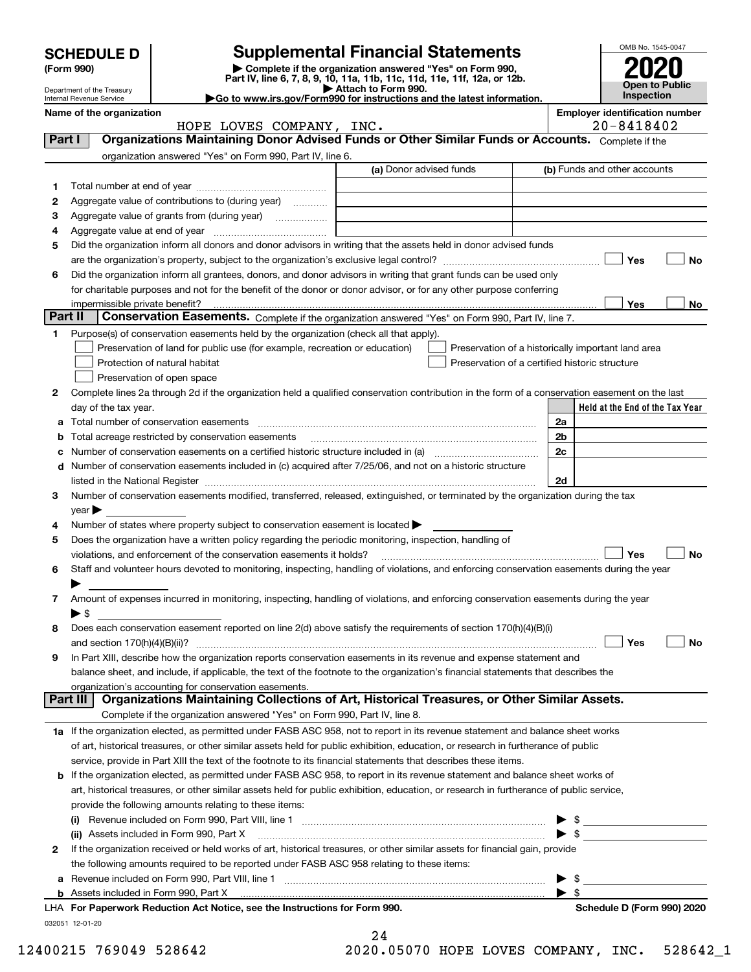|         | <b>SCHEDULE D</b>                                    |                                                                                                                                                                                                                                | <b>Supplemental Financial Statements</b>                 |                                                    |                          | OMB No. 1545-0047                     |  |  |
|---------|------------------------------------------------------|--------------------------------------------------------------------------------------------------------------------------------------------------------------------------------------------------------------------------------|----------------------------------------------------------|----------------------------------------------------|--------------------------|---------------------------------------|--|--|
|         | (Form 990)                                           | Part IV, line 6, 7, 8, 9, 10, 11a, 11b, 11c, 11d, 11e, 11f, 12a, or 12b.                                                                                                                                                       | Complete if the organization answered "Yes" on Form 990, |                                                    |                          |                                       |  |  |
|         | Department of the Treasury                           |                                                                                                                                                                                                                                | Attach to Form 990.                                      |                                                    |                          | Open to Public<br>Inspection          |  |  |
|         | Internal Revenue Service<br>Name of the organization | Go to www.irs.gov/Form990 for instructions and the latest information.                                                                                                                                                         |                                                          |                                                    |                          | <b>Employer identification number</b> |  |  |
|         |                                                      | HOPE LOVES COMPANY, INC.                                                                                                                                                                                                       |                                                          | 20-8418402                                         |                          |                                       |  |  |
| Part I  |                                                      | Organizations Maintaining Donor Advised Funds or Other Similar Funds or Accounts. Complete if the                                                                                                                              |                                                          |                                                    |                          |                                       |  |  |
|         |                                                      | organization answered "Yes" on Form 990, Part IV, line 6.                                                                                                                                                                      |                                                          |                                                    |                          |                                       |  |  |
|         |                                                      |                                                                                                                                                                                                                                | (a) Donor advised funds                                  |                                                    |                          | (b) Funds and other accounts          |  |  |
| 1       |                                                      |                                                                                                                                                                                                                                |                                                          |                                                    |                          |                                       |  |  |
| 2       |                                                      | Aggregate value of contributions to (during year)                                                                                                                                                                              |                                                          |                                                    |                          |                                       |  |  |
| з       |                                                      |                                                                                                                                                                                                                                |                                                          |                                                    |                          |                                       |  |  |
| 4       |                                                      |                                                                                                                                                                                                                                |                                                          |                                                    |                          |                                       |  |  |
| 5       |                                                      | Did the organization inform all donors and donor advisors in writing that the assets held in donor advised funds                                                                                                               |                                                          |                                                    |                          | Yes<br>No                             |  |  |
| 6       |                                                      | Did the organization inform all grantees, donors, and donor advisors in writing that grant funds can be used only                                                                                                              |                                                          |                                                    |                          |                                       |  |  |
|         |                                                      | for charitable purposes and not for the benefit of the donor or donor advisor, or for any other purpose conferring                                                                                                             |                                                          |                                                    |                          |                                       |  |  |
|         |                                                      |                                                                                                                                                                                                                                |                                                          |                                                    |                          | Yes<br>No.                            |  |  |
| Part II |                                                      | Conservation Easements. Complete if the organization answered "Yes" on Form 990, Part IV, line 7.                                                                                                                              |                                                          |                                                    |                          |                                       |  |  |
| 1       |                                                      | Purpose(s) of conservation easements held by the organization (check all that apply).                                                                                                                                          |                                                          |                                                    |                          |                                       |  |  |
|         |                                                      | Preservation of land for public use (for example, recreation or education)                                                                                                                                                     |                                                          | Preservation of a historically important land area |                          |                                       |  |  |
|         |                                                      | Protection of natural habitat                                                                                                                                                                                                  |                                                          | Preservation of a certified historic structure     |                          |                                       |  |  |
|         |                                                      | Preservation of open space                                                                                                                                                                                                     |                                                          |                                                    |                          |                                       |  |  |
| 2       |                                                      | Complete lines 2a through 2d if the organization held a qualified conservation contribution in the form of a conservation easement on the last                                                                                 |                                                          |                                                    |                          |                                       |  |  |
|         | day of the tax year.                                 |                                                                                                                                                                                                                                |                                                          |                                                    |                          | Held at the End of the Tax Year       |  |  |
| а       |                                                      |                                                                                                                                                                                                                                |                                                          |                                                    | 2a                       |                                       |  |  |
| b       |                                                      | Total acreage restricted by conservation easements                                                                                                                                                                             |                                                          |                                                    | 2 <sub>b</sub>           |                                       |  |  |
| c       |                                                      |                                                                                                                                                                                                                                |                                                          |                                                    | 2c                       |                                       |  |  |
|         |                                                      | d Number of conservation easements included in (c) acquired after 7/25/06, and not on a historic structure                                                                                                                     |                                                          |                                                    |                          |                                       |  |  |
|         |                                                      | listed in the National Register [111] [12] The National Register [11] Manuscritt, Manuscritt, Manuscritt, Manuscritt, Manuscritt, Manuscritt, Manuscritt, Manuscritt, Manuscritt, Manuscritt, Manuscritt, Manuscritt, Manuscri |                                                          |                                                    | 2d                       |                                       |  |  |
| 3       |                                                      | Number of conservation easements modified, transferred, released, extinguished, or terminated by the organization during the tax                                                                                               |                                                          |                                                    |                          |                                       |  |  |
| 4       | $\mathsf{year}$                                      | Number of states where property subject to conservation easement is located $\blacktriangleright$                                                                                                                              |                                                          |                                                    |                          |                                       |  |  |
| 5       |                                                      | Does the organization have a written policy regarding the periodic monitoring, inspection, handling of                                                                                                                         |                                                          |                                                    |                          |                                       |  |  |
|         |                                                      | violations, and enforcement of the conservation easements it holds?                                                                                                                                                            |                                                          |                                                    |                          | Yes<br>No                             |  |  |
| 6       |                                                      | Staff and volunteer hours devoted to monitoring, inspecting, handling of violations, and enforcing conservation easements during the year                                                                                      |                                                          |                                                    |                          |                                       |  |  |
|         |                                                      |                                                                                                                                                                                                                                |                                                          |                                                    |                          |                                       |  |  |
| 7       |                                                      | Amount of expenses incurred in monitoring, inspecting, handling of violations, and enforcing conservation easements during the year                                                                                            |                                                          |                                                    |                          |                                       |  |  |
|         | $\blacktriangleright$ \$                             |                                                                                                                                                                                                                                |                                                          |                                                    |                          |                                       |  |  |
| 8       |                                                      | Does each conservation easement reported on line 2(d) above satisfy the requirements of section 170(h)(4)(B)(i)                                                                                                                |                                                          |                                                    |                          |                                       |  |  |
|         | and section $170(h)(4)(B)(ii)?$                      |                                                                                                                                                                                                                                |                                                          |                                                    |                          | Yes<br>No                             |  |  |
| 9       |                                                      | In Part XIII, describe how the organization reports conservation easements in its revenue and expense statement and                                                                                                            |                                                          |                                                    |                          |                                       |  |  |
|         |                                                      | balance sheet, and include, if applicable, the text of the footnote to the organization's financial statements that describes the                                                                                              |                                                          |                                                    |                          |                                       |  |  |
|         | Part III                                             | organization's accounting for conservation easements.<br>Organizations Maintaining Collections of Art, Historical Treasures, or Other Similar Assets.                                                                          |                                                          |                                                    |                          |                                       |  |  |
|         |                                                      | Complete if the organization answered "Yes" on Form 990, Part IV, line 8.                                                                                                                                                      |                                                          |                                                    |                          |                                       |  |  |
|         |                                                      | 1a If the organization elected, as permitted under FASB ASC 958, not to report in its revenue statement and balance sheet works                                                                                                |                                                          |                                                    |                          |                                       |  |  |
|         |                                                      | of art, historical treasures, or other similar assets held for public exhibition, education, or research in furtherance of public                                                                                              |                                                          |                                                    |                          |                                       |  |  |
|         |                                                      | service, provide in Part XIII the text of the footnote to its financial statements that describes these items.                                                                                                                 |                                                          |                                                    |                          |                                       |  |  |
| b       |                                                      | If the organization elected, as permitted under FASB ASC 958, to report in its revenue statement and balance sheet works of                                                                                                    |                                                          |                                                    |                          |                                       |  |  |
|         |                                                      | art, historical treasures, or other similar assets held for public exhibition, education, or research in furtherance of public service,                                                                                        |                                                          |                                                    |                          |                                       |  |  |
|         |                                                      | provide the following amounts relating to these items:                                                                                                                                                                         |                                                          |                                                    |                          |                                       |  |  |
|         |                                                      |                                                                                                                                                                                                                                |                                                          |                                                    | \$                       |                                       |  |  |
|         |                                                      | (ii) Assets included in Form 990, Part X                                                                                                                                                                                       |                                                          |                                                    | $\blacktriangleright$ \$ |                                       |  |  |
| 2       |                                                      | If the organization received or held works of art, historical treasures, or other similar assets for financial gain, provide                                                                                                   |                                                          |                                                    |                          |                                       |  |  |
|         |                                                      | the following amounts required to be reported under FASB ASC 958 relating to these items:                                                                                                                                      |                                                          |                                                    |                          |                                       |  |  |
| a       |                                                      |                                                                                                                                                                                                                                |                                                          |                                                    | - \$                     |                                       |  |  |
|         |                                                      | $\mathbf{u}$ and $\mathbf{u}$ and $\mathbf{u}$ and $\mathbf{u}$                                                                                                                                                                |                                                          |                                                    | $\blacktriangleright$ \$ |                                       |  |  |

032051 12‐01‐20 LHA For Paperwork Reduction Act Notice, see the Instructions for Form 990. National **Schedule D** (Form 990) 2020

| 24 |  |  |          |  |
|----|--|--|----------|--|
|    |  |  | ON NENTA |  |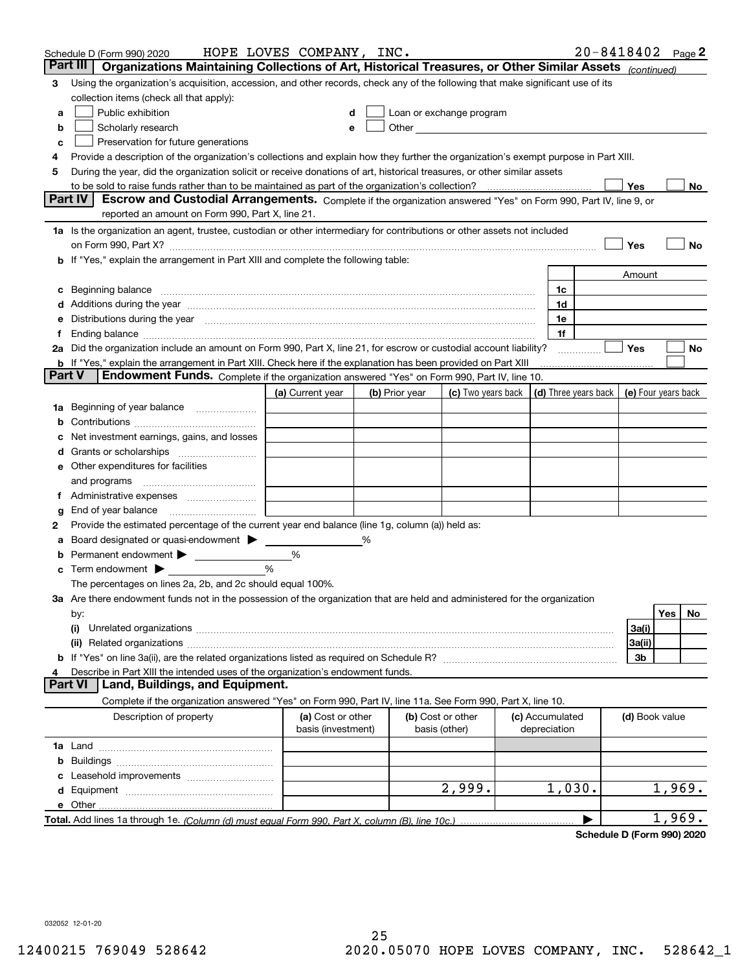|   | Schedule D (Form 990) 2020                                                                                                                                                                                                     | HOPE LOVES COMPANY, INC. |   |                |                                                                                                                                                                                                                               |                 | $20 - 8418402$ Page 2 |                     |        |    |
|---|--------------------------------------------------------------------------------------------------------------------------------------------------------------------------------------------------------------------------------|--------------------------|---|----------------|-------------------------------------------------------------------------------------------------------------------------------------------------------------------------------------------------------------------------------|-----------------|-----------------------|---------------------|--------|----|
|   | Part III<br>Organizations Maintaining Collections of Art, Historical Treasures, or Other Similar Assets (continued)                                                                                                            |                          |   |                |                                                                                                                                                                                                                               |                 |                       |                     |        |    |
| 3 | Using the organization's acquisition, accession, and other records, check any of the following that make significant use of its                                                                                                |                          |   |                |                                                                                                                                                                                                                               |                 |                       |                     |        |    |
|   | collection items (check all that apply):                                                                                                                                                                                       |                          |   |                |                                                                                                                                                                                                                               |                 |                       |                     |        |    |
| a | Public exhibition                                                                                                                                                                                                              |                          |   |                | Loan or exchange program                                                                                                                                                                                                      |                 |                       |                     |        |    |
| b | Scholarly research                                                                                                                                                                                                             |                          |   |                | Other and the contract of the contract of the contract of the contract of the contract of the contract of the contract of the contract of the contract of the contract of the contract of the contract of the contract of the |                 |                       |                     |        |    |
| с | Preservation for future generations                                                                                                                                                                                            |                          |   |                |                                                                                                                                                                                                                               |                 |                       |                     |        |    |
| 4 | Provide a description of the organization's collections and explain how they further the organization's exempt purpose in Part XIII.                                                                                           |                          |   |                |                                                                                                                                                                                                                               |                 |                       |                     |        |    |
| 5 | During the year, did the organization solicit or receive donations of art, historical treasures, or other similar assets                                                                                                       |                          |   |                |                                                                                                                                                                                                                               |                 |                       |                     |        |    |
|   | to be sold to raise funds rather than to be maintained as part of the organization's collection?                                                                                                                               |                          |   |                |                                                                                                                                                                                                                               |                 |                       | Yes                 |        | No |
|   | Escrow and Custodial Arrangements. Complete if the organization answered "Yes" on Form 990, Part IV, line 9, or<br><b>Part IV</b><br>reported an amount on Form 990, Part X, line 21.                                          |                          |   |                |                                                                                                                                                                                                                               |                 |                       |                     |        |    |
|   |                                                                                                                                                                                                                                |                          |   |                |                                                                                                                                                                                                                               |                 |                       |                     |        |    |
|   | 1a Is the organization an agent, trustee, custodian or other intermediary for contributions or other assets not included                                                                                                       |                          |   |                |                                                                                                                                                                                                                               |                 |                       |                     |        |    |
|   | on Form 990, Part X? [11] matter contracts and contracts and contracts are contracted as a form 990, Part X?<br><b>b</b> If "Yes," explain the arrangement in Part XIII and complete the following table:                      |                          |   |                |                                                                                                                                                                                                                               |                 |                       | Yes                 |        | No |
|   |                                                                                                                                                                                                                                |                          |   |                |                                                                                                                                                                                                                               |                 |                       | Amount              |        |    |
| c | Beginning balance <u>www.maren.communication.communication.communication.communication.com</u>                                                                                                                                 |                          |   |                |                                                                                                                                                                                                                               | 1c              |                       |                     |        |    |
|   |                                                                                                                                                                                                                                |                          |   |                |                                                                                                                                                                                                                               | 1d              |                       |                     |        |    |
|   | e Distributions during the year manufactured and an intervention of the year manufactured by the state of the state of the state of the state of the state of the state of the state of the state of the state of the state of |                          |   |                |                                                                                                                                                                                                                               | 1e              |                       |                     |        |    |
|   |                                                                                                                                                                                                                                |                          |   |                |                                                                                                                                                                                                                               | 1f              |                       |                     |        |    |
|   | 2a Did the organization include an amount on Form 990, Part X, line 21, for escrow or custodial account liability?                                                                                                             |                          |   |                |                                                                                                                                                                                                                               |                 | .                     | Yes                 |        | No |
|   | <b>b</b> If "Yes," explain the arrangement in Part XIII. Check here if the explanation has been provided on Part XIII                                                                                                          |                          |   |                |                                                                                                                                                                                                                               |                 |                       |                     |        |    |
|   | Part V<br>Endowment Funds. Complete if the organization answered "Yes" on Form 990, Part IV, line 10.                                                                                                                          |                          |   |                |                                                                                                                                                                                                                               |                 |                       |                     |        |    |
|   |                                                                                                                                                                                                                                | (a) Current year         |   | (b) Prior year | (c) Two years back $\vert$ (d) Three years back $\vert$                                                                                                                                                                       |                 |                       | (e) Four years back |        |    |
|   | 1a Beginning of year balance                                                                                                                                                                                                   |                          |   |                |                                                                                                                                                                                                                               |                 |                       |                     |        |    |
| b |                                                                                                                                                                                                                                |                          |   |                |                                                                                                                                                                                                                               |                 |                       |                     |        |    |
|   | Net investment earnings, gains, and losses                                                                                                                                                                                     |                          |   |                |                                                                                                                                                                                                                               |                 |                       |                     |        |    |
|   |                                                                                                                                                                                                                                |                          |   |                |                                                                                                                                                                                                                               |                 |                       |                     |        |    |
|   | e Other expenditures for facilities                                                                                                                                                                                            |                          |   |                |                                                                                                                                                                                                                               |                 |                       |                     |        |    |
|   | and programs                                                                                                                                                                                                                   |                          |   |                |                                                                                                                                                                                                                               |                 |                       |                     |        |    |
|   | f Administrative expenses                                                                                                                                                                                                      |                          |   |                |                                                                                                                                                                                                                               |                 |                       |                     |        |    |
| g | End of year balance <i>manually contained</i>                                                                                                                                                                                  |                          |   |                |                                                                                                                                                                                                                               |                 |                       |                     |        |    |
| 2 | Provide the estimated percentage of the current year end balance (line 1g, column (a)) held as:                                                                                                                                |                          |   |                |                                                                                                                                                                                                                               |                 |                       |                     |        |    |
| а | Board designated or quasi-endowment                                                                                                                                                                                            |                          | % |                |                                                                                                                                                                                                                               |                 |                       |                     |        |    |
| b | Permanent endowment >                                                                                                                                                                                                          | %                        |   |                |                                                                                                                                                                                                                               |                 |                       |                     |        |    |
|   | $\mathbf c$ Term endowment $\blacktriangleright$                                                                                                                                                                               | %                        |   |                |                                                                                                                                                                                                                               |                 |                       |                     |        |    |
|   | The percentages on lines 2a, 2b, and 2c should equal 100%.                                                                                                                                                                     |                          |   |                |                                                                                                                                                                                                                               |                 |                       |                     |        |    |
|   | 3a Are there endowment funds not in the possession of the organization that are held and administered for the organization                                                                                                     |                          |   |                |                                                                                                                                                                                                                               |                 |                       |                     |        |    |
|   | by:                                                                                                                                                                                                                            |                          |   |                |                                                                                                                                                                                                                               |                 |                       |                     | Yes    | No |
|   | (i)                                                                                                                                                                                                                            |                          |   |                |                                                                                                                                                                                                                               |                 |                       | 3a(i)               |        |    |
|   |                                                                                                                                                                                                                                |                          |   |                |                                                                                                                                                                                                                               |                 |                       | 3a(ii)<br>3b        |        |    |
| 4 | Describe in Part XIII the intended uses of the organization's endowment funds.                                                                                                                                                 |                          |   |                |                                                                                                                                                                                                                               |                 |                       |                     |        |    |
|   | Land, Buildings, and Equipment.<br><b>Part VI</b>                                                                                                                                                                              |                          |   |                |                                                                                                                                                                                                                               |                 |                       |                     |        |    |
|   | Complete if the organization answered "Yes" on Form 990, Part IV, line 11a. See Form 990, Part X, line 10.                                                                                                                     |                          |   |                |                                                                                                                                                                                                                               |                 |                       |                     |        |    |
|   | Description of property                                                                                                                                                                                                        | (a) Cost or other        |   |                | (b) Cost or other                                                                                                                                                                                                             | (c) Accumulated |                       | (d) Book value      |        |    |
|   |                                                                                                                                                                                                                                | basis (investment)       |   |                | basis (other)                                                                                                                                                                                                                 | depreciation    |                       |                     |        |    |
|   |                                                                                                                                                                                                                                |                          |   |                |                                                                                                                                                                                                                               |                 |                       |                     |        |    |
| b |                                                                                                                                                                                                                                |                          |   |                |                                                                                                                                                                                                                               |                 |                       |                     |        |    |
|   |                                                                                                                                                                                                                                |                          |   |                |                                                                                                                                                                                                                               |                 |                       |                     |        |    |
|   |                                                                                                                                                                                                                                |                          |   |                | 2,999.                                                                                                                                                                                                                        | 1,030.          |                       |                     | 1,969. |    |
|   |                                                                                                                                                                                                                                |                          |   |                |                                                                                                                                                                                                                               |                 |                       |                     |        |    |
|   |                                                                                                                                                                                                                                |                          |   |                |                                                                                                                                                                                                                               |                 | ▶                     |                     | 1,969. |    |

**Schedule D (Form 990) 2020**

032052 12‐01‐20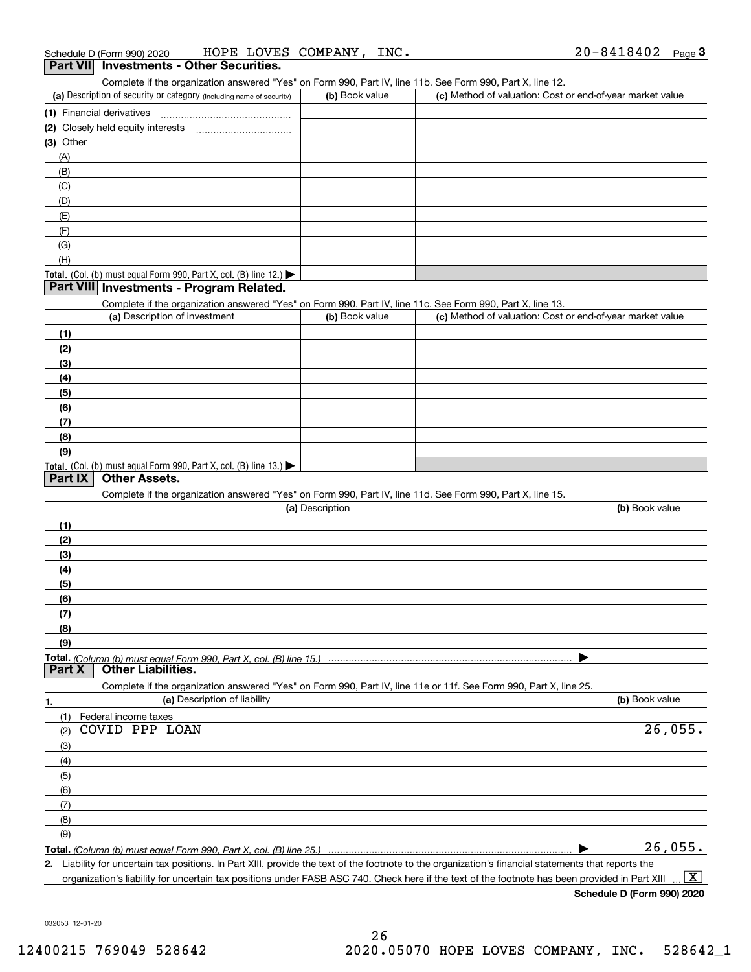#### **Part VII** Investments - Other Securities.

Complete if the organization answered "Yes" on Form 990, Part IV, line 11b. See Form 990, Part X, line 12.

| (a) Description of security or category (including name of security)                   | (b) Book value | (c) Method of valuation: Cost or end-of-year market value |
|----------------------------------------------------------------------------------------|----------------|-----------------------------------------------------------|
| (1) Financial derivatives                                                              |                |                                                           |
| (2) Closely held equity interests                                                      |                |                                                           |
| $(3)$ Other                                                                            |                |                                                           |
| (A)                                                                                    |                |                                                           |
| (B)                                                                                    |                |                                                           |
| (C)                                                                                    |                |                                                           |
| (D)                                                                                    |                |                                                           |
| (E)                                                                                    |                |                                                           |
| (F)                                                                                    |                |                                                           |
| (G)                                                                                    |                |                                                           |
| (H)                                                                                    |                |                                                           |
| Total. (Col. (b) must equal Form 990, Part X, col. (B) line 12.) $\blacktriangleright$ |                |                                                           |

#### **Part VIII Investments ‐ Program Related.**

Complete if the organization answered "Yes" on Form 990, Part IV, line 11c. See Form 990, Part X, line 13.

| (a) Description of investment                                                                 | (b) Book value | (c) Method of valuation: Cost or end-of-year market value |
|-----------------------------------------------------------------------------------------------|----------------|-----------------------------------------------------------|
| (1)                                                                                           |                |                                                           |
| (2)                                                                                           |                |                                                           |
| (3)                                                                                           |                |                                                           |
| (4)                                                                                           |                |                                                           |
| $\left(5\right)$                                                                              |                |                                                           |
| (6)                                                                                           |                |                                                           |
| (7)                                                                                           |                |                                                           |
| (8)                                                                                           |                |                                                           |
| (9)                                                                                           |                |                                                           |
| <b>Total.</b> (Col. (b) must equal Form 990, Part X, col. (B) line 13.) $\blacktriangleright$ |                |                                                           |

#### **Part IX | Other Assets.**

Complete if the organization answered "Yes" on Form 990, Part IV, line 11d. See Form 990, Part X, line 15.

| (a) Description                                                                                                                       | (b) Book value |
|---------------------------------------------------------------------------------------------------------------------------------------|----------------|
| (1)                                                                                                                                   |                |
| (2)                                                                                                                                   |                |
| (3)                                                                                                                                   |                |
| (4)                                                                                                                                   |                |
| (5)                                                                                                                                   |                |
| (6)                                                                                                                                   |                |
|                                                                                                                                       |                |
| (8)                                                                                                                                   |                |
| (9)                                                                                                                                   |                |
|                                                                                                                                       |                |
| Total. (Column (b) must equal Form 990, Part X, col. (B) line 15.) ………………………………………………………………………………………<br>  Part X   Other Liabilities. |                |

**1. (a)** Description of liability **and the contract of the contract of liability <b>(b)** Book value **Total.**  *(Column (b) must equal Form 990, Part X, col. (B) line 25.)* Complete if the organization answered "Yes" on Form 990, Part IV, line 11e or 11f. See Form 990, Part X, line 25. (1) Federal income taxes (2) (3) (4) (5) (6) (7) (8) (9) | COVID PPP LOAN 26,055. 26,055.

**2.** Liability for uncertain tax positions. In Part XIII, provide the text of the footnote to the organization's financial statements that reports the organization's liability for uncertain tax positions under FASB ASC 740. Check here if the text of the footnote has been provided in Part XIII  $\boxed{\text{X}}$ 

**Schedule D (Form 990) 2020**

032053 12‐01‐20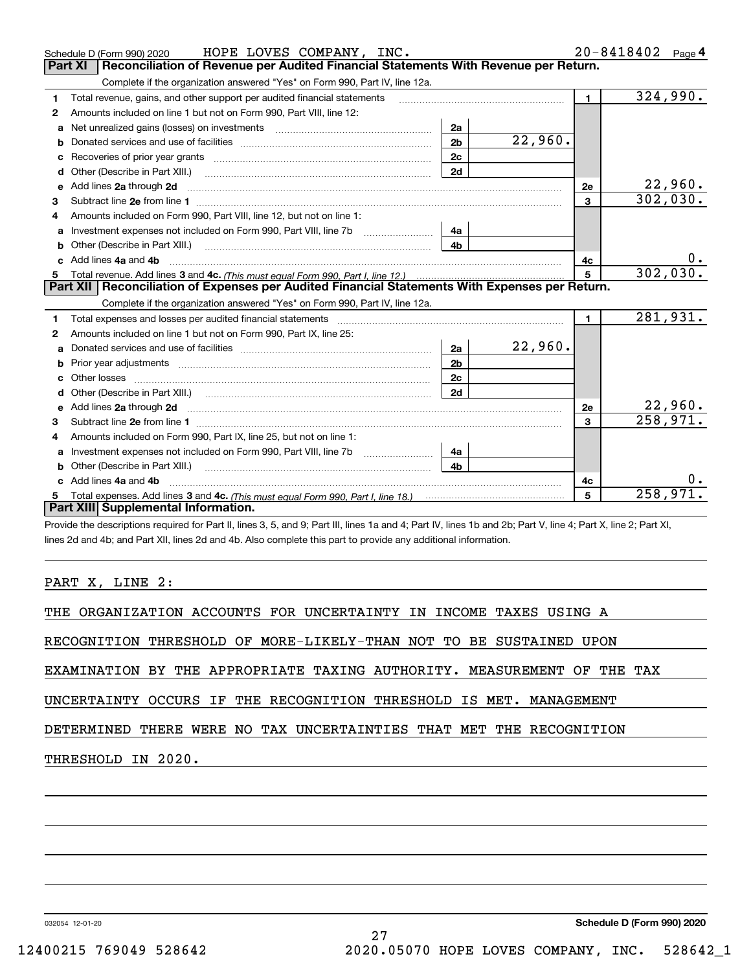|   | HOPE LOVES COMPANY, INC.<br>Schedule D (Form 990) 2020                                                                                                                                                                              |                |         |                | 20-8418402<br>Page 4     |
|---|-------------------------------------------------------------------------------------------------------------------------------------------------------------------------------------------------------------------------------------|----------------|---------|----------------|--------------------------|
|   | Reconciliation of Revenue per Audited Financial Statements With Revenue per Return.<br>Part XI                                                                                                                                      |                |         |                |                          |
|   | Complete if the organization answered "Yes" on Form 990, Part IV, line 12a.                                                                                                                                                         |                |         |                |                          |
| 1 | Total revenue, gains, and other support per audited financial statements                                                                                                                                                            |                |         | $\mathbf{1}$   | 324,990.                 |
| 2 | Amounts included on line 1 but not on Form 990, Part VIII, line 12:                                                                                                                                                                 |                |         |                |                          |
| a |                                                                                                                                                                                                                                     | 2a             |         |                |                          |
|   |                                                                                                                                                                                                                                     | 2 <sub>b</sub> | 22,960. |                |                          |
|   |                                                                                                                                                                                                                                     | 2c             |         |                |                          |
| d |                                                                                                                                                                                                                                     | 2d             |         |                |                          |
| e | Add lines 2a through 2d                                                                                                                                                                                                             |                |         | 2е             | $\frac{22,960}{302,030}$ |
| з |                                                                                                                                                                                                                                     |                |         | $\mathbf{3}$   |                          |
| 4 | Amounts included on Form 990, Part VIII, line 12, but not on line 1:                                                                                                                                                                |                |         |                |                          |
|   |                                                                                                                                                                                                                                     | 4a             |         |                |                          |
|   | Other (Describe in Part XIII.) <b>2006</b> 2007 2010 2010 2010 2010 2011 2012 2013 2014 2014 2015 2016 2017 2018 2019 2016 2017 2018 2019 2016 2017 2018 2019 2016 2017 2018 2019 2018 2019 2019 2016 2017 2018 2019 2018 2019 2019 | 4 <sub>b</sub> |         |                |                          |
|   | c Add lines 4a and 4b                                                                                                                                                                                                               |                |         | 4с             | 0.                       |
|   |                                                                                                                                                                                                                                     |                |         | 5              | 302,030.                 |
|   |                                                                                                                                                                                                                                     |                |         |                |                          |
|   | Part XII   Reconciliation of Expenses per Audited Financial Statements With Expenses per Return.                                                                                                                                    |                |         |                |                          |
|   | Complete if the organization answered "Yes" on Form 990, Part IV, line 12a.                                                                                                                                                         |                |         |                |                          |
| 1 |                                                                                                                                                                                                                                     |                |         | $\blacksquare$ | 281,931.                 |
| 2 | Amounts included on line 1 but not on Form 990, Part IX, line 25:                                                                                                                                                                   |                |         |                |                          |
| а |                                                                                                                                                                                                                                     | 2a             | 22,960. |                |                          |
| b |                                                                                                                                                                                                                                     | 2 <sub>b</sub> |         |                |                          |
|   |                                                                                                                                                                                                                                     | 2c             |         |                |                          |
| d |                                                                                                                                                                                                                                     | 2d             |         |                |                          |
| е | Add lines 2a through 2d <b>contained a contained a contained a contained a</b> contained a contained a contained a contained a contained a contained a contained a contained a contained a contained a contained a contained a cont |                |         | 2e             | 22,960.                  |
| з |                                                                                                                                                                                                                                     |                |         | $\mathbf{3}$   | 258,971.                 |
| 4 | Amounts included on Form 990, Part IX, line 25, but not on line 1:                                                                                                                                                                  |                |         |                |                          |
| a |                                                                                                                                                                                                                                     | 4a             |         |                |                          |
| b | Other (Describe in Part XIII.)                                                                                                                                                                                                      | 4 <sub>b</sub> |         |                |                          |
|   | c Add lines 4a and 4b                                                                                                                                                                                                               |                |         | 4с             |                          |
|   | Total expenses. Add lines 3 and 4c. (This must equal Form 990, Part I, line 18.) <b>Conservers</b> manufactured in the<br>Part XIII Supplemental Information.                                                                       |                |         | 5              | 258,971                  |

Provide the descriptions required for Part II, lines 3, 5, and 9; Part III, lines 1a and 4; Part IV, lines 1b and 2b; Part V, line 4; Part X, line 2; Part XI, lines 2d and 4b; and Part XII, lines 2d and 4b. Also complete this part to provide any additional information.

PART X, LINE 2:

THE ORGANIZATION ACCOUNTS FOR UNCERTAINTY IN INCOME TAXES USING A

RECOGNITION THRESHOLD OF MORE‐LIKELY‐THAN NOT TO BE SUSTAINED UPON

EXAMINATION BY THE APPROPRIATE TAXING AUTHORITY. MEASUREMENT OF THE TAX

UNCERTAINTY OCCURS IF THE RECOGNITION THRESHOLD IS MET. MANAGEMENT

DETERMINED THERE WERE NO TAX UNCERTAINTIES THAT MET THE RECOGNITION

THRESHOLD IN 2020.

032054 12‐01‐20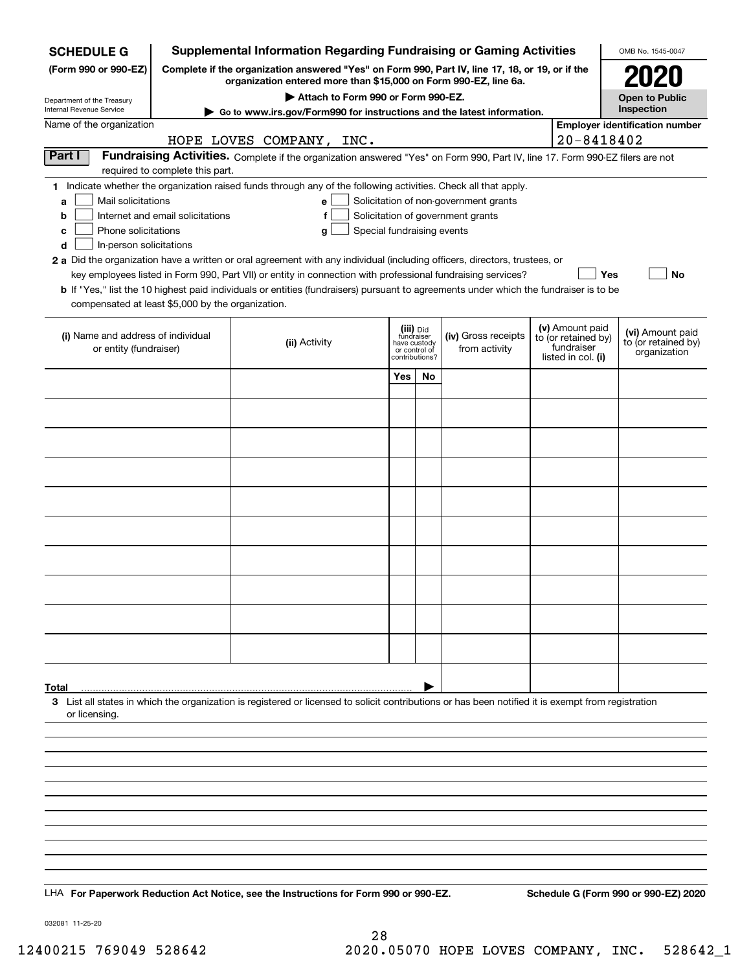| <b>SCHEDULE G</b>                                                                                                                             |                                                                                                                                                                     | <b>Supplemental Information Regarding Fundraising or Gaming Activities</b>                                                                                                                                                                                                                                                                                                                                                                                                                                                                         |                                                                            |    |                                                                            |  |                                                                            | OMB No. 1545-0047                                       |  |
|-----------------------------------------------------------------------------------------------------------------------------------------------|---------------------------------------------------------------------------------------------------------------------------------------------------------------------|----------------------------------------------------------------------------------------------------------------------------------------------------------------------------------------------------------------------------------------------------------------------------------------------------------------------------------------------------------------------------------------------------------------------------------------------------------------------------------------------------------------------------------------------------|----------------------------------------------------------------------------|----|----------------------------------------------------------------------------|--|----------------------------------------------------------------------------|---------------------------------------------------------|--|
| (Form 990 or 990-EZ)                                                                                                                          | Complete if the organization answered "Yes" on Form 990, Part IV, line 17, 18, or 19, or if the<br>organization entered more than \$15,000 on Form 990-EZ, line 6a. |                                                                                                                                                                                                                                                                                                                                                                                                                                                                                                                                                    |                                                                            |    |                                                                            |  |                                                                            |                                                         |  |
| Department of the Treasury                                                                                                                    |                                                                                                                                                                     | Attach to Form 990 or Form 990-EZ.                                                                                                                                                                                                                                                                                                                                                                                                                                                                                                                 |                                                                            |    |                                                                            |  |                                                                            | <b>Open to Public</b>                                   |  |
| Internal Revenue Service                                                                                                                      |                                                                                                                                                                     | ► Go to www.irs.gov/Form990 for instructions and the latest information.                                                                                                                                                                                                                                                                                                                                                                                                                                                                           |                                                                            |    |                                                                            |  |                                                                            | Inspection                                              |  |
| Name of the organization                                                                                                                      |                                                                                                                                                                     |                                                                                                                                                                                                                                                                                                                                                                                                                                                                                                                                                    |                                                                            |    |                                                                            |  |                                                                            | <b>Employer identification number</b>                   |  |
| Part I                                                                                                                                        |                                                                                                                                                                     | HOPE LOVES COMPANY, INC.<br>Fundraising Activities. Complete if the organization answered "Yes" on Form 990, Part IV, line 17. Form 990-EZ filers are not                                                                                                                                                                                                                                                                                                                                                                                          |                                                                            |    |                                                                            |  | $20 - 8418402$                                                             |                                                         |  |
|                                                                                                                                               | required to complete this part.                                                                                                                                     |                                                                                                                                                                                                                                                                                                                                                                                                                                                                                                                                                    |                                                                            |    |                                                                            |  |                                                                            |                                                         |  |
| Mail solicitations<br>a<br>b<br>Phone solicitations<br>c<br>In-person solicitations<br>d<br>compensated at least \$5,000 by the organization. | Internet and email solicitations                                                                                                                                    | 1 Indicate whether the organization raised funds through any of the following activities. Check all that apply.<br>e<br>f<br>Special fundraising events<br>g<br>2 a Did the organization have a written or oral agreement with any individual (including officers, directors, trustees, or<br>key employees listed in Form 990, Part VII) or entity in connection with professional fundraising services?<br>b If "Yes," list the 10 highest paid individuals or entities (fundraisers) pursuant to agreements under which the fundraiser is to be |                                                                            |    | Solicitation of non-government grants<br>Solicitation of government grants |  | Yes                                                                        | <b>No</b>                                               |  |
| (i) Name and address of individual<br>or entity (fundraiser)                                                                                  |                                                                                                                                                                     | (ii) Activity                                                                                                                                                                                                                                                                                                                                                                                                                                                                                                                                      | (iii) Did<br>fundraiser<br>have custody<br>or control of<br>contributions? |    | (iv) Gross receipts<br>from activity                                       |  | (v) Amount paid<br>to (or retained by)<br>fundraiser<br>listed in col. (i) | (vi) Amount paid<br>to (or retained by)<br>organization |  |
|                                                                                                                                               |                                                                                                                                                                     |                                                                                                                                                                                                                                                                                                                                                                                                                                                                                                                                                    | Yes                                                                        | No |                                                                            |  |                                                                            |                                                         |  |
|                                                                                                                                               |                                                                                                                                                                     |                                                                                                                                                                                                                                                                                                                                                                                                                                                                                                                                                    |                                                                            |    |                                                                            |  |                                                                            |                                                         |  |
|                                                                                                                                               |                                                                                                                                                                     |                                                                                                                                                                                                                                                                                                                                                                                                                                                                                                                                                    |                                                                            |    |                                                                            |  |                                                                            |                                                         |  |
|                                                                                                                                               |                                                                                                                                                                     |                                                                                                                                                                                                                                                                                                                                                                                                                                                                                                                                                    |                                                                            |    |                                                                            |  |                                                                            |                                                         |  |
|                                                                                                                                               |                                                                                                                                                                     |                                                                                                                                                                                                                                                                                                                                                                                                                                                                                                                                                    |                                                                            |    |                                                                            |  |                                                                            |                                                         |  |
|                                                                                                                                               |                                                                                                                                                                     |                                                                                                                                                                                                                                                                                                                                                                                                                                                                                                                                                    |                                                                            |    |                                                                            |  |                                                                            |                                                         |  |
|                                                                                                                                               |                                                                                                                                                                     |                                                                                                                                                                                                                                                                                                                                                                                                                                                                                                                                                    |                                                                            |    |                                                                            |  |                                                                            |                                                         |  |
|                                                                                                                                               |                                                                                                                                                                     |                                                                                                                                                                                                                                                                                                                                                                                                                                                                                                                                                    |                                                                            |    |                                                                            |  |                                                                            |                                                         |  |
|                                                                                                                                               |                                                                                                                                                                     |                                                                                                                                                                                                                                                                                                                                                                                                                                                                                                                                                    |                                                                            |    |                                                                            |  |                                                                            |                                                         |  |
|                                                                                                                                               |                                                                                                                                                                     |                                                                                                                                                                                                                                                                                                                                                                                                                                                                                                                                                    |                                                                            |    |                                                                            |  |                                                                            |                                                         |  |
|                                                                                                                                               |                                                                                                                                                                     |                                                                                                                                                                                                                                                                                                                                                                                                                                                                                                                                                    |                                                                            |    |                                                                            |  |                                                                            |                                                         |  |
|                                                                                                                                               |                                                                                                                                                                     |                                                                                                                                                                                                                                                                                                                                                                                                                                                                                                                                                    |                                                                            |    |                                                                            |  |                                                                            |                                                         |  |
|                                                                                                                                               |                                                                                                                                                                     |                                                                                                                                                                                                                                                                                                                                                                                                                                                                                                                                                    |                                                                            |    |                                                                            |  |                                                                            |                                                         |  |
|                                                                                                                                               |                                                                                                                                                                     |                                                                                                                                                                                                                                                                                                                                                                                                                                                                                                                                                    |                                                                            |    |                                                                            |  |                                                                            |                                                         |  |
|                                                                                                                                               |                                                                                                                                                                     |                                                                                                                                                                                                                                                                                                                                                                                                                                                                                                                                                    |                                                                            |    |                                                                            |  |                                                                            |                                                         |  |
| Total                                                                                                                                         |                                                                                                                                                                     | 3 List all states in which the organization is registered or licensed to solicit contributions or has been notified it is exempt from registration                                                                                                                                                                                                                                                                                                                                                                                                 |                                                                            |    |                                                                            |  |                                                                            |                                                         |  |
| or licensing.                                                                                                                                 |                                                                                                                                                                     |                                                                                                                                                                                                                                                                                                                                                                                                                                                                                                                                                    |                                                                            |    |                                                                            |  |                                                                            |                                                         |  |
|                                                                                                                                               |                                                                                                                                                                     |                                                                                                                                                                                                                                                                                                                                                                                                                                                                                                                                                    |                                                                            |    |                                                                            |  |                                                                            |                                                         |  |
|                                                                                                                                               |                                                                                                                                                                     |                                                                                                                                                                                                                                                                                                                                                                                                                                                                                                                                                    |                                                                            |    |                                                                            |  |                                                                            |                                                         |  |
|                                                                                                                                               |                                                                                                                                                                     |                                                                                                                                                                                                                                                                                                                                                                                                                                                                                                                                                    |                                                                            |    |                                                                            |  |                                                                            |                                                         |  |
|                                                                                                                                               |                                                                                                                                                                     |                                                                                                                                                                                                                                                                                                                                                                                                                                                                                                                                                    |                                                                            |    |                                                                            |  |                                                                            |                                                         |  |
|                                                                                                                                               |                                                                                                                                                                     |                                                                                                                                                                                                                                                                                                                                                                                                                                                                                                                                                    |                                                                            |    |                                                                            |  |                                                                            |                                                         |  |
|                                                                                                                                               |                                                                                                                                                                     |                                                                                                                                                                                                                                                                                                                                                                                                                                                                                                                                                    |                                                                            |    |                                                                            |  |                                                                            |                                                         |  |
|                                                                                                                                               |                                                                                                                                                                     |                                                                                                                                                                                                                                                                                                                                                                                                                                                                                                                                                    |                                                                            |    |                                                                            |  |                                                                            |                                                         |  |
|                                                                                                                                               |                                                                                                                                                                     |                                                                                                                                                                                                                                                                                                                                                                                                                                                                                                                                                    |                                                                            |    |                                                                            |  |                                                                            |                                                         |  |
|                                                                                                                                               |                                                                                                                                                                     | LHA For Paperwork Reduction Act Notice, see the Instructions for Form 990 or 990-EZ.                                                                                                                                                                                                                                                                                                                                                                                                                                                               |                                                                            |    |                                                                            |  |                                                                            | Schedule G (Form 990 or 990-EZ) 2020                    |  |

032081 11‐25‐20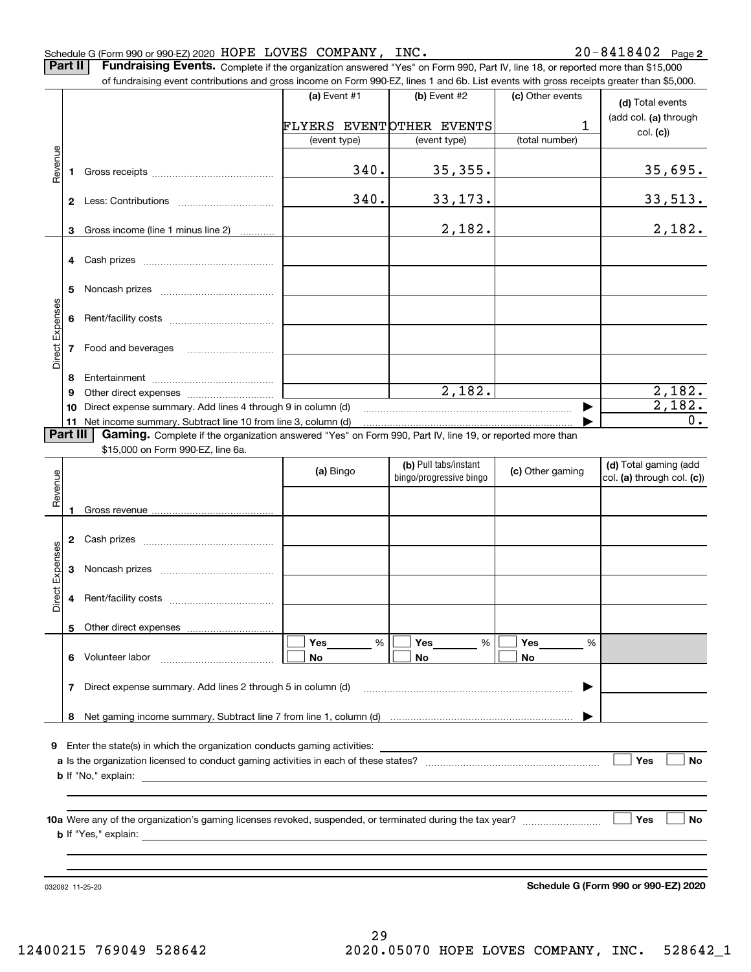|                 |          | of fundraising event contributions and gross income on Form 990-EZ, lines 1 and 6b. List events with gross receipts greater than \$5,000.     |                          |                         |                  |                                      |
|-----------------|----------|-----------------------------------------------------------------------------------------------------------------------------------------------|--------------------------|-------------------------|------------------|--------------------------------------|
|                 |          |                                                                                                                                               | (a) Event #1             | (b) Event #2            | (c) Other events | (d) Total events                     |
|                 |          |                                                                                                                                               | FLYERS EVENTOTHER EVENTS |                         | 1                | (add col. (a) through                |
|                 |          |                                                                                                                                               | (event type)             | (event type)            | (total number)   | col. (c)                             |
|                 |          |                                                                                                                                               |                          |                         |                  |                                      |
| Revenue         | 1        |                                                                                                                                               | 340.                     | 35,355.                 |                  | 35,695.                              |
|                 |          |                                                                                                                                               | 340.                     | 33, 173.                |                  | <u>33,513.</u>                       |
|                 | 3        | Gross income (line 1 minus line 2)                                                                                                            |                          | 2,182.                  |                  | 2,182.                               |
|                 |          |                                                                                                                                               |                          |                         |                  |                                      |
|                 |          |                                                                                                                                               |                          |                         |                  |                                      |
|                 | 5        |                                                                                                                                               |                          |                         |                  |                                      |
| Direct Expenses | 6        |                                                                                                                                               |                          |                         |                  |                                      |
|                 | 7        |                                                                                                                                               |                          |                         |                  |                                      |
|                 | 8        |                                                                                                                                               |                          |                         |                  |                                      |
|                 | 9        |                                                                                                                                               |                          | 2,182.                  |                  | 2,182.                               |
|                 |          |                                                                                                                                               |                          |                         | ▶                | 2,182.                               |
|                 | Part III |                                                                                                                                               |                          |                         |                  | 0.                                   |
|                 |          | Gaming. Complete if the organization answered "Yes" on Form 990, Part IV, line 19, or reported more than<br>\$15,000 on Form 990-EZ, line 6a. |                          |                         |                  |                                      |
|                 |          |                                                                                                                                               |                          | (b) Pull tabs/instant   |                  | (d) Total gaming (add                |
|                 |          |                                                                                                                                               | (a) Bingo                | bingo/progressive bingo | (c) Other gaming | col. (a) through col. (c))           |
| Revenue         |          |                                                                                                                                               |                          |                         |                  |                                      |
|                 |          |                                                                                                                                               |                          |                         |                  |                                      |
|                 | 2        |                                                                                                                                               |                          |                         |                  |                                      |
|                 | 3        |                                                                                                                                               |                          |                         |                  |                                      |
| Direct Expenses | 4        |                                                                                                                                               |                          |                         |                  |                                      |
|                 |          |                                                                                                                                               |                          |                         |                  |                                      |
|                 |          |                                                                                                                                               |                          |                         |                  |                                      |
|                 |          | 6 Volunteer labor                                                                                                                             | $\%$<br>Yes              | Yes<br>%                | Yes<br>%         |                                      |
|                 |          |                                                                                                                                               | No                       | No                      | No               |                                      |
|                 | 7        | Direct expense summary. Add lines 2 through 5 in column (d)                                                                                   |                          |                         | ▶                |                                      |
|                 | 8        |                                                                                                                                               |                          |                         |                  |                                      |
|                 |          |                                                                                                                                               |                          |                         |                  |                                      |
| 9               |          |                                                                                                                                               |                          |                         |                  |                                      |
|                 |          |                                                                                                                                               |                          |                         |                  | Yes<br>No                            |
|                 |          |                                                                                                                                               |                          |                         |                  |                                      |
|                 |          |                                                                                                                                               |                          |                         |                  |                                      |
|                 |          |                                                                                                                                               |                          |                         |                  | Yes<br>No                            |
|                 |          |                                                                                                                                               |                          |                         |                  |                                      |
|                 |          |                                                                                                                                               |                          |                         |                  |                                      |
|                 |          |                                                                                                                                               |                          |                         |                  | Schedule G (Form 990 or 990-EZ) 2020 |
|                 |          | 032082 11-25-20                                                                                                                               |                          |                         |                  |                                      |

Schedule G (Form 990 or 990‐EZ) 2020 Page HOPE LOVES COMPANY, INC. 20‐8418402 Part II | Fundraising Events. Complete if the organization answered "Yes" on Form 990, Part IV, line 18, or reported more than \$15,000

20-8418402 Page 2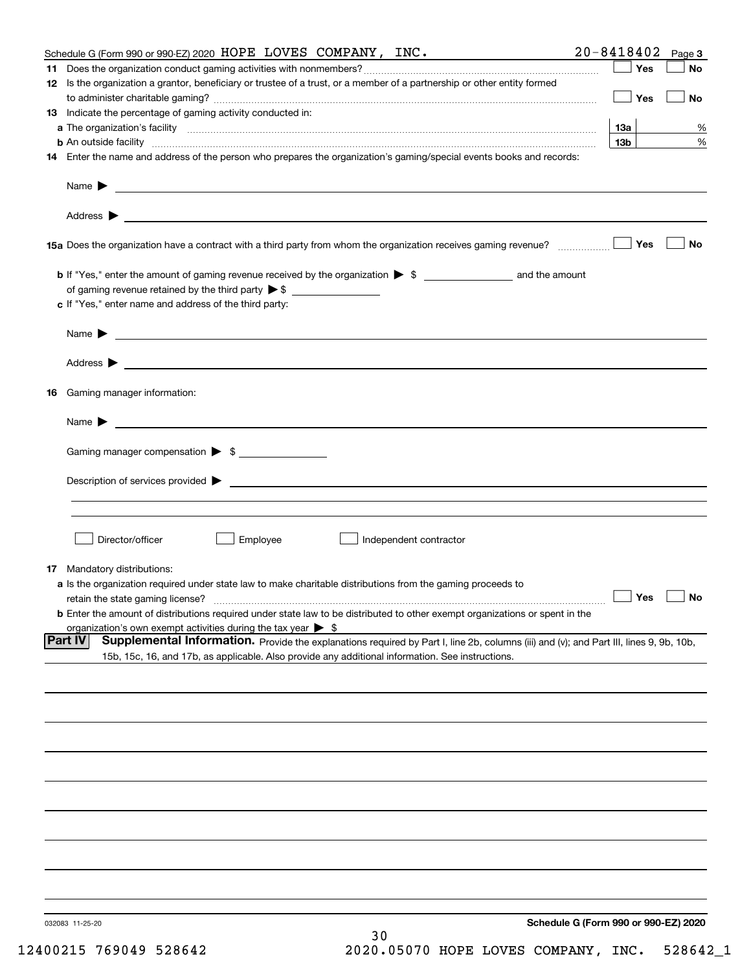|     | Schedule G (Form 990 or 990-EZ) 2020 HOPE LOVES COMPANY, INC.                                                                                      | $20 - 8418402$  | Page 3    |
|-----|----------------------------------------------------------------------------------------------------------------------------------------------------|-----------------|-----------|
| 11. |                                                                                                                                                    | Yes             | No        |
|     | 12 Is the organization a grantor, beneficiary or trustee of a trust, or a member of a partnership or other entity formed                           |                 |           |
|     |                                                                                                                                                    | Yes             | No        |
|     | 13 Indicate the percentage of gaming activity conducted in:                                                                                        |                 |           |
|     |                                                                                                                                                    | <b>13a</b>      | %         |
|     | <b>b</b> An outside facility <i>www.communicality www.communicality.communicality www.communicality www.communicality.communicality</i>            | 13 <sub>b</sub> | %         |
|     | 14 Enter the name and address of the person who prepares the organization's gaming/special events books and records:                               |                 |           |
|     |                                                                                                                                                    |                 |           |
|     | Name $\triangleright$ $\square$                                                                                                                    |                 |           |
|     |                                                                                                                                                    |                 |           |
|     |                                                                                                                                                    |                 |           |
|     |                                                                                                                                                    | Yes             | No        |
|     |                                                                                                                                                    |                 |           |
|     |                                                                                                                                                    |                 |           |
|     |                                                                                                                                                    |                 |           |
|     | c If "Yes," enter name and address of the third party:                                                                                             |                 |           |
|     |                                                                                                                                                    |                 |           |
|     | Name $\blacktriangleright$ $\lrcorner$                                                                                                             |                 |           |
|     |                                                                                                                                                    |                 |           |
|     |                                                                                                                                                    |                 |           |
|     | 16 Gaming manager information:                                                                                                                     |                 |           |
|     |                                                                                                                                                    |                 |           |
|     | Name $\blacktriangleright$ $\lrcorner$                                                                                                             |                 |           |
|     |                                                                                                                                                    |                 |           |
|     | Gaming manager compensation > \$                                                                                                                   |                 |           |
|     |                                                                                                                                                    |                 |           |
|     | $Description of services provided$ $\triangleright$                                                                                                |                 |           |
|     |                                                                                                                                                    |                 |           |
|     |                                                                                                                                                    |                 |           |
|     | Director/officer                                                                                                                                   |                 |           |
|     | Employee<br>Independent contractor                                                                                                                 |                 |           |
|     | <b>17</b> Mandatory distributions:                                                                                                                 |                 |           |
|     | a Is the organization required under state law to make charitable distributions from the gaming proceeds to                                        |                 |           |
|     | retain the state gaming license?                                                                                                                   | $\Box$ Yes      | $\Box$ No |
|     | <b>b</b> Enter the amount of distributions required under state law to be distributed to other exempt organizations or spent in the                |                 |           |
|     | organization's own exempt activities during the tax year $\triangleright$ \$                                                                       |                 |           |
|     | Supplemental Information. Provide the explanations required by Part I, line 2b, columns (iii) and (v); and Part III, lines 9, 9b, 10b,<br> Part IV |                 |           |
|     | 15b, 15c, 16, and 17b, as applicable. Also provide any additional information. See instructions.                                                   |                 |           |
|     |                                                                                                                                                    |                 |           |
|     |                                                                                                                                                    |                 |           |
|     |                                                                                                                                                    |                 |           |
|     |                                                                                                                                                    |                 |           |
|     |                                                                                                                                                    |                 |           |
|     |                                                                                                                                                    |                 |           |
|     |                                                                                                                                                    |                 |           |
|     |                                                                                                                                                    |                 |           |
|     |                                                                                                                                                    |                 |           |
|     |                                                                                                                                                    |                 |           |
|     |                                                                                                                                                    |                 |           |
|     |                                                                                                                                                    |                 |           |
|     |                                                                                                                                                    |                 |           |
|     |                                                                                                                                                    |                 |           |
|     |                                                                                                                                                    |                 |           |
|     | Schedule G (Form 990 or 990-EZ) 2020<br>032083 11-25-20                                                                                            |                 |           |
|     | 30                                                                                                                                                 |                 |           |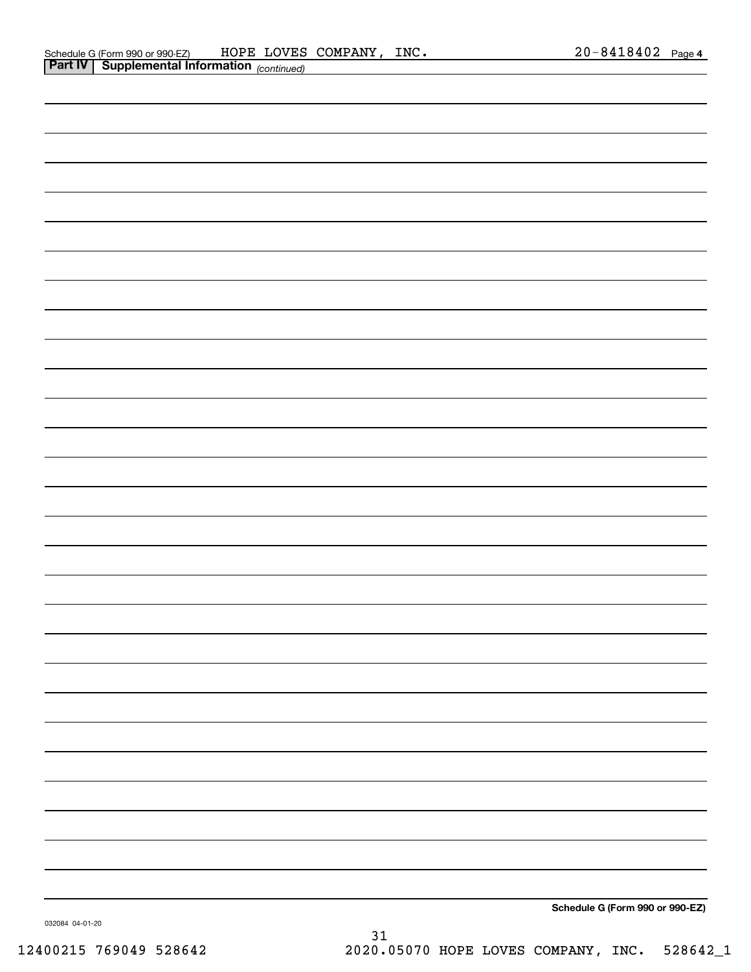| <b>Part IV   Supplemental Information</b> (continued) |                                 |
|-------------------------------------------------------|---------------------------------|
|                                                       |                                 |
|                                                       |                                 |
|                                                       |                                 |
|                                                       |                                 |
|                                                       |                                 |
|                                                       |                                 |
|                                                       |                                 |
|                                                       |                                 |
|                                                       |                                 |
|                                                       |                                 |
|                                                       |                                 |
|                                                       |                                 |
|                                                       |                                 |
|                                                       |                                 |
|                                                       |                                 |
|                                                       |                                 |
|                                                       |                                 |
|                                                       |                                 |
|                                                       |                                 |
|                                                       |                                 |
|                                                       |                                 |
|                                                       |                                 |
|                                                       |                                 |
|                                                       |                                 |
|                                                       |                                 |
|                                                       |                                 |
|                                                       |                                 |
|                                                       |                                 |
|                                                       |                                 |
|                                                       |                                 |
|                                                       |                                 |
|                                                       |                                 |
|                                                       |                                 |
|                                                       | Schedule G (Form 990 or 990-EZ) |

032084 04‐01‐20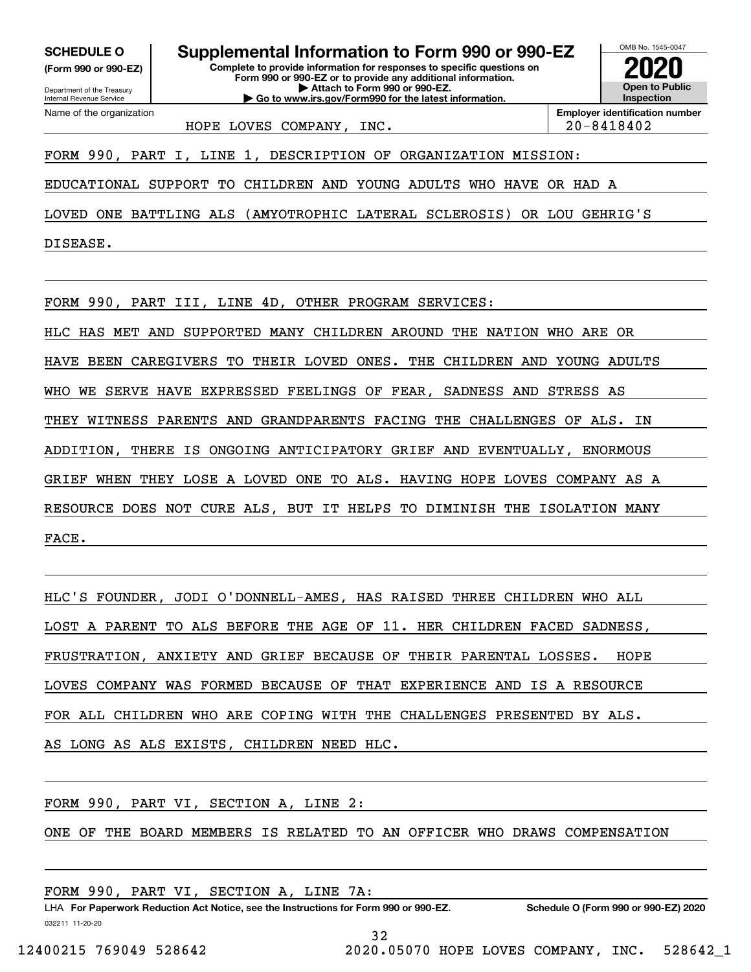**(Form 990 or 990‐EZ)**

Department of the Treasury Internal Revenue Service Name of the organization

**Complete to provide information for responses to specific questions on SCHEDULE O Supplemental Information to Form 990 or 990‐EZ 2020**

**Form 990 or 990‐EZ or to provide any additional information. | Attach to Form 990 or 990‐EZ. | Go to www.irs.gov/Form990 for the latest information.**



HOPE LOVES COMPANY, INC. 20–8418402

**Employer identification number**

FORM 990, PART I, LINE 1, DESCRIPTION OF ORGANIZATION MISSION:

EDUCATIONAL SUPPORT TO CHILDREN AND YOUNG ADULTS WHO HAVE OR HAD A

LOVED ONE BATTLING ALS (AMYOTROPHIC LATERAL SCLEROSIS) OR LOU GEHRIG'S

DISEASE.

FORM 990, PART III, LINE 4D, OTHER PROGRAM SERVICES:

HLC HAS MET AND SUPPORTED MANY CHILDREN AROUND THE NATION WHO ARE OR

HAVE BEEN CAREGIVERS TO THEIR LOVED ONES. THE CHILDREN AND YOUNG ADULTS

WHO WE SERVE HAVE EXPRESSED FEELINGS OF FEAR, SADNESS AND STRESS AS

THEY WITNESS PARENTS AND GRANDPARENTS FACING THE CHALLENGES OF ALS. IN

ADDITION, THERE IS ONGOING ANTICIPATORY GRIEF AND EVENTUALLY, ENORMOUS

GRIEF WHEN THEY LOSE A LOVED ONE TO ALS. HAVING HOPE LOVES COMPANY AS A

RESOURCE DOES NOT CURE ALS, BUT IT HELPS TO DIMINISH THE ISOLATION MANY

FACE.

HLC'S FOUNDER, JODI O'DONNELL‐AMES, HAS RAISED THREE CHILDREN WHO ALL LOST A PARENT TO ALS BEFORE THE AGE OF 11. HER CHILDREN FACED SADNESS, FRUSTRATION, ANXIETY AND GRIEF BECAUSE OF THEIR PARENTAL LOSSES. HOPE LOVES COMPANY WAS FORMED BECAUSE OF THAT EXPERIENCE AND IS A RESOURCE FOR ALL CHILDREN WHO ARE COPING WITH THE CHALLENGES PRESENTED BY ALS. AS LONG AS ALS EXISTS, CHILDREN NEED HLC.

FORM 990, PART VI, SECTION A, LINE 2:

ONE OF THE BOARD MEMBERS IS RELATED TO AN OFFICER WHO DRAWS COMPENSATION

FORM 990, PART VI, SECTION A, LINE 7A:

032211 11‐20‐20 **For Paperwork Reduction Act Notice, see the Instructions for Form 990 or 990‐EZ. Schedule O (Form 990 or 990‐EZ) 2020** LHA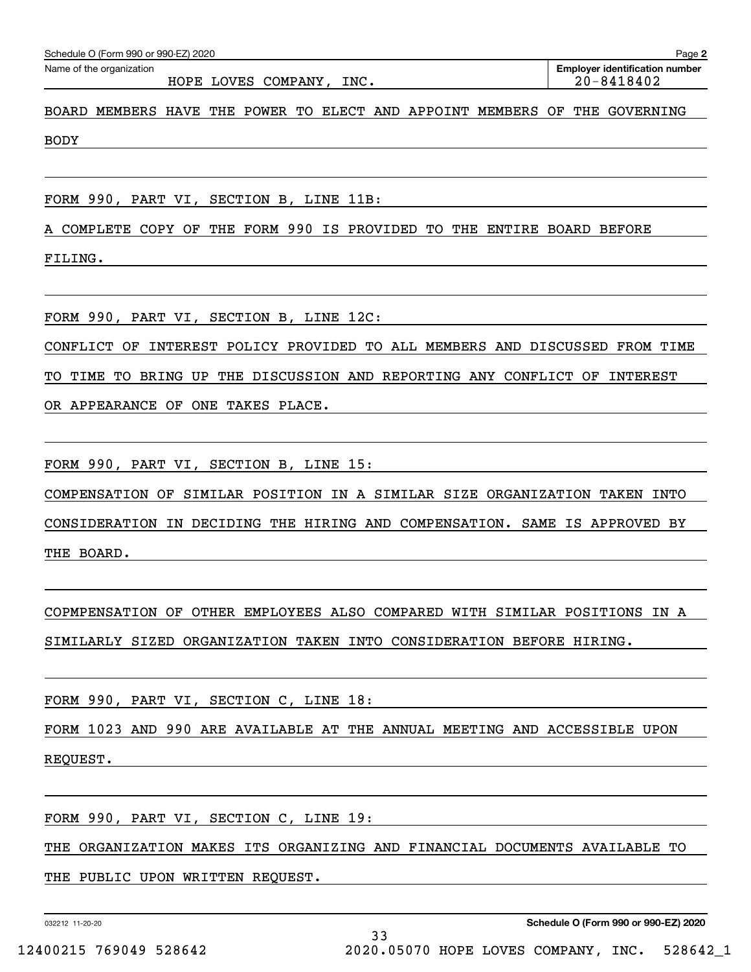| OCTIGATION IT OITH SSO OF SSO-LET EUPO<br>Name of the organization<br>HOPE LOVES COMPANY, INC. |  |  |  |  |  | ay <del>o</del> 4<br><b>Employer identification number</b><br>$20 - 8418402$ |  |  |  |  |
|------------------------------------------------------------------------------------------------|--|--|--|--|--|------------------------------------------------------------------------------|--|--|--|--|
| BOARD MEMBERS HAVE THE POWER TO ELECT AND APPOINT MEMBERS OF THE GOVERNING                     |  |  |  |  |  |                                                                              |  |  |  |  |
| <b>BODY</b>                                                                                    |  |  |  |  |  |                                                                              |  |  |  |  |

FORM 990, PART VI, SECTION B, LINE 11B:

Schedule O (Form 990 or 990 $E$ Z) 2020

A COMPLETE COPY OF THE FORM 990 IS PROVIDED TO THE ENTIRE BOARD BEFORE FILING.

FORM 990, PART VI, SECTION B, LINE 12C:

CONFLICT OF INTEREST POLICY PROVIDED TO ALL MEMBERS AND DISCUSSED FROM TIME

TO TIME TO BRING UP THE DISCUSSION AND REPORTING ANY CONFLICT OF INTEREST

OR APPEARANCE OF ONE TAKES PLACE.

FORM 990, PART VI, SECTION B, LINE 15:

COMPENSATION OF SIMILAR POSITION IN A SIMILAR SIZE ORGANIZATION TAKEN INTO

CONSIDERATION IN DECIDING THE HIRING AND COMPENSATION. SAME IS APPROVED BY THE BOARD.

COPMPENSATION OF OTHER EMPLOYEES ALSO COMPARED WITH SIMILAR POSITIONS IN A SIMILARLY SIZED ORGANIZATION TAKEN INTO CONSIDERATION BEFORE HIRING.

FORM 990, PART VI, SECTION C, LINE 18:

FORM 1023 AND 990 ARE AVAILABLE AT THE ANNUAL MEETING AND ACCESSIBLE UPON REQUEST.

FORM 990, PART VI, SECTION C, LINE 19:

THE ORGANIZATION MAKES ITS ORGANIZING AND FINANCIAL DOCUMENTS AVAILABLE TO

THE PUBLIC UPON WRITTEN REQUEST.

032212 11‐20‐20

**2**220.2